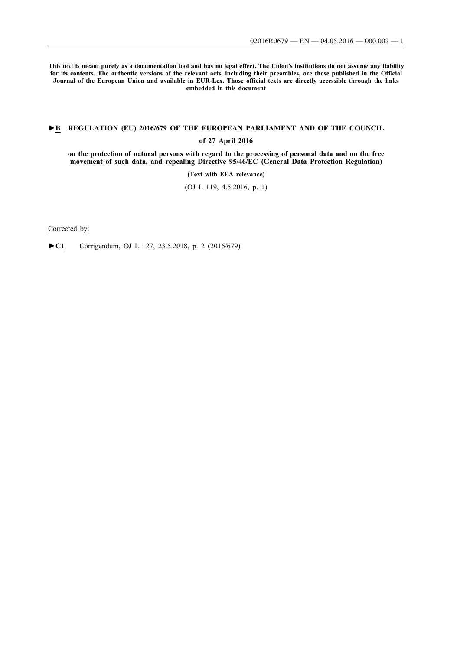**This text is meant purely as a documentation tool and has no legal effect. The Union's institutions do not assume any liability for its contents. The authentic versions of the relevant acts, including their preambles, are those published in the Official Journal of the European Union and available in EUR-Lex. Those official texts are directly accessible through the links embedded in this document**

# **►B [REGULATION \(EU\) 2016/679 OF THE EUROPEAN PARLIAMENT AND OF THE COUNCIL](http://data.europa.eu/eli/reg/2016/679/oj/eng)**

## **[of 27 April 2016](http://data.europa.eu/eli/reg/2016/679/oj/eng)**

**[on the protection of natural persons with regard to the processing of personal data and on the free](http://data.europa.eu/eli/reg/2016/679/oj/eng) [movement of such data, and repealing Directive 95/46/EC \(General Data Protection Regulation\)](http://data.europa.eu/eli/reg/2016/679/oj/eng)**

**[\(Text with EEA relevance\)](http://data.europa.eu/eli/reg/2016/679/oj/eng)**

[\(OJ L 119, 4.5.2016, p. 1\)](http://data.europa.eu/eli/reg/2016/679/oj/eng)

Corrected by:

[►](http://data.europa.eu/eli/reg/2016/679/corrigendum/2018-05-23/oj/eng)**[C1](http://data.europa.eu/eli/reg/2016/679/corrigendum/2018-05-23/oj/eng)** [Corrigendum, OJ L 127, 23.5.2018, p. 2 \(2016/679\)](http://data.europa.eu/eli/reg/2016/679/corrigendum/2018-05-23/oj/eng)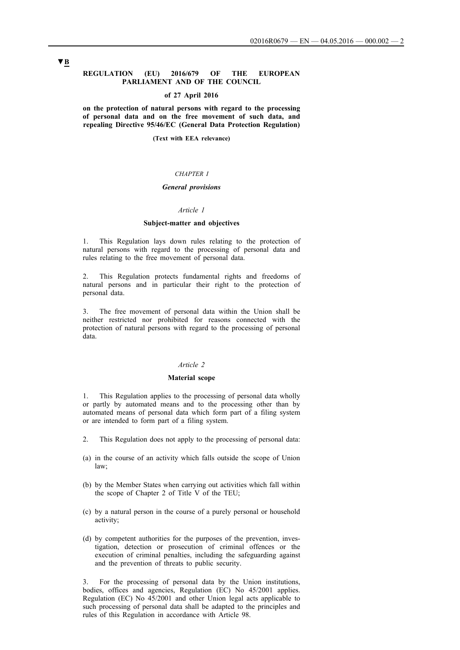### **REGULATION (EU) 2016/679 OF THE EUROPEAN PARLIAMENT AND OF THE COUNCIL**

#### **of 27 April 2016**

**on the protection of natural persons with regard to the processing of personal data and on the free movement of such data, and repealing Directive 95/46/EC (General Data Protection Regulation)**

**(Text with EEA relevance)**

## *CHAPTER I*

#### *General provisions*

#### *Article 1*

#### **Subject-matter and objectives**

1. This Regulation lays down rules relating to the protection of natural persons with regard to the processing of personal data and rules relating to the free movement of personal data.

2. This Regulation protects fundamental rights and freedoms of natural persons and in particular their right to the protection of personal data.

3. The free movement of personal data within the Union shall be neither restricted nor prohibited for reasons connected with the protection of natural persons with regard to the processing of personal data.

#### *Article 2*

### **Material scope**

1. This Regulation applies to the processing of personal data wholly or partly by automated means and to the processing other than by automated means of personal data which form part of a filing system or are intended to form part of a filing system.

- 2. This Regulation does not apply to the processing of personal data:
- (a) in the course of an activity which falls outside the scope of Union law;
- (b) by the Member States when carrying out activities which fall within the scope of Chapter 2 of Title V of the TEU;
- (c) by a natural person in the course of a purely personal or household activity;
- (d) by competent authorities for the purposes of the prevention, investigation, detection or prosecution of criminal offences or the execution of criminal penalties, including the safeguarding against and the prevention of threats to public security.

3. For the processing of personal data by the Union institutions, bodies, offices and agencies, Regulation (EC) No 45/2001 applies. Regulation (EC) No 45/2001 and other Union legal acts applicable to such processing of personal data shall be adapted to the principles and rules of this Regulation in accordance with Article 98.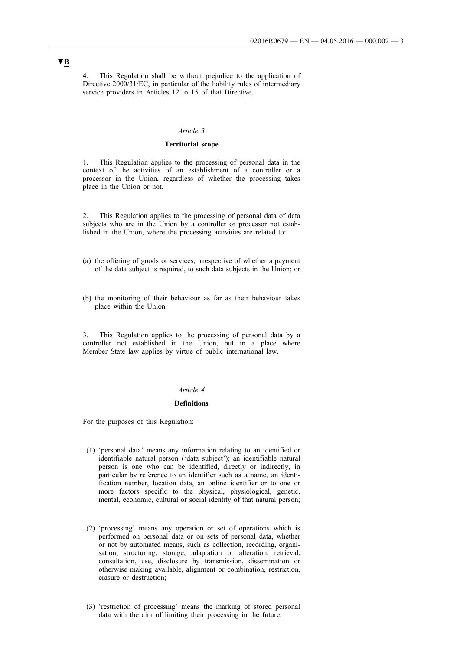4. This Regulation shall be without prejudice to the application of Directive 2000/31/EC, in particular of the liability rules of intermediary service providers in Articles 12 to 15 of that Directive.

## *Article 3*

### **Territorial scope**

1. This Regulation applies to the processing of personal data in the context of the activities of an establishment of a controller or a processor in the Union, regardless of whether the processing takes place in the Union or not.

2. This Regulation applies to the processing of personal data of data subjects who are in the Union by a controller or processor not established in the Union, where the processing activities are related to:

- (a) the offering of goods or services, irrespective of whether a payment of the data subject is required, to such data subjects in the Union; or
- (b) the monitoring of their behaviour as far as their behaviour takes place within the Union.

3. This Regulation applies to the processing of personal data by a controller not established in the Union, but in a place where Member State law applies by virtue of public international law.

#### *Article 4*

#### **Definitions**

For the purposes of this Regulation:

- (1) 'personal data' means any information relating to an identified or identifiable natural person ('data subject'); an identifiable natural person is one who can be identified, directly or indirectly, in particular by reference to an identifier such as a name, an identification number, location data, an online identifier or to one or more factors specific to the physical, physiological, genetic, mental, economic, cultural or social identity of that natural person;
- (2) 'processing' means any operation or set of operations which is performed on personal data or on sets of personal data, whether or not by automated means, such as collection, recording, organisation, structuring, storage, adaptation or alteration, retrieval, consultation, use, disclosure by transmission, dissemination or otherwise making available, alignment or combination, restriction, erasure or destruction;
- (3) 'restriction of processing' means the marking of stored personal data with the aim of limiting their processing in the future;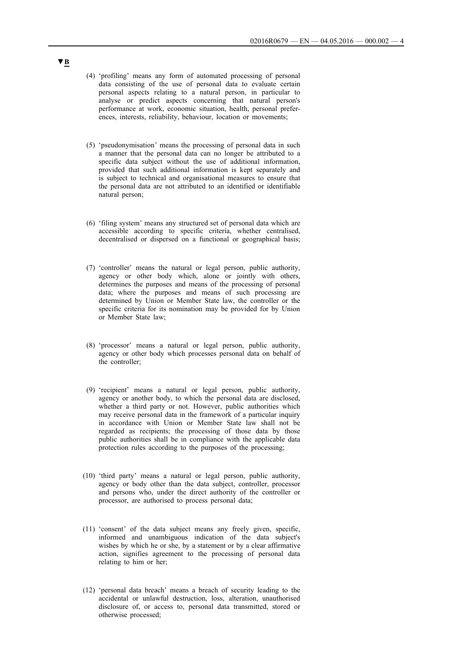- (4) 'profiling' means any form of automated processing of personal data consisting of the use of personal data to evaluate certain personal aspects relating to a natural person, in particular to analyse or predict aspects concerning that natural person's performance at work, economic situation, health, personal preferences, interests, reliability, behaviour, location or movements;
- (5) 'pseudonymisation' means the processing of personal data in such a manner that the personal data can no longer be attributed to a specific data subject without the use of additional information, provided that such additional information is kept separately and is subject to technical and organisational measures to ensure that the personal data are not attributed to an identified or identifiable natural person;
- (6) 'filing system' means any structured set of personal data which are accessible according to specific criteria, whether centralised, decentralised or dispersed on a functional or geographical basis;
- (7) 'controller' means the natural or legal person, public authority, agency or other body which, alone or jointly with others, determines the purposes and means of the processing of personal data; where the purposes and means of such processing are determined by Union or Member State law, the controller or the specific criteria for its nomination may be provided for by Union or Member State law;
- (8) 'processor' means a natural or legal person, public authority, agency or other body which processes personal data on behalf of the controller;
- (9) 'recipient' means a natural or legal person, public authority, agency or another body, to which the personal data are disclosed, whether a third party or not. However, public authorities which may receive personal data in the framework of a particular inquiry in accordance with Union or Member State law shall not be regarded as recipients; the processing of those data by those public authorities shall be in compliance with the applicable data protection rules according to the purposes of the processing;
- (10) 'third party' means a natural or legal person, public authority, agency or body other than the data subject, controller, processor and persons who, under the direct authority of the controller or processor, are authorised to process personal data;
- (11) 'consent' of the data subject means any freely given, specific, informed and unambiguous indication of the data subject's wishes by which he or she, by a statement or by a clear affirmative action, signifies agreement to the processing of personal data relating to him or her;
- (12) 'personal data breach' means a breach of security leading to the accidental or unlawful destruction, loss, alteration, unauthorised disclosure of, or access to, personal data transmitted, stored or otherwise processed;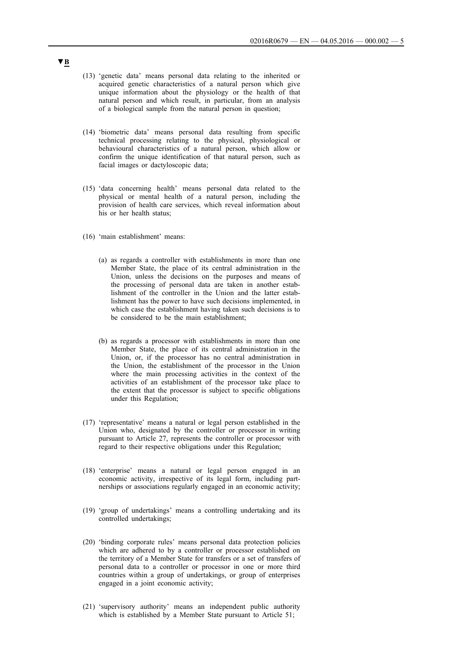- (13) 'genetic data' means personal data relating to the inherited or acquired genetic characteristics of a natural person which give unique information about the physiology or the health of that natural person and which result, in particular, from an analysis of a biological sample from the natural person in question;
- (14) 'biometric data' means personal data resulting from specific technical processing relating to the physical, physiological or behavioural characteristics of a natural person, which allow or confirm the unique identification of that natural person, such as facial images or dactyloscopic data;
- (15) 'data concerning health' means personal data related to the physical or mental health of a natural person, including the provision of health care services, which reveal information about his or her health status;
- (16) 'main establishment' means:
	- (a) as regards a controller with establishments in more than one Member State, the place of its central administration in the Union, unless the decisions on the purposes and means of the processing of personal data are taken in another establishment of the controller in the Union and the latter establishment has the power to have such decisions implemented, in which case the establishment having taken such decisions is to be considered to be the main establishment;
	- (b) as regards a processor with establishments in more than one Member State, the place of its central administration in the Union, or, if the processor has no central administration in the Union, the establishment of the processor in the Union where the main processing activities in the context of the activities of an establishment of the processor take place to the extent that the processor is subject to specific obligations under this Regulation;
- (17) 'representative' means a natural or legal person established in the Union who, designated by the controller or processor in writing pursuant to Article 27, represents the controller or processor with regard to their respective obligations under this Regulation;
- (18) 'enterprise' means a natural or legal person engaged in an economic activity, irrespective of its legal form, including partnerships or associations regularly engaged in an economic activity;
- (19) 'group of undertakings' means a controlling undertaking and its controlled undertakings;
- (20) 'binding corporate rules' means personal data protection policies which are adhered to by a controller or processor established on the territory of a Member State for transfers or a set of transfers of personal data to a controller or processor in one or more third countries within a group of undertakings, or group of enterprises engaged in a joint economic activity;
- (21) 'supervisory authority' means an independent public authority which is established by a Member State pursuant to Article 51;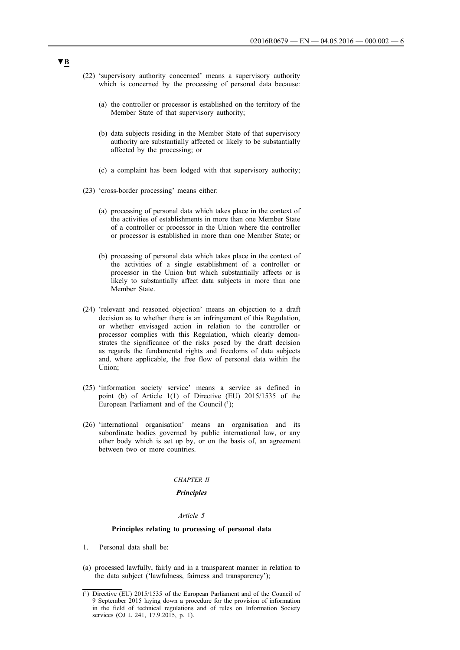- (22) 'supervisory authority concerned' means a supervisory authority which is concerned by the processing of personal data because:
	- (a) the controller or processor is established on the territory of the Member State of that supervisory authority;
	- (b) data subjects residing in the Member State of that supervisory authority are substantially affected or likely to be substantially affected by the processing; or
	- (c) a complaint has been lodged with that supervisory authority;
- (23) 'cross-border processing' means either:
	- (a) processing of personal data which takes place in the context of the activities of establishments in more than one Member State of a controller or processor in the Union where the controller or processor is established in more than one Member State; or
	- (b) processing of personal data which takes place in the context of the activities of a single establishment of a controller or processor in the Union but which substantially affects or is likely to substantially affect data subjects in more than one Member State.
- (24) 'relevant and reasoned objection' means an objection to a draft decision as to whether there is an infringement of this Regulation, or whether envisaged action in relation to the controller or processor complies with this Regulation, which clearly demonstrates the significance of the risks posed by the draft decision as regards the fundamental rights and freedoms of data subjects and, where applicable, the free flow of personal data within the Union;
- (25) 'information society service' means a service as defined in point (b) of Article 1(1) of Directive (EU) 2015/1535 of the European Parliament and of the Council  $(1)$ ;
- (26) 'international organisation' means an organisation and its subordinate bodies governed by public international law, or any other body which is set up by, or on the basis of, an agreement between two or more countries.

## *CHAPTER II*

#### *Principles*

### *Article 5*

## **Principles relating to processing of personal data**

- 1. Personal data shall be:
- (a) processed lawfully, fairly and in a transparent manner in relation to the data subject ('lawfulness, fairness and transparency');

<sup>(1)</sup> Directive (EU) 2015/1535 of the European Parliament and of the Council of 9 September 2015 laying down a procedure for the provision of information in the field of technical regulations and of rules on Information Society services (OJ L 241, 17.9.2015, p. 1).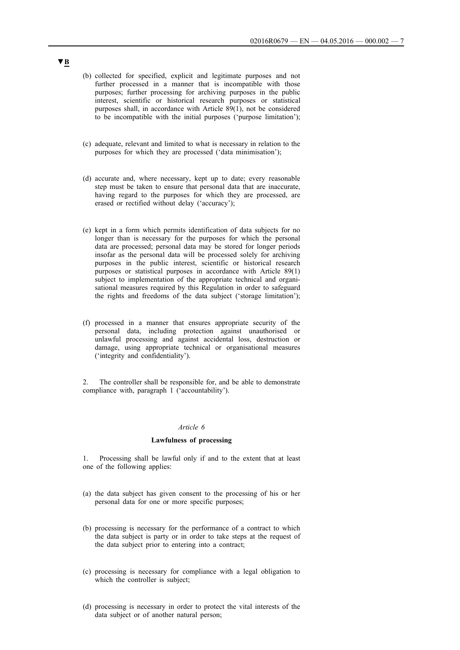- (b) collected for specified, explicit and legitimate purposes and not further processed in a manner that is incompatible with those purposes; further processing for archiving purposes in the public interest, scientific or historical research purposes or statistical purposes shall, in accordance with Article  $89(1)$ , not be considered to be incompatible with the initial purposes ('purpose limitation');
- (c) adequate, relevant and limited to what is necessary in relation to the purposes for which they are processed ('data minimisation');
- (d) accurate and, where necessary, kept up to date; every reasonable step must be taken to ensure that personal data that are inaccurate, having regard to the purposes for which they are processed, are erased or rectified without delay ('accuracy');
- (e) kept in a form which permits identification of data subjects for no longer than is necessary for the purposes for which the personal data are processed; personal data may be stored for longer periods insofar as the personal data will be processed solely for archiving purposes in the public interest, scientific or historical research purposes or statistical purposes in accordance with Article 89(1) subject to implementation of the appropriate technical and organisational measures required by this Regulation in order to safeguard the rights and freedoms of the data subject ('storage limitation');
- (f) processed in a manner that ensures appropriate security of the personal data, including protection against unauthorised or unlawful processing and against accidental loss, destruction or damage, using appropriate technical or organisational measures ('integrity and confidentiality').

2. The controller shall be responsible for, and be able to demonstrate compliance with, paragraph 1 ('accountability').

### *Article 6*

### **Lawfulness of processing**

1. Processing shall be lawful only if and to the extent that at least one of the following applies:

- (a) the data subject has given consent to the processing of his or her personal data for one or more specific purposes;
- (b) processing is necessary for the performance of a contract to which the data subject is party or in order to take steps at the request of the data subject prior to entering into a contract;
- (c) processing is necessary for compliance with a legal obligation to which the controller is subject;
- (d) processing is necessary in order to protect the vital interests of the data subject or of another natural person;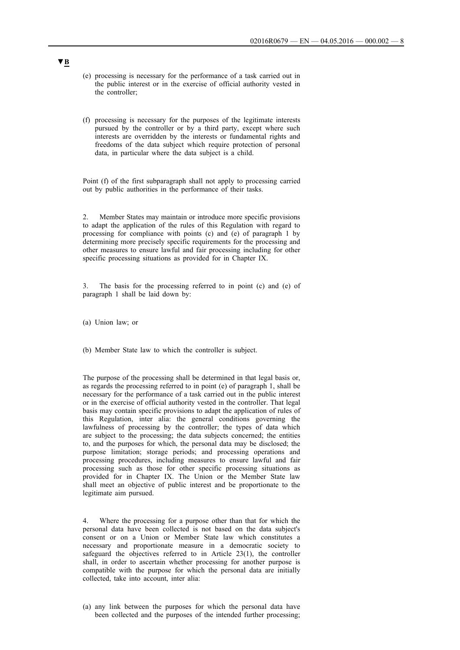- (e) processing is necessary for the performance of a task carried out in the public interest or in the exercise of official authority vested in the controller;
- (f) processing is necessary for the purposes of the legitimate interests pursued by the controller or by a third party, except where such interests are overridden by the interests or fundamental rights and freedoms of the data subject which require protection of personal data, in particular where the data subject is a child.

Point (f) of the first subparagraph shall not apply to processing carried out by public authorities in the performance of their tasks.

2. Member States may maintain or introduce more specific provisions to adapt the application of the rules of this Regulation with regard to processing for compliance with points (c) and (e) of paragraph 1 by determining more precisely specific requirements for the processing and other measures to ensure lawful and fair processing including for other specific processing situations as provided for in Chapter IX.

3. The basis for the processing referred to in point (c) and (e) of paragraph 1 shall be laid down by:

- (a) Union law; or
- (b) Member State law to which the controller is subject.

The purpose of the processing shall be determined in that legal basis or, as regards the processing referred to in point (e) of paragraph 1, shall be necessary for the performance of a task carried out in the public interest or in the exercise of official authority vested in the controller. That legal basis may contain specific provisions to adapt the application of rules of this Regulation, inter alia: the general conditions governing the lawfulness of processing by the controller; the types of data which are subject to the processing; the data subjects concerned; the entities to, and the purposes for which, the personal data may be disclosed; the purpose limitation; storage periods; and processing operations and processing procedures, including measures to ensure lawful and fair processing such as those for other specific processing situations as provided for in Chapter IX. The Union or the Member State law shall meet an objective of public interest and be proportionate to the legitimate aim pursued.

4. Where the processing for a purpose other than that for which the personal data have been collected is not based on the data subject's consent or on a Union or Member State law which constitutes a necessary and proportionate measure in a democratic society to safeguard the objectives referred to in Article 23(1), the controller shall, in order to ascertain whether processing for another purpose is compatible with the purpose for which the personal data are initially collected, take into account, inter alia:

(a) any link between the purposes for which the personal data have been collected and the purposes of the intended further processing;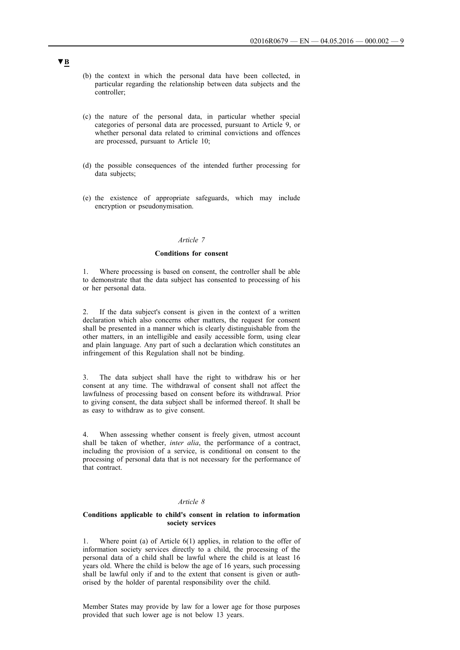- (b) the context in which the personal data have been collected, in particular regarding the relationship between data subjects and the controller;
- (c) the nature of the personal data, in particular whether special categories of personal data are processed, pursuant to Article 9, or whether personal data related to criminal convictions and offences are processed, pursuant to Article 10;
- (d) the possible consequences of the intended further processing for data subjects;
- (e) the existence of appropriate safeguards, which may include encryption or pseudonymisation.

## *Article 7*

### **Conditions for consent**

1. Where processing is based on consent, the controller shall be able to demonstrate that the data subject has consented to processing of his or her personal data.

If the data subject's consent is given in the context of a written declaration which also concerns other matters, the request for consent shall be presented in a manner which is clearly distinguishable from the other matters, in an intelligible and easily accessible form, using clear and plain language. Any part of such a declaration which constitutes an infringement of this Regulation shall not be binding.

3. The data subject shall have the right to withdraw his or her consent at any time. The withdrawal of consent shall not affect the lawfulness of processing based on consent before its withdrawal. Prior to giving consent, the data subject shall be informed thereof. It shall be as easy to withdraw as to give consent.

4. When assessing whether consent is freely given, utmost account shall be taken of whether, *inter alia*, the performance of a contract, including the provision of a service, is conditional on consent to the processing of personal data that is not necessary for the performance of that contract.

### *Article 8*

#### **Conditions applicable to child's consent in relation to information society services**

1. Where point (a) of Article 6(1) applies, in relation to the offer of information society services directly to a child, the processing of the personal data of a child shall be lawful where the child is at least 16 years old. Where the child is below the age of 16 years, such processing shall be lawful only if and to the extent that consent is given or authorised by the holder of parental responsibility over the child.

Member States may provide by law for a lower age for those purposes provided that such lower age is not below 13 years.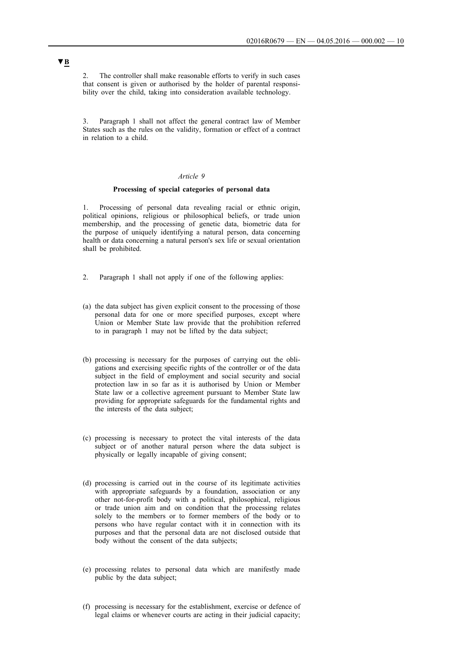2. The controller shall make reasonable efforts to verify in such cases that consent is given or authorised by the holder of parental responsibility over the child, taking into consideration available technology.

Paragraph 1 shall not affect the general contract law of Member States such as the rules on the validity, formation or effect of a contract in relation to a child.

#### *Article 9*

### **Processing of special categories of personal data**

1. Processing of personal data revealing racial or ethnic origin, political opinions, religious or philosophical beliefs, or trade union membership, and the processing of genetic data, biometric data for the purpose of uniquely identifying a natural person, data concerning health or data concerning a natural person's sex life or sexual orientation shall be prohibited.

- 2. Paragraph 1 shall not apply if one of the following applies:
- (a) the data subject has given explicit consent to the processing of those personal data for one or more specified purposes, except where Union or Member State law provide that the prohibition referred to in paragraph 1 may not be lifted by the data subject;
- (b) processing is necessary for the purposes of carrying out the obligations and exercising specific rights of the controller or of the data subject in the field of employment and social security and social protection law in so far as it is authorised by Union or Member State law or a collective agreement pursuant to Member State law providing for appropriate safeguards for the fundamental rights and the interests of the data subject;
- (c) processing is necessary to protect the vital interests of the data subject or of another natural person where the data subject is physically or legally incapable of giving consent;
- (d) processing is carried out in the course of its legitimate activities with appropriate safeguards by a foundation, association or any other not-for-profit body with a political, philosophical, religious or trade union aim and on condition that the processing relates solely to the members or to former members of the body or to persons who have regular contact with it in connection with its purposes and that the personal data are not disclosed outside that body without the consent of the data subjects;
- (e) processing relates to personal data which are manifestly made public by the data subject;
- (f) processing is necessary for the establishment, exercise or defence of legal claims or whenever courts are acting in their judicial capacity;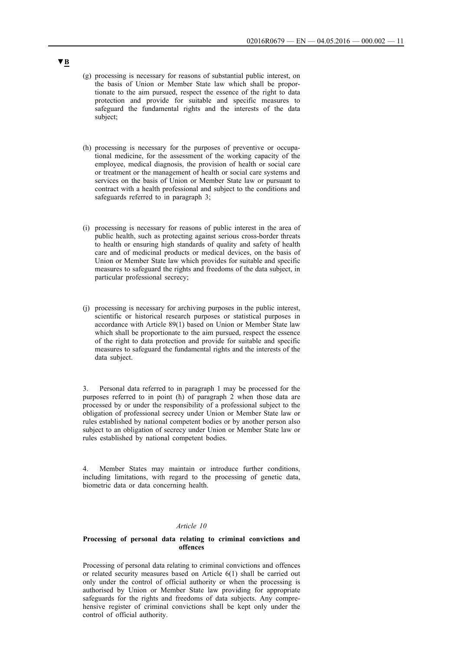- (g) processing is necessary for reasons of substantial public interest, on the basis of Union or Member State law which shall be proportionate to the aim pursued, respect the essence of the right to data protection and provide for suitable and specific measures to safeguard the fundamental rights and the interests of the data subject;
- (h) processing is necessary for the purposes of preventive or occupational medicine, for the assessment of the working capacity of the employee, medical diagnosis, the provision of health or social care or treatment or the management of health or social care systems and services on the basis of Union or Member State law or pursuant to contract with a health professional and subject to the conditions and safeguards referred to in paragraph 3;
- (i) processing is necessary for reasons of public interest in the area of public health, such as protecting against serious cross-border threats to health or ensuring high standards of quality and safety of health care and of medicinal products or medical devices, on the basis of Union or Member State law which provides for suitable and specific measures to safeguard the rights and freedoms of the data subject, in particular professional secrecy;
- (j) processing is necessary for archiving purposes in the public interest, scientific or historical research purposes or statistical purposes in accordance with Article 89(1) based on Union or Member State law which shall be proportionate to the aim pursued, respect the essence of the right to data protection and provide for suitable and specific measures to safeguard the fundamental rights and the interests of the data subject.

3. Personal data referred to in paragraph 1 may be processed for the purposes referred to in point (h) of paragraph 2 when those data are processed by or under the responsibility of a professional subject to the obligation of professional secrecy under Union or Member State law or rules established by national competent bodies or by another person also subject to an obligation of secrecy under Union or Member State law or rules established by national competent bodies.

4. Member States may maintain or introduce further conditions, including limitations, with regard to the processing of genetic data, biometric data or data concerning health.

#### *Article 10*

#### **Processing of personal data relating to criminal convictions and offences**

Processing of personal data relating to criminal convictions and offences or related security measures based on Article 6(1) shall be carried out only under the control of official authority or when the processing is authorised by Union or Member State law providing for appropriate safeguards for the rights and freedoms of data subjects. Any comprehensive register of criminal convictions shall be kept only under the control of official authority.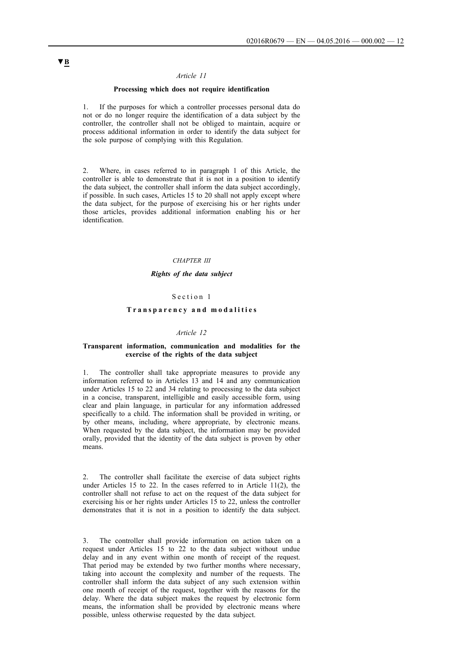### *Article 11*

### **Processing which does not require identification**

1. If the purposes for which a controller processes personal data do not or do no longer require the identification of a data subject by the controller, the controller shall not be obliged to maintain, acquire or process additional information in order to identify the data subject for the sole purpose of complying with this Regulation.

2. Where, in cases referred to in paragraph 1 of this Article, the controller is able to demonstrate that it is not in a position to identify the data subject, the controller shall inform the data subject accordingly, if possible. In such cases, Articles 15 to 20 shall not apply except where the data subject, for the purpose of exercising his or her rights under those articles, provides additional information enabling his or her identification.

## *CHAPTER III*

## *Rights of the data subject*

### Section 1

## **T r a n s p a r e n c y a n d m o d a l i t i e s**

### *Article 12*

#### **Transparent information, communication and modalities for the exercise of the rights of the data subject**

1. The controller shall take appropriate measures to provide any information referred to in Articles 13 and 14 and any communication under Articles 15 to 22 and 34 relating to processing to the data subject in a concise, transparent, intelligible and easily accessible form, using clear and plain language, in particular for any information addressed specifically to a child. The information shall be provided in writing, or by other means, including, where appropriate, by electronic means. When requested by the data subject, the information may be provided orally, provided that the identity of the data subject is proven by other means.

2. The controller shall facilitate the exercise of data subject rights under Articles 15 to 22. In the cases referred to in Article 11(2), the controller shall not refuse to act on the request of the data subject for exercising his or her rights under Articles 15 to 22, unless the controller demonstrates that it is not in a position to identify the data subject.

3. The controller shall provide information on action taken on a request under Articles 15 to 22 to the data subject without undue delay and in any event within one month of receipt of the request. That period may be extended by two further months where necessary, taking into account the complexity and number of the requests. The controller shall inform the data subject of any such extension within one month of receipt of the request, together with the reasons for the delay. Where the data subject makes the request by electronic form means, the information shall be provided by electronic means where possible, unless otherwise requested by the data subject.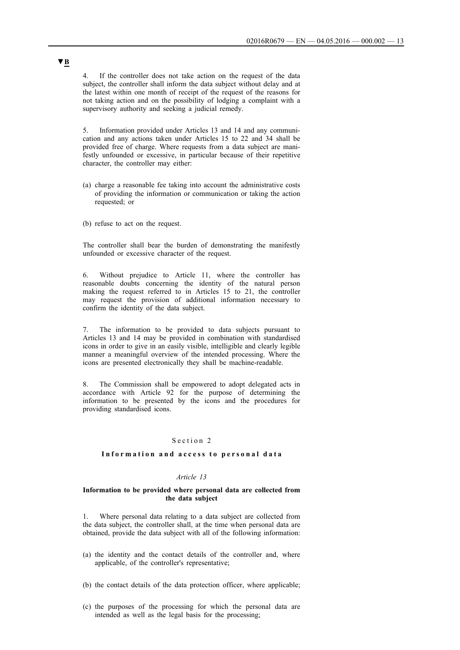4. If the controller does not take action on the request of the data subject, the controller shall inform the data subject without delay and at the latest within one month of receipt of the request of the reasons for not taking action and on the possibility of lodging a complaint with a supervisory authority and seeking a judicial remedy.

5. Information provided under Articles 13 and 14 and any communication and any actions taken under Articles 15 to 22 and 34 shall be provided free of charge. Where requests from a data subject are manifestly unfounded or excessive, in particular because of their repetitive character, the controller may either:

- (a) charge a reasonable fee taking into account the administrative costs of providing the information or communication or taking the action requested; or
- (b) refuse to act on the request.

The controller shall bear the burden of demonstrating the manifestly unfounded or excessive character of the request.

6. Without prejudice to Article 11, where the controller has reasonable doubts concerning the identity of the natural person making the request referred to in Articles 15 to 21, the controller may request the provision of additional information necessary to confirm the identity of the data subject.

7. The information to be provided to data subjects pursuant to Articles 13 and 14 may be provided in combination with standardised icons in order to give in an easily visible, intelligible and clearly legible manner a meaningful overview of the intended processing. Where the icons are presented electronically they shall be machine-readable.

8. The Commission shall be empowered to adopt delegated acts in accordance with Article 92 for the purpose of determining the information to be presented by the icons and the procedures for providing standardised icons.

## Section 2

#### Information and access to personal data

## *Article 13*

### **Information to be provided where personal data are collected from the data subject**

1. Where personal data relating to a data subject are collected from the data subject, the controller shall, at the time when personal data are obtained, provide the data subject with all of the following information:

- (a) the identity and the contact details of the controller and, where applicable, of the controller's representative;
- (b) the contact details of the data protection officer, where applicable;
- (c) the purposes of the processing for which the personal data are intended as well as the legal basis for the processing;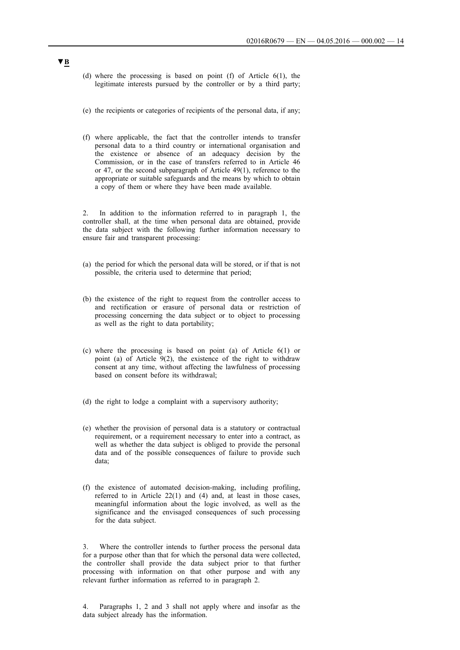- (d) where the processing is based on point (f) of Article 6(1), the legitimate interests pursued by the controller or by a third party;
- (e) the recipients or categories of recipients of the personal data, if any;
- (f) where applicable, the fact that the controller intends to transfer personal data to a third country or international organisation and the existence or absence of an adequacy decision by the Commission, or in the case of transfers referred to in Article 46 or 47, or the second subparagraph of Article 49(1), reference to the appropriate or suitable safeguards and the means by which to obtain a copy of them or where they have been made available.

2. In addition to the information referred to in paragraph 1, the controller shall, at the time when personal data are obtained, provide the data subject with the following further information necessary to ensure fair and transparent processing:

- (a) the period for which the personal data will be stored, or if that is not possible, the criteria used to determine that period;
- (b) the existence of the right to request from the controller access to and rectification or erasure of personal data or restriction of processing concerning the data subject or to object to processing as well as the right to data portability;
- (c) where the processing is based on point (a) of Article 6(1) or point (a) of Article 9(2), the existence of the right to withdraw consent at any time, without affecting the lawfulness of processing based on consent before its withdrawal;
- (d) the right to lodge a complaint with a supervisory authority;
- (e) whether the provision of personal data is a statutory or contractual requirement, or a requirement necessary to enter into a contract, as well as whether the data subject is obliged to provide the personal data and of the possible consequences of failure to provide such data;
- (f) the existence of automated decision-making, including profiling, referred to in Article 22(1) and (4) and, at least in those cases, meaningful information about the logic involved, as well as the significance and the envisaged consequences of such processing for the data subject.

3. Where the controller intends to further process the personal data for a purpose other than that for which the personal data were collected, the controller shall provide the data subject prior to that further processing with information on that other purpose and with any relevant further information as referred to in paragraph 2.

4. Paragraphs 1, 2 and 3 shall not apply where and insofar as the data subject already has the information.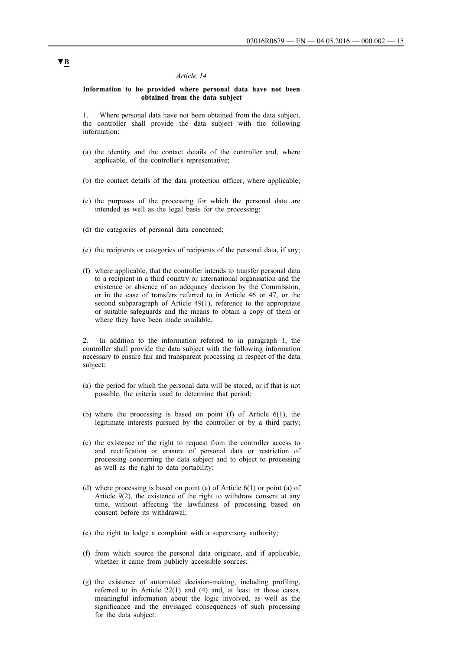#### *Article 14*

### **Information to be provided where personal data have not been obtained from the data subject**

1. Where personal data have not been obtained from the data subject, the controller shall provide the data subject with the following information:

- (a) the identity and the contact details of the controller and, where applicable, of the controller's representative;
- (b) the contact details of the data protection officer, where applicable;
- (c) the purposes of the processing for which the personal data are intended as well as the legal basis for the processing;
- (d) the categories of personal data concerned;
- (e) the recipients or categories of recipients of the personal data, if any;
- (f) where applicable, that the controller intends to transfer personal data to a recipient in a third country or international organisation and the existence or absence of an adequacy decision by the Commission, or in the case of transfers referred to in Article 46 or 47, or the second subparagraph of Article 49(1), reference to the appropriate or suitable safeguards and the means to obtain a copy of them or where they have been made available.

2. In addition to the information referred to in paragraph 1, the controller shall provide the data subject with the following information necessary to ensure fair and transparent processing in respect of the data subject:

- (a) the period for which the personal data will be stored, or if that is not possible, the criteria used to determine that period;
- (b) where the processing is based on point (f) of Article 6(1), the legitimate interests pursued by the controller or by a third party;
- (c) the existence of the right to request from the controller access to and rectification or erasure of personal data or restriction of processing concerning the data subject and to object to processing as well as the right to data portability;
- (d) where processing is based on point (a) of Article 6(1) or point (a) of Article 9(2), the existence of the right to withdraw consent at any time, without affecting the lawfulness of processing based on consent before its withdrawal;
- (e) the right to lodge a complaint with a supervisory authority;
- (f) from which source the personal data originate, and if applicable, whether it came from publicly accessible sources;
- (g) the existence of automated decision-making, including profiling, referred to in Article 22(1) and (4) and, at least in those cases, meaningful information about the logic involved, as well as the significance and the envisaged consequences of such processing for the data subject.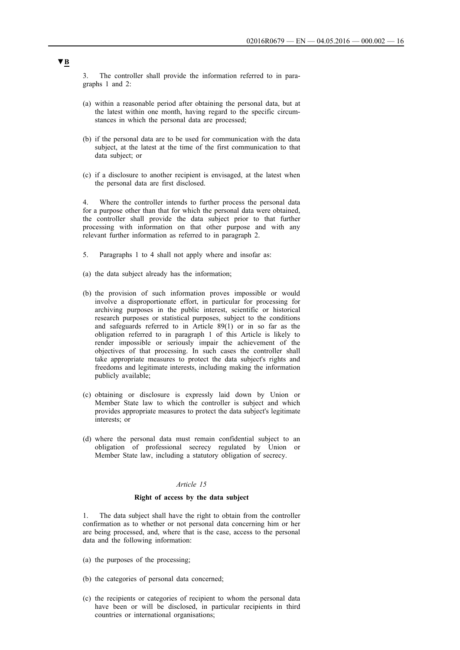3. The controller shall provide the information referred to in paragraphs 1 and 2:

- (a) within a reasonable period after obtaining the personal data, but at the latest within one month, having regard to the specific circumstances in which the personal data are processed;
- (b) if the personal data are to be used for communication with the data subject, at the latest at the time of the first communication to that data subject; or
- (c) if a disclosure to another recipient is envisaged, at the latest when the personal data are first disclosed.

4. Where the controller intends to further process the personal data for a purpose other than that for which the personal data were obtained, the controller shall provide the data subject prior to that further processing with information on that other purpose and with any relevant further information as referred to in paragraph 2.

- 5. Paragraphs 1 to 4 shall not apply where and insofar as:
- (a) the data subject already has the information;
- (b) the provision of such information proves impossible or would involve a disproportionate effort, in particular for processing for archiving purposes in the public interest, scientific or historical research purposes or statistical purposes, subject to the conditions and safeguards referred to in Article 89(1) or in so far as the obligation referred to in paragraph 1 of this Article is likely to render impossible or seriously impair the achievement of the objectives of that processing. In such cases the controller shall take appropriate measures to protect the data subject's rights and freedoms and legitimate interests, including making the information publicly available;
- (c) obtaining or disclosure is expressly laid down by Union or Member State law to which the controller is subject and which provides appropriate measures to protect the data subject's legitimate interests; or
- (d) where the personal data must remain confidential subject to an obligation of professional secrecy regulated by Union or Member State law, including a statutory obligation of secrecy.

#### *Article 15*

### **Right of access by the data subject**

1. The data subject shall have the right to obtain from the controller confirmation as to whether or not personal data concerning him or her are being processed, and, where that is the case, access to the personal data and the following information:

- (a) the purposes of the processing;
- (b) the categories of personal data concerned;
- (c) the recipients or categories of recipient to whom the personal data have been or will be disclosed, in particular recipients in third countries or international organisations;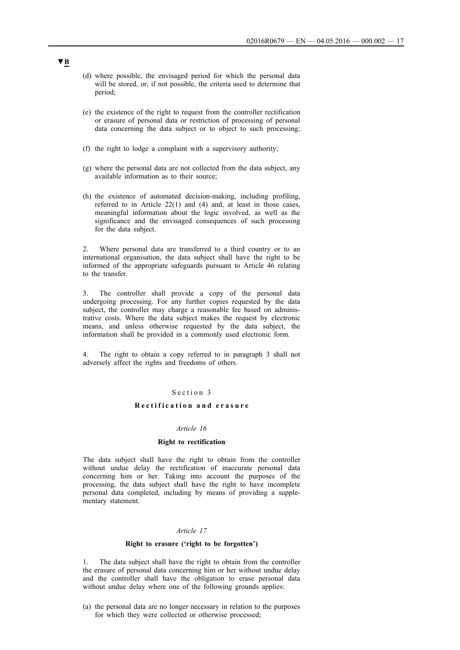- (d) where possible, the envisaged period for which the personal data will be stored, or, if not possible, the criteria used to determine that period;
- (e) the existence of the right to request from the controller rectification or erasure of personal data or restriction of processing of personal data concerning the data subject or to object to such processing;
- (f) the right to lodge a complaint with a supervisory authority;
- (g) where the personal data are not collected from the data subject, any available information as to their source;
- (h) the existence of automated decision-making, including profiling, referred to in Article 22(1) and (4) and, at least in those cases, meaningful information about the logic involved, as well as the significance and the envisaged consequences of such processing for the data subject.

2. Where personal data are transferred to a third country or to an international organisation, the data subject shall have the right to be informed of the appropriate safeguards pursuant to Article 46 relating to the transfer.

3. The controller shall provide a copy of the personal data undergoing processing. For any further copies requested by the data subject, the controller may charge a reasonable fee based on administrative costs. Where the data subject makes the request by electronic means, and unless otherwise requested by the data subject, the information shall be provided in a commonly used electronic form.

4. The right to obtain a copy referred to in paragraph 3 shall not adversely affect the rights and freedoms of others.

## Section 3

## **R e c t i f i c a t i o n a n d e r a s u r e**

### *Article 16*

#### **Right to rectification**

The data subject shall have the right to obtain from the controller without undue delay the rectification of inaccurate personal data concerning him or her. Taking into account the purposes of the processing, the data subject shall have the right to have incomplete personal data completed, including by means of providing a supplementary statement.

### *Article 17*

## **Right to erasure ('right to be forgotten')**

1. The data subject shall have the right to obtain from the controller the erasure of personal data concerning him or her without undue delay and the controller shall have the obligation to erase personal data without undue delay where one of the following grounds applies:

(a) the personal data are no longer necessary in relation to the purposes for which they were collected or otherwise processed;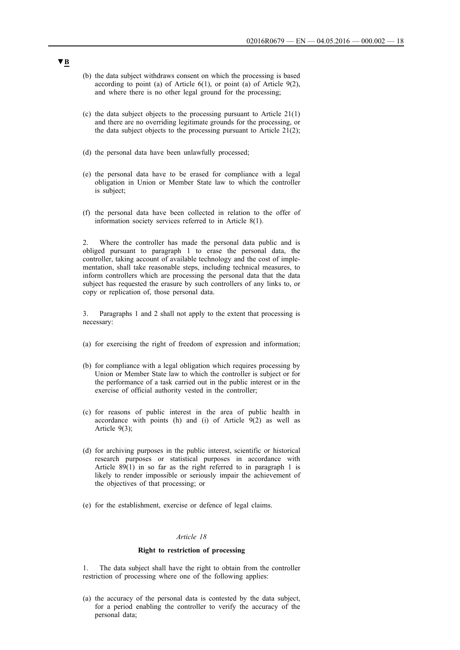- (b) the data subject withdraws consent on which the processing is based according to point (a) of Article  $6(1)$ , or point (a) of Article  $9(2)$ , and where there is no other legal ground for the processing;
- (c) the data subject objects to the processing pursuant to Article 21(1) and there are no overriding legitimate grounds for the processing, or the data subject objects to the processing pursuant to Article 21(2);
- (d) the personal data have been unlawfully processed;
- (e) the personal data have to be erased for compliance with a legal obligation in Union or Member State law to which the controller is subject;
- (f) the personal data have been collected in relation to the offer of information society services referred to in Article 8(1).

Where the controller has made the personal data public and is obliged pursuant to paragraph 1 to erase the personal data, the controller, taking account of available technology and the cost of implementation, shall take reasonable steps, including technical measures, to inform controllers which are processing the personal data that the data subject has requested the erasure by such controllers of any links to, or copy or replication of, those personal data.

3. Paragraphs 1 and 2 shall not apply to the extent that processing is necessary:

- (a) for exercising the right of freedom of expression and information;
- (b) for compliance with a legal obligation which requires processing by Union or Member State law to which the controller is subject or for the performance of a task carried out in the public interest or in the exercise of official authority vested in the controller;
- (c) for reasons of public interest in the area of public health in accordance with points (h) and (i) of Article 9(2) as well as Article 9(3);
- (d) for archiving purposes in the public interest, scientific or historical research purposes or statistical purposes in accordance with Article 89(1) in so far as the right referred to in paragraph 1 is likely to render impossible or seriously impair the achievement of the objectives of that processing; or
- (e) for the establishment, exercise or defence of legal claims.

### *Article 18*

### **Right to restriction of processing**

1. The data subject shall have the right to obtain from the controller restriction of processing where one of the following applies:

(a) the accuracy of the personal data is contested by the data subject, for a period enabling the controller to verify the accuracy of the personal data;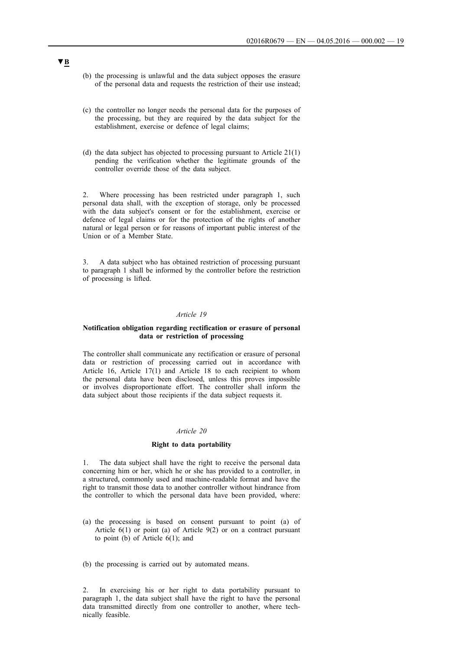- (b) the processing is unlawful and the data subject opposes the erasure of the personal data and requests the restriction of their use instead;
- (c) the controller no longer needs the personal data for the purposes of the processing, but they are required by the data subject for the establishment, exercise or defence of legal claims;
- (d) the data subject has objected to processing pursuant to Article 21(1) pending the verification whether the legitimate grounds of the controller override those of the data subject.

2. Where processing has been restricted under paragraph 1, such personal data shall, with the exception of storage, only be processed with the data subject's consent or for the establishment, exercise or defence of legal claims or for the protection of the rights of another natural or legal person or for reasons of important public interest of the Union or of a Member State.

3. A data subject who has obtained restriction of processing pursuant to paragraph 1 shall be informed by the controller before the restriction of processing is lifted.

### *Article 19*

#### **Notification obligation regarding rectification or erasure of personal data or restriction of processing**

The controller shall communicate any rectification or erasure of personal data or restriction of processing carried out in accordance with Article 16, Article 17(1) and Article 18 to each recipient to whom the personal data have been disclosed, unless this proves impossible or involves disproportionate effort. The controller shall inform the data subject about those recipients if the data subject requests it.

#### *Article 20*

### **Right to data portability**

1. The data subject shall have the right to receive the personal data concerning him or her, which he or she has provided to a controller, in a structured, commonly used and machine-readable format and have the right to transmit those data to another controller without hindrance from the controller to which the personal data have been provided, where:

- (a) the processing is based on consent pursuant to point (a) of Article 6(1) or point (a) of Article 9(2) or on a contract pursuant to point (b) of Article 6(1); and
- (b) the processing is carried out by automated means.

2. In exercising his or her right to data portability pursuant to paragraph 1, the data subject shall have the right to have the personal data transmitted directly from one controller to another, where technically feasible.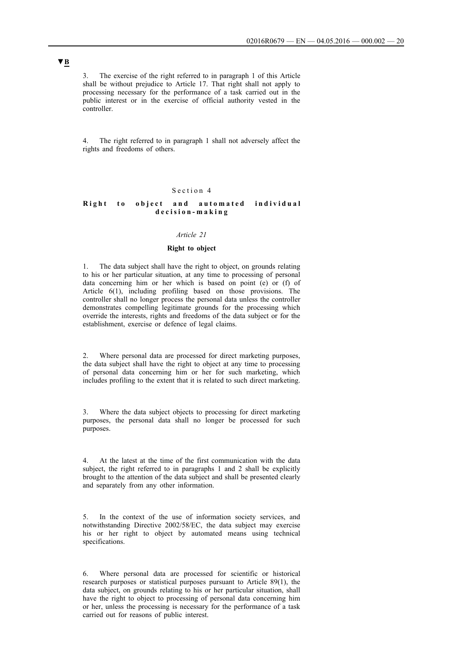3. The exercise of the right referred to in paragraph 1 of this Article shall be without prejudice to Article 17. That right shall not apply to processing necessary for the performance of a task carried out in the public interest or in the exercise of official authority vested in the controller.

4. The right referred to in paragraph 1 shall not adversely affect the rights and freedoms of others.

### Section 4

### **Right to object and automated individual d e c i s i o n - m a k i n g**

## *Article 21*

## **Right to object**

1. The data subject shall have the right to object, on grounds relating to his or her particular situation, at any time to processing of personal data concerning him or her which is based on point (e) or (f) of Article 6(1), including profiling based on those provisions. The controller shall no longer process the personal data unless the controller demonstrates compelling legitimate grounds for the processing which override the interests, rights and freedoms of the data subject or for the establishment, exercise or defence of legal claims.

2. Where personal data are processed for direct marketing purposes, the data subject shall have the right to object at any time to processing of personal data concerning him or her for such marketing, which includes profiling to the extent that it is related to such direct marketing.

3. Where the data subject objects to processing for direct marketing purposes, the personal data shall no longer be processed for such purposes.

4. At the latest at the time of the first communication with the data subject, the right referred to in paragraphs 1 and 2 shall be explicitly brought to the attention of the data subject and shall be presented clearly and separately from any other information.

5. In the context of the use of information society services, and notwithstanding Directive 2002/58/EC, the data subject may exercise his or her right to object by automated means using technical specifications.

6. Where personal data are processed for scientific or historical research purposes or statistical purposes pursuant to Article 89(1), the data subject, on grounds relating to his or her particular situation, shall have the right to object to processing of personal data concerning him or her, unless the processing is necessary for the performance of a task carried out for reasons of public interest.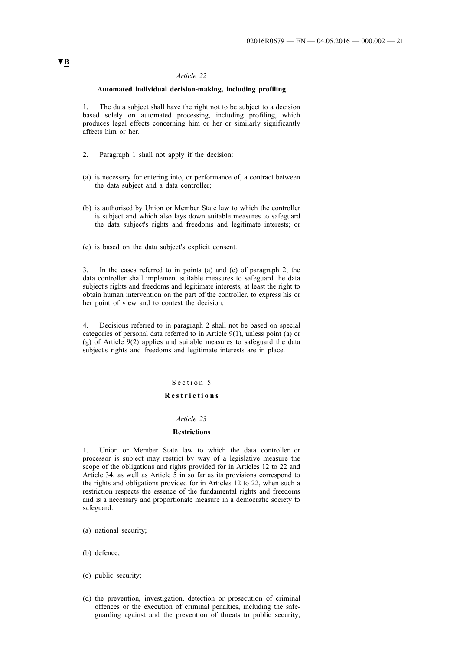## *Article 22*

### **Automated individual decision-making, including profiling**

1. The data subject shall have the right not to be subject to a decision based solely on automated processing, including profiling, which produces legal effects concerning him or her or similarly significantly affects him or her.

- 2. Paragraph 1 shall not apply if the decision:
- (a) is necessary for entering into, or performance of, a contract between the data subject and a data controller;
- (b) is authorised by Union or Member State law to which the controller is subject and which also lays down suitable measures to safeguard the data subject's rights and freedoms and legitimate interests; or
- (c) is based on the data subject's explicit consent.

3. In the cases referred to in points (a) and (c) of paragraph 2, the data controller shall implement suitable measures to safeguard the data subject's rights and freedoms and legitimate interests, at least the right to obtain human intervention on the part of the controller, to express his or her point of view and to contest the decision.

4. Decisions referred to in paragraph 2 shall not be based on special categories of personal data referred to in Article 9(1), unless point (a) or (g) of Article 9(2) applies and suitable measures to safeguard the data subject's rights and freedoms and legitimate interests are in place.

## Section 5

## **R e s t r i c t i o n s**

## *Article 23*

### **Restrictions**

1. Union or Member State law to which the data controller or processor is subject may restrict by way of a legislative measure the scope of the obligations and rights provided for in Articles 12 to 22 and Article 34, as well as Article 5 in so far as its provisions correspond to the rights and obligations provided for in Articles 12 to 22, when such a restriction respects the essence of the fundamental rights and freedoms and is a necessary and proportionate measure in a democratic society to safeguard:

- (a) national security;
- (b) defence;
- (c) public security;
- (d) the prevention, investigation, detection or prosecution of criminal offences or the execution of criminal penalties, including the safeguarding against and the prevention of threats to public security;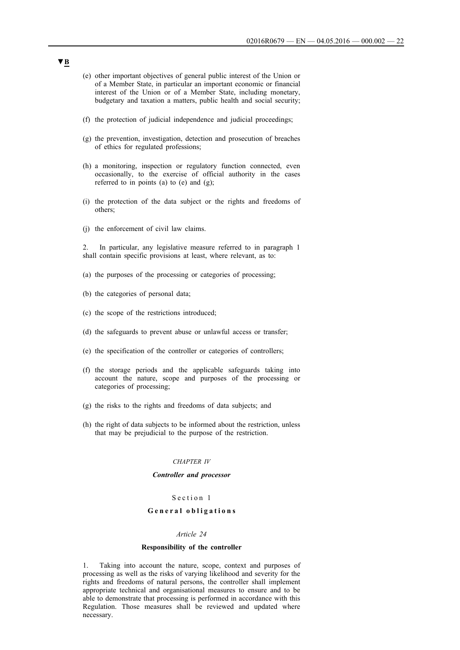- (e) other important objectives of general public interest of the Union or of a Member State, in particular an important economic or financial interest of the Union or of a Member State, including monetary, budgetary and taxation a matters, public health and social security;
- (f) the protection of judicial independence and judicial proceedings;
- (g) the prevention, investigation, detection and prosecution of breaches of ethics for regulated professions;
- (h) a monitoring, inspection or regulatory function connected, even occasionally, to the exercise of official authority in the cases referred to in points (a) to (e) and (g);
- (i) the protection of the data subject or the rights and freedoms of others;
- (j) the enforcement of civil law claims.

2. In particular, any legislative measure referred to in paragraph 1 shall contain specific provisions at least, where relevant, as to:

- (a) the purposes of the processing or categories of processing;
- (b) the categories of personal data;
- (c) the scope of the restrictions introduced;
- (d) the safeguards to prevent abuse or unlawful access or transfer;
- (e) the specification of the controller or categories of controllers;
- (f) the storage periods and the applicable safeguards taking into account the nature, scope and purposes of the processing or categories of processing;
- (g) the risks to the rights and freedoms of data subjects; and
- (h) the right of data subjects to be informed about the restriction, unless that may be prejudicial to the purpose of the restriction.

#### *CHAPTER IV*

### *Controller and processor*

#### Section 1

## **G e n e r a l o b l i g a t i o n s**

#### *Article 24*

### **Responsibility of the controller**

1. Taking into account the nature, scope, context and purposes of processing as well as the risks of varying likelihood and severity for the rights and freedoms of natural persons, the controller shall implement appropriate technical and organisational measures to ensure and to be able to demonstrate that processing is performed in accordance with this Regulation. Those measures shall be reviewed and updated where necessary.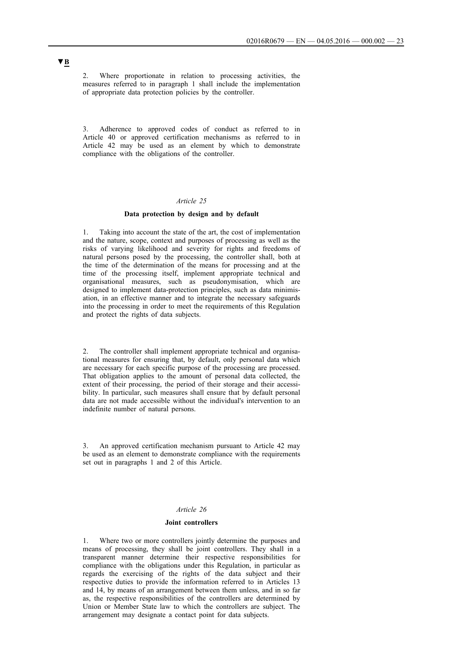2. Where proportionate in relation to processing activities, the measures referred to in paragraph 1 shall include the implementation of appropriate data protection policies by the controller.

Adherence to approved codes of conduct as referred to in Article 40 or approved certification mechanisms as referred to in Article 42 may be used as an element by which to demonstrate compliance with the obligations of the controller.

#### *Article 25*

#### **Data protection by design and by default**

1. Taking into account the state of the art, the cost of implementation and the nature, scope, context and purposes of processing as well as the risks of varying likelihood and severity for rights and freedoms of natural persons posed by the processing, the controller shall, both at the time of the determination of the means for processing and at the time of the processing itself, implement appropriate technical and organisational measures, such as pseudonymisation, which are designed to implement data-protection principles, such as data minimisation, in an effective manner and to integrate the necessary safeguards into the processing in order to meet the requirements of this Regulation and protect the rights of data subjects.

2. The controller shall implement appropriate technical and organisational measures for ensuring that, by default, only personal data which are necessary for each specific purpose of the processing are processed. That obligation applies to the amount of personal data collected, the extent of their processing, the period of their storage and their accessibility. In particular, such measures shall ensure that by default personal data are not made accessible without the individual's intervention to an indefinite number of natural persons.

An approved certification mechanism pursuant to Article 42 may be used as an element to demonstrate compliance with the requirements set out in paragraphs 1 and 2 of this Article.

### *Article 26*

#### **Joint controllers**

1. Where two or more controllers jointly determine the purposes and means of processing, they shall be joint controllers. They shall in a transparent manner determine their respective responsibilities for compliance with the obligations under this Regulation, in particular as regards the exercising of the rights of the data subject and their respective duties to provide the information referred to in Articles 13 and 14, by means of an arrangement between them unless, and in so far as, the respective responsibilities of the controllers are determined by Union or Member State law to which the controllers are subject. The arrangement may designate a contact point for data subjects.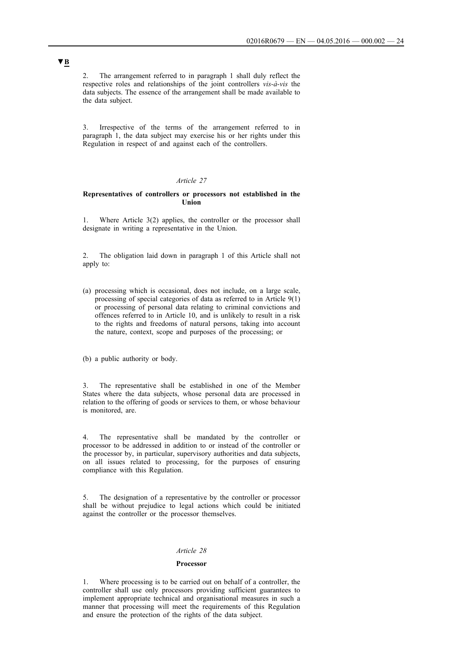2. The arrangement referred to in paragraph 1 shall duly reflect the respective roles and relationships of the joint controllers *vis-à-vis* the data subjects. The essence of the arrangement shall be made available to the data subject.

3. Irrespective of the terms of the arrangement referred to in paragraph 1, the data subject may exercise his or her rights under this Regulation in respect of and against each of the controllers.

## *Article 27*

### **Representatives of controllers or processors not established in the Union**

Where Article  $3(2)$  applies, the controller or the processor shall designate in writing a representative in the Union.

2. The obligation laid down in paragraph 1 of this Article shall not apply to:

(a) processing which is occasional, does not include, on a large scale, processing of special categories of data as referred to in Article 9(1) or processing of personal data relating to criminal convictions and offences referred to in Article 10, and is unlikely to result in a risk to the rights and freedoms of natural persons, taking into account the nature, context, scope and purposes of the processing; or

(b) a public authority or body.

3. The representative shall be established in one of the Member States where the data subjects, whose personal data are processed in relation to the offering of goods or services to them, or whose behaviour is monitored, are.

4. The representative shall be mandated by the controller or processor to be addressed in addition to or instead of the controller or the processor by, in particular, supervisory authorities and data subjects, on all issues related to processing, for the purposes of ensuring compliance with this Regulation.

5. The designation of a representative by the controller or processor shall be without prejudice to legal actions which could be initiated against the controller or the processor themselves.

#### *Article 28*

#### **Processor**

1. Where processing is to be carried out on behalf of a controller, the controller shall use only processors providing sufficient guarantees to implement appropriate technical and organisational measures in such a manner that processing will meet the requirements of this Regulation and ensure the protection of the rights of the data subject.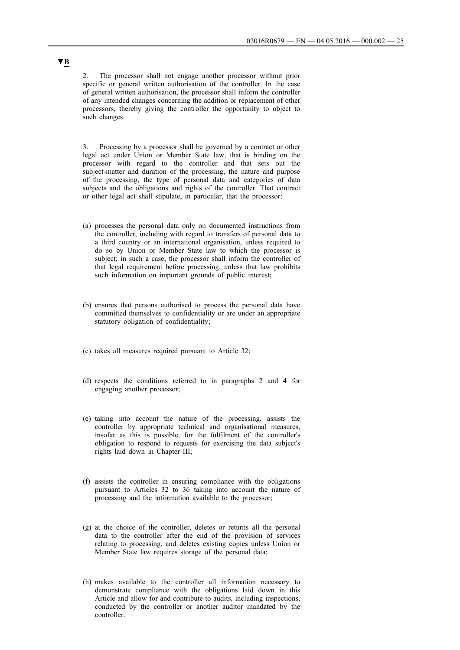2. The processor shall not engage another processor without prior specific or general written authorisation of the controller. In the case of general written authorisation, the processor shall inform the controller of any intended changes concerning the addition or replacement of other processors, thereby giving the controller the opportunity to object to such changes.

Processing by a processor shall be governed by a contract or other legal act under Union or Member State law, that is binding on the processor with regard to the controller and that sets out the subject-matter and duration of the processing, the nature and purpose of the processing, the type of personal data and categories of data subjects and the obligations and rights of the controller. That contract or other legal act shall stipulate, in particular, that the processor:

- (a) processes the personal data only on documented instructions from the controller, including with regard to transfers of personal data to a third country or an international organisation, unless required to do so by Union or Member State law to which the processor is subject; in such a case, the processor shall inform the controller of that legal requirement before processing, unless that law prohibits such information on important grounds of public interest;
- (b) ensures that persons authorised to process the personal data have committed themselves to confidentiality or are under an appropriate statutory obligation of confidentiality;
- (c) takes all measures required pursuant to Article 32;
- (d) respects the conditions referred to in paragraphs 2 and 4 for engaging another processor;
- (e) taking into account the nature of the processing, assists the controller by appropriate technical and organisational measures, insofar as this is possible, for the fulfilment of the controller's obligation to respond to requests for exercising the data subject's rights laid down in Chapter III;
- (f) assists the controller in ensuring compliance with the obligations pursuant to Articles 32 to 36 taking into account the nature of processing and the information available to the processor;
- (g) at the choice of the controller, deletes or returns all the personal data to the controller after the end of the provision of services relating to processing, and deletes existing copies unless Union or Member State law requires storage of the personal data;
- (h) makes available to the controller all information necessary to demonstrate compliance with the obligations laid down in this Article and allow for and contribute to audits, including inspections, conducted by the controller or another auditor mandated by the controller.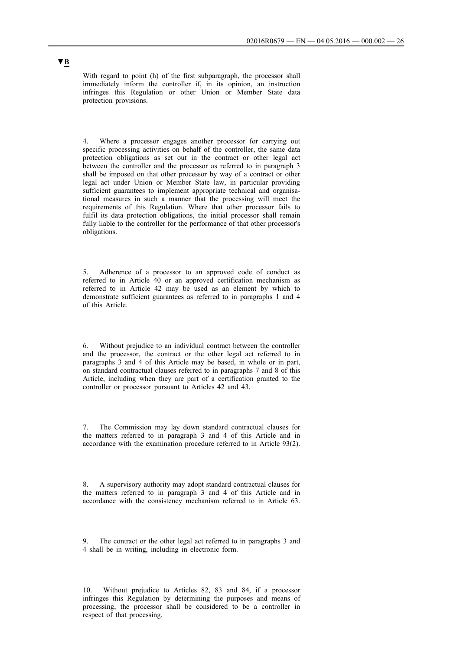With regard to point (h) of the first subparagraph, the processor shall immediately inform the controller if, in its opinion, an instruction infringes this Regulation or other Union or Member State data protection provisions.

Where a processor engages another processor for carrying out specific processing activities on behalf of the controller, the same data protection obligations as set out in the contract or other legal act between the controller and the processor as referred to in paragraph 3 shall be imposed on that other processor by way of a contract or other legal act under Union or Member State law, in particular providing sufficient guarantees to implement appropriate technical and organisational measures in such a manner that the processing will meet the requirements of this Regulation. Where that other processor fails to fulfil its data protection obligations, the initial processor shall remain fully liable to the controller for the performance of that other processor's obligations.

5. Adherence of a processor to an approved code of conduct as referred to in Article 40 or an approved certification mechanism as referred to in Article 42 may be used as an element by which to demonstrate sufficient guarantees as referred to in paragraphs 1 and 4 of this Article.

6. Without prejudice to an individual contract between the controller and the processor, the contract or the other legal act referred to in paragraphs 3 and 4 of this Article may be based, in whole or in part, on standard contractual clauses referred to in paragraphs 7 and 8 of this Article, including when they are part of a certification granted to the controller or processor pursuant to Articles 42 and 43.

7. The Commission may lay down standard contractual clauses for the matters referred to in paragraph 3 and 4 of this Article and in accordance with the examination procedure referred to in Article 93(2).

8. A supervisory authority may adopt standard contractual clauses for the matters referred to in paragraph 3 and 4 of this Article and in accordance with the consistency mechanism referred to in Article 63.

9. The contract or the other legal act referred to in paragraphs 3 and 4 shall be in writing, including in electronic form.

10. Without prejudice to Articles 82, 83 and 84, if a processor infringes this Regulation by determining the purposes and means of processing, the processor shall be considered to be a controller in respect of that processing.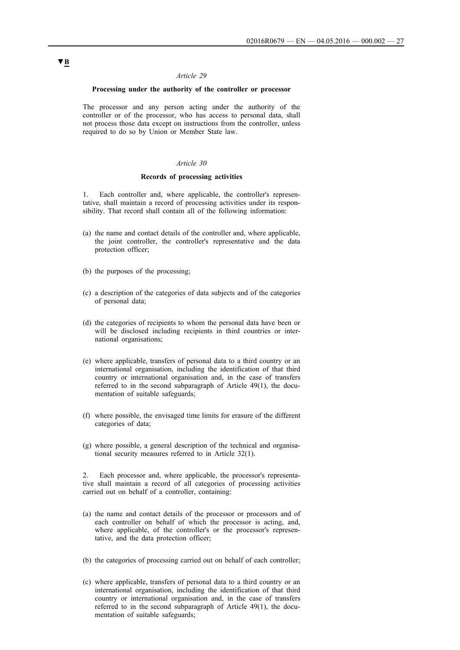### *Article 29*

## **Processing under the authority of the controller or processor**

The processor and any person acting under the authority of the controller or of the processor, who has access to personal data, shall not process those data except on instructions from the controller, unless required to do so by Union or Member State law.

#### *Article 30*

### **Records of processing activities**

1. Each controller and, where applicable, the controller's representative, shall maintain a record of processing activities under its responsibility. That record shall contain all of the following information:

- (a) the name and contact details of the controller and, where applicable, the joint controller, the controller's representative and the data protection officer;
- (b) the purposes of the processing;
- (c) a description of the categories of data subjects and of the categories of personal data;
- (d) the categories of recipients to whom the personal data have been or will be disclosed including recipients in third countries or international organisations;
- (e) where applicable, transfers of personal data to a third country or an international organisation, including the identification of that third country or international organisation and, in the case of transfers referred to in the second subparagraph of Article 49(1), the documentation of suitable safeguards;
- (f) where possible, the envisaged time limits for erasure of the different categories of data;
- (g) where possible, a general description of the technical and organisational security measures referred to in Article 32(1).

2. Each processor and, where applicable, the processor's representative shall maintain a record of all categories of processing activities carried out on behalf of a controller, containing:

- (a) the name and contact details of the processor or processors and of each controller on behalf of which the processor is acting, and, where applicable, of the controller's or the processor's representative, and the data protection officer;
- (b) the categories of processing carried out on behalf of each controller;
- (c) where applicable, transfers of personal data to a third country or an international organisation, including the identification of that third country or international organisation and, in the case of transfers referred to in the second subparagraph of Article 49(1), the documentation of suitable safeguards;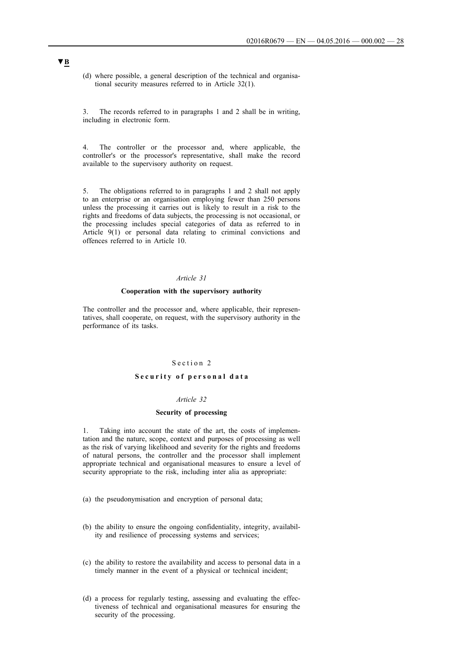(d) where possible, a general description of the technical and organisational security measures referred to in Article 32(1).

3. The records referred to in paragraphs 1 and 2 shall be in writing, including in electronic form.

4. The controller or the processor and, where applicable, the controller's or the processor's representative, shall make the record available to the supervisory authority on request.

5. The obligations referred to in paragraphs 1 and 2 shall not apply to an enterprise or an organisation employing fewer than 250 persons unless the processing it carries out is likely to result in a risk to the rights and freedoms of data subjects, the processing is not occasional, or the processing includes special categories of data as referred to in Article 9(1) or personal data relating to criminal convictions and offences referred to in Article 10.

## *Article 31*

## **Cooperation with the supervisory authority**

The controller and the processor and, where applicable, their representatives, shall cooperate, on request, with the supervisory authority in the performance of its tasks.

## Section 2 **S e c u r i t y o f p e r s o n a l d a t a**

#### *Article 32*

#### **Security of processing**

1. Taking into account the state of the art, the costs of implementation and the nature, scope, context and purposes of processing as well as the risk of varying likelihood and severity for the rights and freedoms of natural persons, the controller and the processor shall implement appropriate technical and organisational measures to ensure a level of security appropriate to the risk, including inter alia as appropriate:

- (a) the pseudonymisation and encryption of personal data;
- (b) the ability to ensure the ongoing confidentiality, integrity, availability and resilience of processing systems and services;
- (c) the ability to restore the availability and access to personal data in a timely manner in the event of a physical or technical incident;
- (d) a process for regularly testing, assessing and evaluating the effectiveness of technical and organisational measures for ensuring the security of the processing.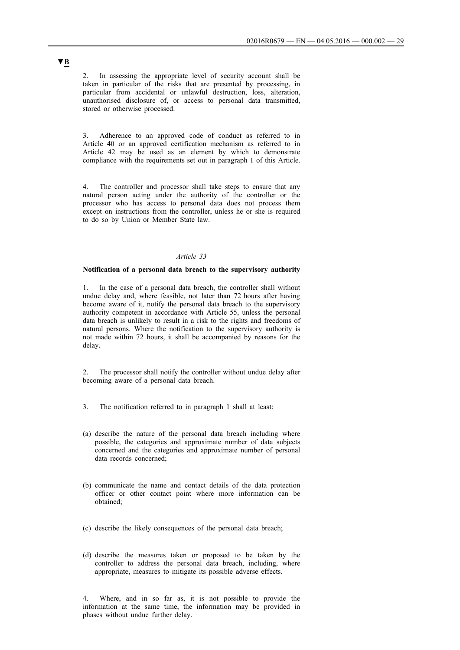2. In assessing the appropriate level of security account shall be taken in particular of the risks that are presented by processing, in particular from accidental or unlawful destruction, loss, alteration, unauthorised disclosure of, or access to personal data transmitted, stored or otherwise processed.

3. Adherence to an approved code of conduct as referred to in Article 40 or an approved certification mechanism as referred to in Article 42 may be used as an element by which to demonstrate compliance with the requirements set out in paragraph 1 of this Article.

4. The controller and processor shall take steps to ensure that any natural person acting under the authority of the controller or the processor who has access to personal data does not process them except on instructions from the controller, unless he or she is required to do so by Union or Member State law.

### *Article 33*

#### **Notification of a personal data breach to the supervisory authority**

1. In the case of a personal data breach, the controller shall without undue delay and, where feasible, not later than 72 hours after having become aware of it, notify the personal data breach to the supervisory authority competent in accordance with Article 55, unless the personal data breach is unlikely to result in a risk to the rights and freedoms of natural persons. Where the notification to the supervisory authority is not made within 72 hours, it shall be accompanied by reasons for the delay.

The processor shall notify the controller without undue delay after becoming aware of a personal data breach.

- 3. The notification referred to in paragraph 1 shall at least:
- (a) describe the nature of the personal data breach including where possible, the categories and approximate number of data subjects concerned and the categories and approximate number of personal data records concerned;
- (b) communicate the name and contact details of the data protection officer or other contact point where more information can be obtained;
- (c) describe the likely consequences of the personal data breach;
- (d) describe the measures taken or proposed to be taken by the controller to address the personal data breach, including, where appropriate, measures to mitigate its possible adverse effects.

4. Where, and in so far as, it is not possible to provide the information at the same time, the information may be provided in phases without undue further delay.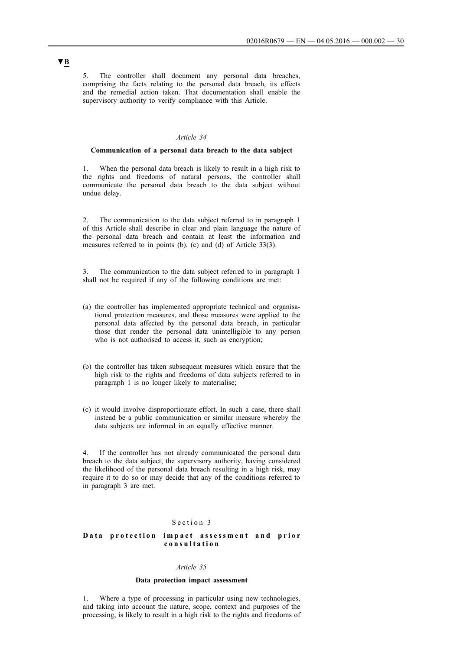5. The controller shall document any personal data breaches, comprising the facts relating to the personal data breach, its effects and the remedial action taken. That documentation shall enable the supervisory authority to verify compliance with this Article.

### *Article 34*

### **Communication of a personal data breach to the data subject**

1. When the personal data breach is likely to result in a high risk to the rights and freedoms of natural persons, the controller shall communicate the personal data breach to the data subject without undue delay.

2. The communication to the data subject referred to in paragraph 1 of this Article shall describe in clear and plain language the nature of the personal data breach and contain at least the information and measures referred to in points (b), (c) and (d) of Article 33(3).

3. The communication to the data subject referred to in paragraph 1 shall not be required if any of the following conditions are met:

- (a) the controller has implemented appropriate technical and organisational protection measures, and those measures were applied to the personal data affected by the personal data breach, in particular those that render the personal data unintelligible to any person who is not authorised to access it, such as encryption;
- (b) the controller has taken subsequent measures which ensure that the high risk to the rights and freedoms of data subjects referred to in paragraph 1 is no longer likely to materialise;
- (c) it would involve disproportionate effort. In such a case, there shall instead be a public communication or similar measure whereby the data subjects are informed in an equally effective manner.

4. If the controller has not already communicated the personal data breach to the data subject, the supervisory authority, having considered the likelihood of the personal data breach resulting in a high risk, may require it to do so or may decide that any of the conditions referred to in paragraph 3 are met.

### Section 3

### **Data protection impact assessment and prior c o n s u l t a t i o n**

#### *Article 35*

### **Data protection impact assessment**

1. Where a type of processing in particular using new technologies, and taking into account the nature, scope, context and purposes of the processing, is likely to result in a high risk to the rights and freedoms of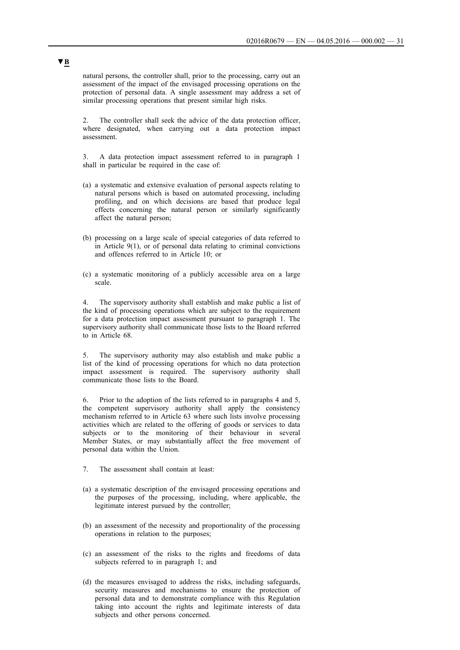natural persons, the controller shall, prior to the processing, carry out an assessment of the impact of the envisaged processing operations on the protection of personal data. A single assessment may address a set of similar processing operations that present similar high risks.

2. The controller shall seek the advice of the data protection officer, where designated, when carrying out a data protection impact assessment.

3. A data protection impact assessment referred to in paragraph 1 shall in particular be required in the case of:

- (a) a systematic and extensive evaluation of personal aspects relating to natural persons which is based on automated processing, including profiling, and on which decisions are based that produce legal effects concerning the natural person or similarly significantly affect the natural person;
- (b) processing on a large scale of special categories of data referred to in Article 9(1), or of personal data relating to criminal convictions and offences referred to in Article 10; or
- (c) a systematic monitoring of a publicly accessible area on a large scale.

4. The supervisory authority shall establish and make public a list of the kind of processing operations which are subject to the requirement for a data protection impact assessment pursuant to paragraph 1. The supervisory authority shall communicate those lists to the Board referred to in Article 68.

5. The supervisory authority may also establish and make public a list of the kind of processing operations for which no data protection impact assessment is required. The supervisory authority shall communicate those lists to the Board.

6. Prior to the adoption of the lists referred to in paragraphs 4 and 5, the competent supervisory authority shall apply the consistency mechanism referred to in Article 63 where such lists involve processing activities which are related to the offering of goods or services to data subjects or to the monitoring of their behaviour in several Member States, or may substantially affect the free movement of personal data within the Union.

- 7. The assessment shall contain at least:
- (a) a systematic description of the envisaged processing operations and the purposes of the processing, including, where applicable, the legitimate interest pursued by the controller;
- (b) an assessment of the necessity and proportionality of the processing operations in relation to the purposes;
- (c) an assessment of the risks to the rights and freedoms of data subjects referred to in paragraph 1; and
- (d) the measures envisaged to address the risks, including safeguards, security measures and mechanisms to ensure the protection of personal data and to demonstrate compliance with this Regulation taking into account the rights and legitimate interests of data subjects and other persons concerned.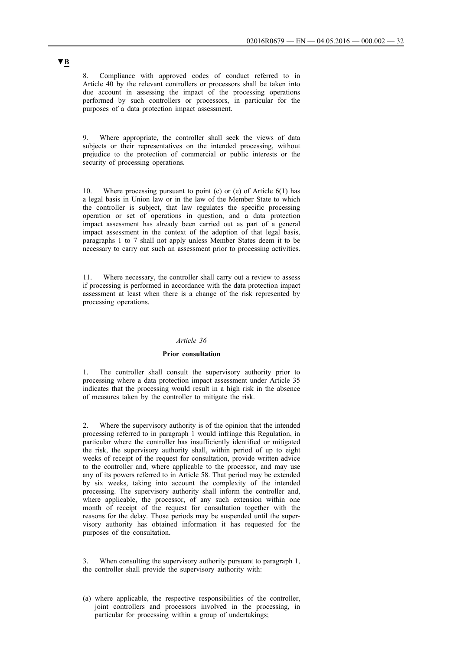8. Compliance with approved codes of conduct referred to in Article 40 by the relevant controllers or processors shall be taken into due account in assessing the impact of the processing operations performed by such controllers or processors, in particular for the purposes of a data protection impact assessment.

9. Where appropriate, the controller shall seek the views of data subjects or their representatives on the intended processing, without prejudice to the protection of commercial or public interests or the security of processing operations.

10. Where processing pursuant to point (c) or (e) of Article 6(1) has a legal basis in Union law or in the law of the Member State to which the controller is subject, that law regulates the specific processing operation or set of operations in question, and a data protection impact assessment has already been carried out as part of a general impact assessment in the context of the adoption of that legal basis, paragraphs 1 to 7 shall not apply unless Member States deem it to be necessary to carry out such an assessment prior to processing activities.

Where necessary, the controller shall carry out a review to assess if processing is performed in accordance with the data protection impact assessment at least when there is a change of the risk represented by processing operations.

### *Article 36*

### **Prior consultation**

1. The controller shall consult the supervisory authority prior to processing where a data protection impact assessment under Article 35 indicates that the processing would result in a high risk in the absence of measures taken by the controller to mitigate the risk.

2. Where the supervisory authority is of the opinion that the intended processing referred to in paragraph 1 would infringe this Regulation, in particular where the controller has insufficiently identified or mitigated the risk, the supervisory authority shall, within period of up to eight weeks of receipt of the request for consultation, provide written advice to the controller and, where applicable to the processor, and may use any of its powers referred to in Article 58. That period may be extended by six weeks, taking into account the complexity of the intended processing. The supervisory authority shall inform the controller and, where applicable, the processor, of any such extension within one month of receipt of the request for consultation together with the reasons for the delay. Those periods may be suspended until the supervisory authority has obtained information it has requested for the purposes of the consultation.

When consulting the supervisory authority pursuant to paragraph 1, the controller shall provide the supervisory authority with:

(a) where applicable, the respective responsibilities of the controller, joint controllers and processors involved in the processing, in particular for processing within a group of undertakings;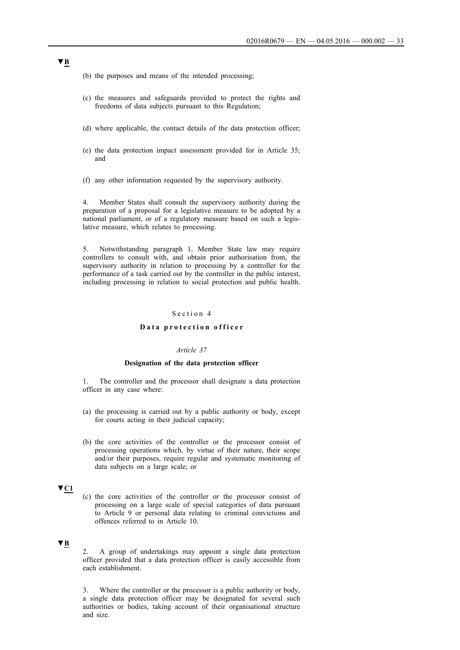- (b) the purposes and means of the intended processing;
- (c) the measures and safeguards provided to protect the rights and freedoms of data subjects pursuant to this Regulation;
- (d) where applicable, the contact details of the data protection officer;
- (e) the data protection impact assessment provided for in Article 35; and
- (f) any other information requested by the supervisory authority.

Member States shall consult the supervisory authority during the preparation of a proposal for a legislative measure to be adopted by a national parliament, or of a regulatory measure based on such a legislative measure, which relates to processing.

5. Notwithstanding paragraph 1, Member State law may require controllers to consult with, and obtain prior authorisation from, the supervisory authority in relation to processing by a controller for the performance of a task carried out by the controller in the public interest, including processing in relation to social protection and public health.

#### Section 4

#### **Data protection officer**

## *Article 37*

#### **Designation of the data protection officer**

1. The controller and the processor shall designate a data protection officer in any case where:

- (a) the processing is carried out by a public authority or body, except for courts acting in their judicial capacity;
- (b) the core activities of the controller or the processor consist of processing operations which, by virtue of their nature, their scope and/or their purposes, require regular and systematic monitoring of data subjects on a large scale; or

## **▼C1**

(c) the core activities of the controller or the processor consist of processing on a large scale of special categories of data pursuant to Article 9 or personal data relating to criminal convictions and offences referred to in Article 10.

## **▼B**

2. A group of undertakings may appoint a single data protection officer provided that a data protection officer is easily accessible from each establishment.

3. Where the controller or the processor is a public authority or body, a single data protection officer may be designated for several such authorities or bodies, taking account of their organisational structure and size.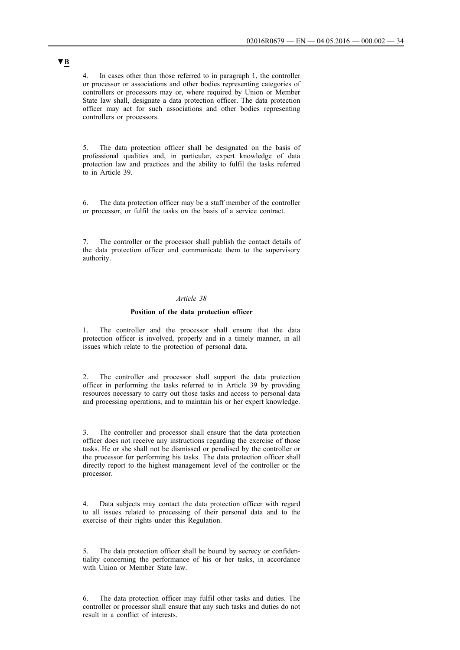4. In cases other than those referred to in paragraph 1, the controller or processor or associations and other bodies representing categories of controllers or processors may or, where required by Union or Member State law shall, designate a data protection officer. The data protection officer may act for such associations and other bodies representing controllers or processors.

5. The data protection officer shall be designated on the basis of professional qualities and, in particular, expert knowledge of data protection law and practices and the ability to fulfil the tasks referred to in Article 39.

6. The data protection officer may be a staff member of the controller or processor, or fulfil the tasks on the basis of a service contract.

The controller or the processor shall publish the contact details of the data protection officer and communicate them to the supervisory authority.

### *Article 38*

### **Position of the data protection officer**

1. The controller and the processor shall ensure that the data protection officer is involved, properly and in a timely manner, in all issues which relate to the protection of personal data.

2. The controller and processor shall support the data protection officer in performing the tasks referred to in Article 39 by providing resources necessary to carry out those tasks and access to personal data and processing operations, and to maintain his or her expert knowledge.

3. The controller and processor shall ensure that the data protection officer does not receive any instructions regarding the exercise of those tasks. He or she shall not be dismissed or penalised by the controller or the processor for performing his tasks. The data protection officer shall directly report to the highest management level of the controller or the processor.

4. Data subjects may contact the data protection officer with regard to all issues related to processing of their personal data and to the exercise of their rights under this Regulation.

5. The data protection officer shall be bound by secrecy or confidentiality concerning the performance of his or her tasks, in accordance with Union or Member State law.

6. The data protection officer may fulfil other tasks and duties. The controller or processor shall ensure that any such tasks and duties do not result in a conflict of interests.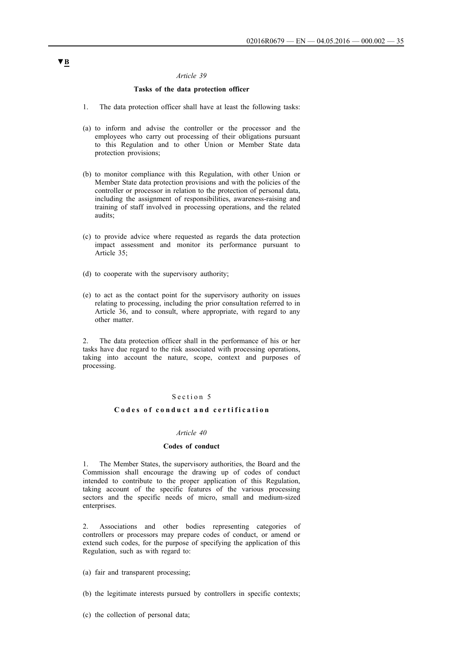## *Article 39*

### **Tasks of the data protection officer**

- 1. The data protection officer shall have at least the following tasks:
- (a) to inform and advise the controller or the processor and the employees who carry out processing of their obligations pursuant to this Regulation and to other Union or Member State data protection provisions;
- (b) to monitor compliance with this Regulation, with other Union or Member State data protection provisions and with the policies of the controller or processor in relation to the protection of personal data, including the assignment of responsibilities, awareness-raising and training of staff involved in processing operations, and the related audits;
- (c) to provide advice where requested as regards the data protection impact assessment and monitor its performance pursuant to Article 35;
- (d) to cooperate with the supervisory authority;
- (e) to act as the contact point for the supervisory authority on issues relating to processing, including the prior consultation referred to in Article 36, and to consult, where appropriate, with regard to any other matter.

2. The data protection officer shall in the performance of his or her tasks have due regard to the risk associated with processing operations, taking into account the nature, scope, context and purposes of processing.

## Section 5

## Codes of conduct and certification

#### *Article 40*

### **Codes of conduct**

1. The Member States, the supervisory authorities, the Board and the Commission shall encourage the drawing up of codes of conduct intended to contribute to the proper application of this Regulation, taking account of the specific features of the various processing sectors and the specific needs of micro, small and medium-sized enterprises.

2. Associations and other bodies representing categories of controllers or processors may prepare codes of conduct, or amend or extend such codes, for the purpose of specifying the application of this Regulation, such as with regard to:

(a) fair and transparent processing;

- (b) the legitimate interests pursued by controllers in specific contexts;
- (c) the collection of personal data;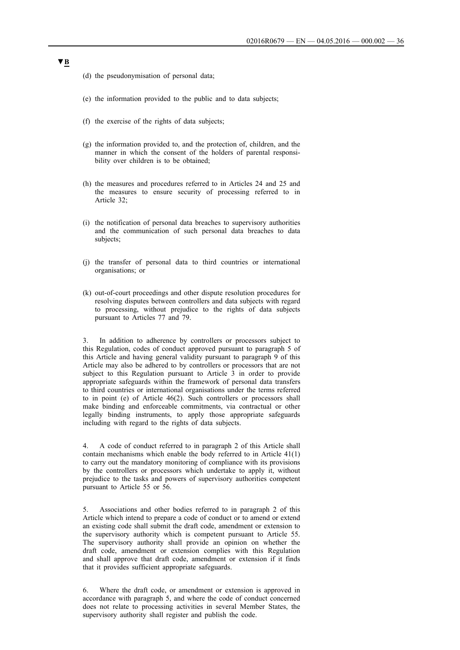- (d) the pseudonymisation of personal data;
- (e) the information provided to the public and to data subjects;
- (f) the exercise of the rights of data subjects;
- (g) the information provided to, and the protection of, children, and the manner in which the consent of the holders of parental responsibility over children is to be obtained;
- (h) the measures and procedures referred to in Articles 24 and 25 and the measures to ensure security of processing referred to in Article 32;
- (i) the notification of personal data breaches to supervisory authorities and the communication of such personal data breaches to data subjects;
- (j) the transfer of personal data to third countries or international organisations; or
- (k) out-of-court proceedings and other dispute resolution procedures for resolving disputes between controllers and data subjects with regard to processing, without prejudice to the rights of data subjects pursuant to Articles 77 and 79.

In addition to adherence by controllers or processors subject to this Regulation, codes of conduct approved pursuant to paragraph 5 of this Article and having general validity pursuant to paragraph 9 of this Article may also be adhered to by controllers or processors that are not subject to this Regulation pursuant to Article 3 in order to provide appropriate safeguards within the framework of personal data transfers to third countries or international organisations under the terms referred to in point (e) of Article 46(2). Such controllers or processors shall make binding and enforceable commitments, via contractual or other legally binding instruments, to apply those appropriate safeguards including with regard to the rights of data subjects.

4. A code of conduct referred to in paragraph 2 of this Article shall contain mechanisms which enable the body referred to in Article 41(1) to carry out the mandatory monitoring of compliance with its provisions by the controllers or processors which undertake to apply it, without prejudice to the tasks and powers of supervisory authorities competent pursuant to Article 55 or 56.

5. Associations and other bodies referred to in paragraph 2 of this Article which intend to prepare a code of conduct or to amend or extend an existing code shall submit the draft code, amendment or extension to the supervisory authority which is competent pursuant to Article 55. The supervisory authority shall provide an opinion on whether the draft code, amendment or extension complies with this Regulation and shall approve that draft code, amendment or extension if it finds that it provides sufficient appropriate safeguards.

6. Where the draft code, or amendment or extension is approved in accordance with paragraph 5, and where the code of conduct concerned does not relate to processing activities in several Member States, the supervisory authority shall register and publish the code.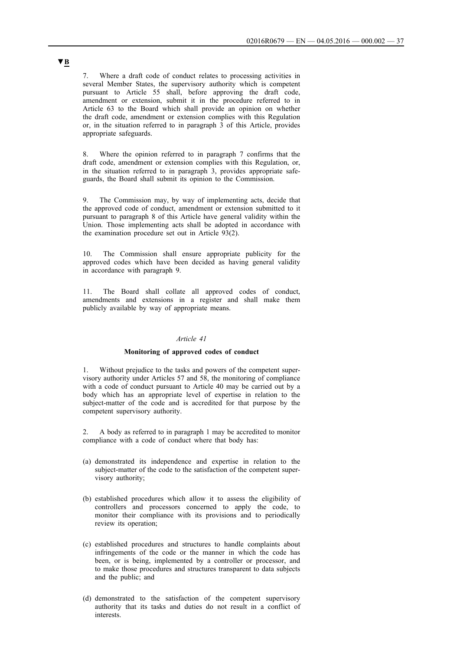7. Where a draft code of conduct relates to processing activities in several Member States, the supervisory authority which is competent pursuant to Article 55 shall, before approving the draft code, amendment or extension, submit it in the procedure referred to in Article 63 to the Board which shall provide an opinion on whether the draft code, amendment or extension complies with this Regulation or, in the situation referred to in paragraph 3 of this Article, provides appropriate safeguards.

8. Where the opinion referred to in paragraph 7 confirms that the draft code, amendment or extension complies with this Regulation, or, in the situation referred to in paragraph 3, provides appropriate safeguards, the Board shall submit its opinion to the Commission.

9. The Commission may, by way of implementing acts, decide that the approved code of conduct, amendment or extension submitted to it pursuant to paragraph 8 of this Article have general validity within the Union. Those implementing acts shall be adopted in accordance with the examination procedure set out in Article 93(2).

10. The Commission shall ensure appropriate publicity for the approved codes which have been decided as having general validity in accordance with paragraph 9.

11. The Board shall collate all approved codes of conduct, amendments and extensions in a register and shall make them publicly available by way of appropriate means.

## *Article 41*

### **Monitoring of approved codes of conduct**

1. Without prejudice to the tasks and powers of the competent supervisory authority under Articles 57 and 58, the monitoring of compliance with a code of conduct pursuant to Article 40 may be carried out by a body which has an appropriate level of expertise in relation to the subject-matter of the code and is accredited for that purpose by the competent supervisory authority.

2. A body as referred to in paragraph 1 may be accredited to monitor compliance with a code of conduct where that body has:

- (a) demonstrated its independence and expertise in relation to the subject-matter of the code to the satisfaction of the competent supervisory authority;
- (b) established procedures which allow it to assess the eligibility of controllers and processors concerned to apply the code, to monitor their compliance with its provisions and to periodically review its operation;
- (c) established procedures and structures to handle complaints about infringements of the code or the manner in which the code has been, or is being, implemented by a controller or processor, and to make those procedures and structures transparent to data subjects and the public; and
- (d) demonstrated to the satisfaction of the competent supervisory authority that its tasks and duties do not result in a conflict of interests.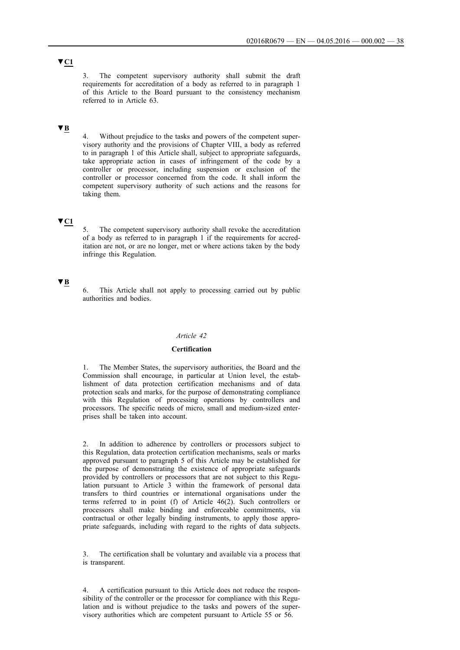# **▼C1**

3. The competent supervisory authority shall submit the draft requirements for accreditation of a body as referred to in paragraph 1 of this Article to the Board pursuant to the consistency mechanism referred to in Article 63.

# **▼B**

Without prejudice to the tasks and powers of the competent supervisory authority and the provisions of Chapter VIII, a body as referred to in paragraph 1 of this Article shall, subject to appropriate safeguards, take appropriate action in cases of infringement of the code by a controller or processor, including suspension or exclusion of the controller or processor concerned from the code. It shall inform the competent supervisory authority of such actions and the reasons for taking them.

# **▼C1**

5. The competent supervisory authority shall revoke the accreditation of a body as referred to in paragraph 1 if the requirements for accreditation are not, or are no longer, met or where actions taken by the body infringe this Regulation.

# **▼B**

6. This Article shall not apply to processing carried out by public authorities and bodies.

### *Article 42*

#### **Certification**

1. The Member States, the supervisory authorities, the Board and the Commission shall encourage, in particular at Union level, the establishment of data protection certification mechanisms and of data protection seals and marks, for the purpose of demonstrating compliance with this Regulation of processing operations by controllers and processors. The specific needs of micro, small and medium-sized enterprises shall be taken into account.

In addition to adherence by controllers or processors subject to this Regulation, data protection certification mechanisms, seals or marks approved pursuant to paragraph 5 of this Article may be established for the purpose of demonstrating the existence of appropriate safeguards provided by controllers or processors that are not subject to this Regulation pursuant to Article 3 within the framework of personal data transfers to third countries or international organisations under the terms referred to in point (f) of Article 46(2). Such controllers or processors shall make binding and enforceable commitments, via contractual or other legally binding instruments, to apply those appropriate safeguards, including with regard to the rights of data subjects.

3. The certification shall be voluntary and available via a process that is transparent.

4. A certification pursuant to this Article does not reduce the responsibility of the controller or the processor for compliance with this Regulation and is without prejudice to the tasks and powers of the supervisory authorities which are competent pursuant to Article 55 or 56.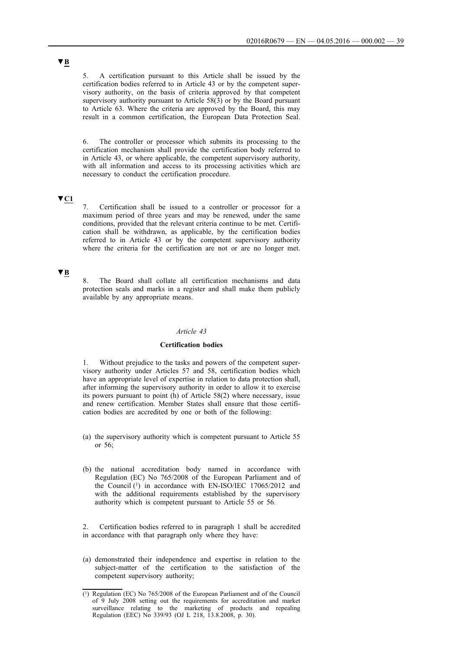5. A certification pursuant to this Article shall be issued by the certification bodies referred to in Article 43 or by the competent supervisory authority, on the basis of criteria approved by that competent supervisory authority pursuant to Article  $58(3)$  or by the Board pursuant to Article 63. Where the criteria are approved by the Board, this may result in a common certification, the European Data Protection Seal.

6. The controller or processor which submits its processing to the certification mechanism shall provide the certification body referred to in Article 43, or where applicable, the competent supervisory authority, with all information and access to its processing activities which are necessary to conduct the certification procedure.

# **▼C1**

7. Certification shall be issued to a controller or processor for a maximum period of three years and may be renewed, under the same conditions, provided that the relevant criteria continue to be met. Certification shall be withdrawn, as applicable, by the certification bodies referred to in Article 43 or by the competent supervisory authority where the criteria for the certification are not or are no longer met.

# **▼B**

8. The Board shall collate all certification mechanisms and data protection seals and marks in a register and shall make them publicly available by any appropriate means.

### *Article 43*

### **Certification bodies**

1. Without prejudice to the tasks and powers of the competent supervisory authority under Articles 57 and 58, certification bodies which have an appropriate level of expertise in relation to data protection shall, after informing the supervisory authority in order to allow it to exercise its powers pursuant to point (h) of Article 58(2) where necessary, issue and renew certification. Member States shall ensure that those certification bodies are accredited by one or both of the following:

- (a) the supervisory authority which is competent pursuant to Article 55 or 56;
- (b) the national accreditation body named in accordance with Regulation (EC) No 765/2008 of the European Parliament and of the Council  $(1)$  in accordance with EN-ISO/IEC 17065/2012 and with the additional requirements established by the supervisory authority which is competent pursuant to Article 55 or 56.

2. Certification bodies referred to in paragraph 1 shall be accredited in accordance with that paragraph only where they have:

(a) demonstrated their independence and expertise in relation to the subject-matter of the certification to the satisfaction of the competent supervisory authority;

<sup>(1)</sup> Regulation (EC) No 765/2008 of the European Parliament and of the Council of 9 July 2008 setting out the requirements for accreditation and market surveillance relating to the marketing of products and repealing Regulation (EEC) No 339/93 (OJ L 218, 13.8.2008, p. 30).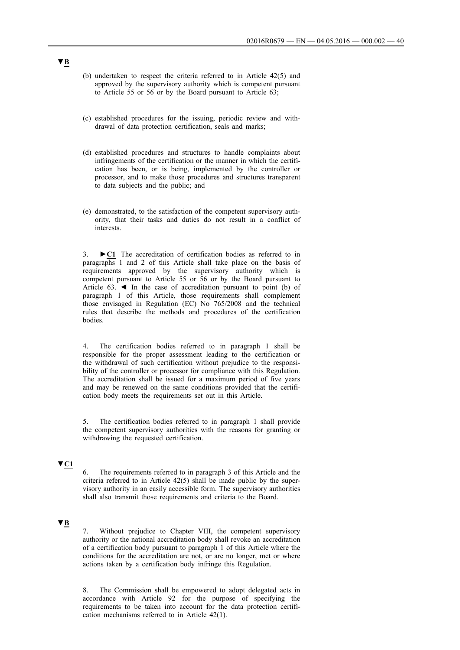- (b) undertaken to respect the criteria referred to in Article 42(5) and approved by the supervisory authority which is competent pursuant to Article 55 or 56 or by the Board pursuant to Article 63;
- (c) established procedures for the issuing, periodic review and withdrawal of data protection certification, seals and marks;
- (d) established procedures and structures to handle complaints about infringements of the certification or the manner in which the certification has been, or is being, implemented by the controller or processor, and to make those procedures and structures transparent to data subjects and the public; and
- (e) demonstrated, to the satisfaction of the competent supervisory authority, that their tasks and duties do not result in a conflict of interests.

3. **►C1** The accreditation of certification bodies as referred to in paragraphs 1 and 2 of this Article shall take place on the basis of requirements approved by the supervisory authority which is competent pursuant to Article 55 or 56 or by the Board pursuant to Article 63.  $\blacktriangleleft$  In the case of accreditation pursuant to point (b) of paragraph 1 of this Article, those requirements shall complement those envisaged in Regulation (EC) No 765/2008 and the technical rules that describe the methods and procedures of the certification **bodies** 

4. The certification bodies referred to in paragraph 1 shall be responsible for the proper assessment leading to the certification or the withdrawal of such certification without prejudice to the responsibility of the controller or processor for compliance with this Regulation. The accreditation shall be issued for a maximum period of five years and may be renewed on the same conditions provided that the certification body meets the requirements set out in this Article.

5. The certification bodies referred to in paragraph 1 shall provide the competent supervisory authorities with the reasons for granting or withdrawing the requested certification.

# **▼C1**

The requirements referred to in paragraph 3 of this Article and the criteria referred to in Article 42(5) shall be made public by the supervisory authority in an easily accessible form. The supervisory authorities shall also transmit those requirements and criteria to the Board.

# **▼B**

7. Without prejudice to Chapter VIII, the competent supervisory authority or the national accreditation body shall revoke an accreditation of a certification body pursuant to paragraph 1 of this Article where the conditions for the accreditation are not, or are no longer, met or where actions taken by a certification body infringe this Regulation.

8. The Commission shall be empowered to adopt delegated acts in accordance with Article 92 for the purpose of specifying the requirements to be taken into account for the data protection certification mechanisms referred to in Article 42(1).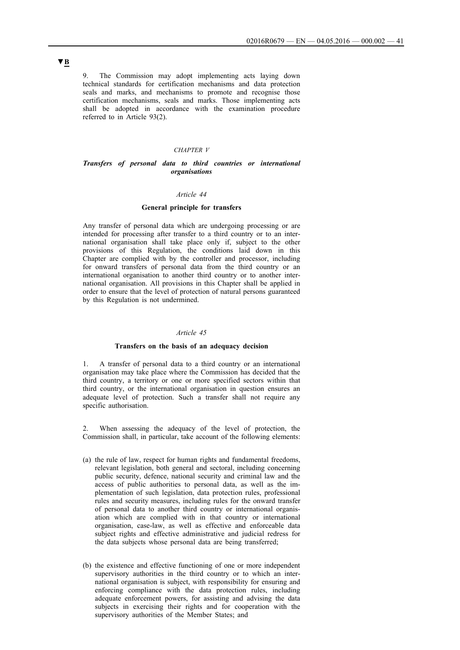9. The Commission may adopt implementing acts laying down technical standards for certification mechanisms and data protection seals and marks, and mechanisms to promote and recognise those certification mechanisms, seals and marks. Those implementing acts shall be adopted in accordance with the examination procedure referred to in Article 93(2).

#### *CHAPTER V*

## *Transfers of personal data to third countries or international organisations*

#### *Article 44*

## **General principle for transfers**

Any transfer of personal data which are undergoing processing or are intended for processing after transfer to a third country or to an international organisation shall take place only if, subject to the other provisions of this Regulation, the conditions laid down in this Chapter are complied with by the controller and processor, including for onward transfers of personal data from the third country or an international organisation to another third country or to another international organisation. All provisions in this Chapter shall be applied in order to ensure that the level of protection of natural persons guaranteed by this Regulation is not undermined.

# *Article 45*

#### **Transfers on the basis of an adequacy decision**

1. A transfer of personal data to a third country or an international organisation may take place where the Commission has decided that the third country, a territory or one or more specified sectors within that third country, or the international organisation in question ensures an adequate level of protection. Such a transfer shall not require any specific authorisation.

When assessing the adequacy of the level of protection, the Commission shall, in particular, take account of the following elements:

- (a) the rule of law, respect for human rights and fundamental freedoms, relevant legislation, both general and sectoral, including concerning public security, defence, national security and criminal law and the access of public authorities to personal data, as well as the implementation of such legislation, data protection rules, professional rules and security measures, including rules for the onward transfer of personal data to another third country or international organisation which are complied with in that country or international organisation, case-law, as well as effective and enforceable data subject rights and effective administrative and judicial redress for the data subjects whose personal data are being transferred;
- (b) the existence and effective functioning of one or more independent supervisory authorities in the third country or to which an international organisation is subject, with responsibility for ensuring and enforcing compliance with the data protection rules, including adequate enforcement powers, for assisting and advising the data subjects in exercising their rights and for cooperation with the supervisory authorities of the Member States; and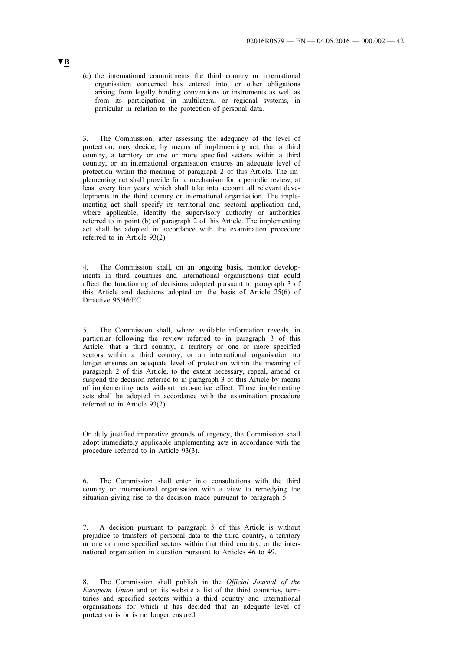(c) the international commitments the third country or international organisation concerned has entered into, or other obligations arising from legally binding conventions or instruments as well as from its participation in multilateral or regional systems, in particular in relation to the protection of personal data.

3. The Commission, after assessing the adequacy of the level of protection, may decide, by means of implementing act, that a third country, a territory or one or more specified sectors within a third country, or an international organisation ensures an adequate level of protection within the meaning of paragraph 2 of this Article. The implementing act shall provide for a mechanism for a periodic review, at least every four years, which shall take into account all relevant developments in the third country or international organisation. The implementing act shall specify its territorial and sectoral application and, where applicable, identify the supervisory authority or authorities referred to in point (b) of paragraph 2 of this Article. The implementing act shall be adopted in accordance with the examination procedure referred to in Article 93(2).

4. The Commission shall, on an ongoing basis, monitor developments in third countries and international organisations that could affect the functioning of decisions adopted pursuant to paragraph 3 of this Article and decisions adopted on the basis of Article 25(6) of Directive 95/46/EC.

5. The Commission shall, where available information reveals, in particular following the review referred to in paragraph 3 of this Article, that a third country, a territory or one or more specified sectors within a third country, or an international organisation no longer ensures an adequate level of protection within the meaning of paragraph 2 of this Article, to the extent necessary, repeal, amend or suspend the decision referred to in paragraph 3 of this Article by means of implementing acts without retro-active effect. Those implementing acts shall be adopted in accordance with the examination procedure referred to in Article 93(2).

On duly justified imperative grounds of urgency, the Commission shall adopt immediately applicable implementing acts in accordance with the procedure referred to in Article 93(3).

6. The Commission shall enter into consultations with the third country or international organisation with a view to remedying the situation giving rise to the decision made pursuant to paragraph 5.

7. A decision pursuant to paragraph 5 of this Article is without prejudice to transfers of personal data to the third country, a territory or one or more specified sectors within that third country, or the international organisation in question pursuant to Articles 46 to 49.

8. The Commission shall publish in the *Official Journal of the European Union* and on its website a list of the third countries, territories and specified sectors within a third country and international organisations for which it has decided that an adequate level of protection is or is no longer ensured.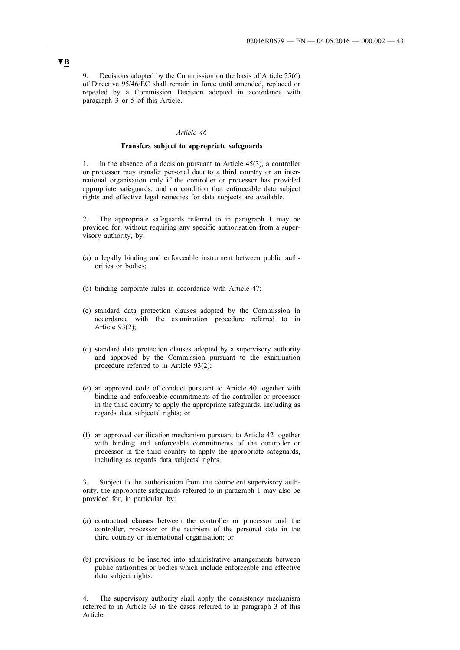Decisions adopted by the Commission on the basis of Article 25(6) of Directive 95/46/EC shall remain in force until amended, replaced or repealed by a Commission Decision adopted in accordance with paragraph 3 or 5 of this Article.

#### *Article 46*

#### **Transfers subject to appropriate safeguards**

1. In the absence of a decision pursuant to Article 45(3), a controller or processor may transfer personal data to a third country or an international organisation only if the controller or processor has provided appropriate safeguards, and on condition that enforceable data subject rights and effective legal remedies for data subjects are available.

2. The appropriate safeguards referred to in paragraph 1 may be provided for, without requiring any specific authorisation from a supervisory authority, by:

- (a) a legally binding and enforceable instrument between public authorities or bodies;
- (b) binding corporate rules in accordance with Article 47;
- (c) standard data protection clauses adopted by the Commission in accordance with the examination procedure referred to in Article 93(2);
- (d) standard data protection clauses adopted by a supervisory authority and approved by the Commission pursuant to the examination procedure referred to in Article 93(2);
- (e) an approved code of conduct pursuant to Article 40 together with binding and enforceable commitments of the controller or processor in the third country to apply the appropriate safeguards, including as regards data subjects' rights; or
- (f) an approved certification mechanism pursuant to Article 42 together with binding and enforceable commitments of the controller or processor in the third country to apply the appropriate safeguards, including as regards data subjects' rights.

3. Subject to the authorisation from the competent supervisory authority, the appropriate safeguards referred to in paragraph 1 may also be provided for, in particular, by:

- (a) contractual clauses between the controller or processor and the controller, processor or the recipient of the personal data in the third country or international organisation; or
- (b) provisions to be inserted into administrative arrangements between public authorities or bodies which include enforceable and effective data subject rights.

4. The supervisory authority shall apply the consistency mechanism referred to in Article 63 in the cases referred to in paragraph 3 of this Article.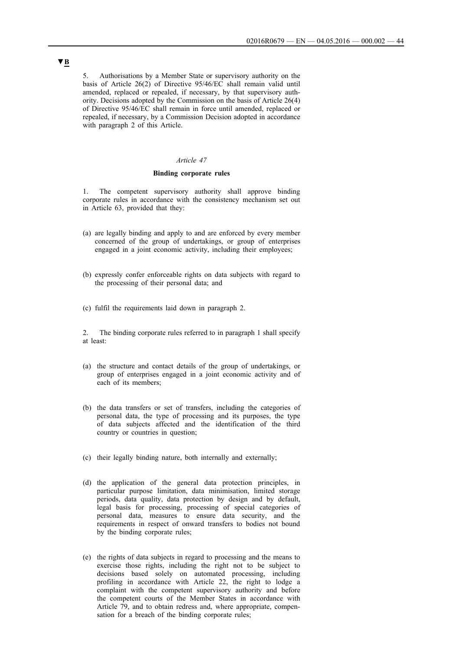5. Authorisations by a Member State or supervisory authority on the basis of Article 26(2) of Directive 95/46/EC shall remain valid until amended, replaced or repealed, if necessary, by that supervisory authority. Decisions adopted by the Commission on the basis of Article 26(4) of Directive 95/46/EC shall remain in force until amended, replaced or repealed, if necessary, by a Commission Decision adopted in accordance with paragraph 2 of this Article.

### *Article 47*

### **Binding corporate rules**

1. The competent supervisory authority shall approve binding corporate rules in accordance with the consistency mechanism set out in Article 63, provided that they:

- (a) are legally binding and apply to and are enforced by every member concerned of the group of undertakings, or group of enterprises engaged in a joint economic activity, including their employees;
- (b) expressly confer enforceable rights on data subjects with regard to the processing of their personal data; and
- (c) fulfil the requirements laid down in paragraph 2.

2. The binding corporate rules referred to in paragraph 1 shall specify at least:

- (a) the structure and contact details of the group of undertakings, or group of enterprises engaged in a joint economic activity and of each of its members;
- (b) the data transfers or set of transfers, including the categories of personal data, the type of processing and its purposes, the type of data subjects affected and the identification of the third country or countries in question;
- (c) their legally binding nature, both internally and externally;
- (d) the application of the general data protection principles, in particular purpose limitation, data minimisation, limited storage periods, data quality, data protection by design and by default, legal basis for processing, processing of special categories of personal data, measures to ensure data security, and the requirements in respect of onward transfers to bodies not bound by the binding corporate rules;
- (e) the rights of data subjects in regard to processing and the means to exercise those rights, including the right not to be subject to decisions based solely on automated processing, including profiling in accordance with Article 22, the right to lodge a complaint with the competent supervisory authority and before the competent courts of the Member States in accordance with Article 79, and to obtain redress and, where appropriate, compensation for a breach of the binding corporate rules;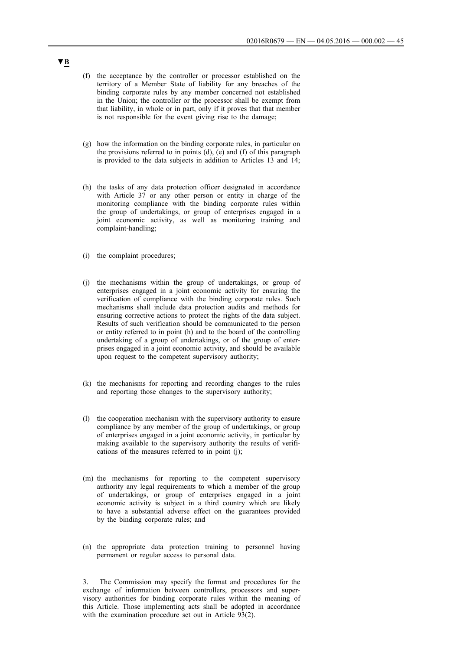- (f) the acceptance by the controller or processor established on the territory of a Member State of liability for any breaches of the binding corporate rules by any member concerned not established in the Union; the controller or the processor shall be exempt from that liability, in whole or in part, only if it proves that that member is not responsible for the event giving rise to the damage;
- (g) how the information on the binding corporate rules, in particular on the provisions referred to in points  $(d)$ ,  $(e)$  and  $(f)$  of this paragraph is provided to the data subjects in addition to Articles 13 and 14;
- (h) the tasks of any data protection officer designated in accordance with Article 37 or any other person or entity in charge of the monitoring compliance with the binding corporate rules within the group of undertakings, or group of enterprises engaged in a joint economic activity, as well as monitoring training and complaint-handling;
- (i) the complaint procedures;
- (j) the mechanisms within the group of undertakings, or group of enterprises engaged in a joint economic activity for ensuring the verification of compliance with the binding corporate rules. Such mechanisms shall include data protection audits and methods for ensuring corrective actions to protect the rights of the data subject. Results of such verification should be communicated to the person or entity referred to in point (h) and to the board of the controlling undertaking of a group of undertakings, or of the group of enterprises engaged in a joint economic activity, and should be available upon request to the competent supervisory authority;
- (k) the mechanisms for reporting and recording changes to the rules and reporting those changes to the supervisory authority;
- (l) the cooperation mechanism with the supervisory authority to ensure compliance by any member of the group of undertakings, or group of enterprises engaged in a joint economic activity, in particular by making available to the supervisory authority the results of verifications of the measures referred to in point (j);
- (m) the mechanisms for reporting to the competent supervisory authority any legal requirements to which a member of the group of undertakings, or group of enterprises engaged in a joint economic activity is subject in a third country which are likely to have a substantial adverse effect on the guarantees provided by the binding corporate rules; and
- (n) the appropriate data protection training to personnel having permanent or regular access to personal data.

3. The Commission may specify the format and procedures for the exchange of information between controllers, processors and supervisory authorities for binding corporate rules within the meaning of this Article. Those implementing acts shall be adopted in accordance with the examination procedure set out in Article 93(2).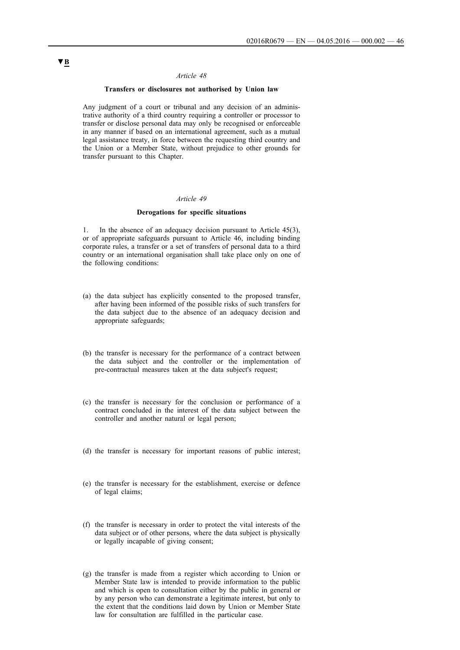#### *Article 48*

#### **Transfers or disclosures not authorised by Union law**

Any judgment of a court or tribunal and any decision of an administrative authority of a third country requiring a controller or processor to transfer or disclose personal data may only be recognised or enforceable in any manner if based on an international agreement, such as a mutual legal assistance treaty, in force between the requesting third country and the Union or a Member State, without prejudice to other grounds for transfer pursuant to this Chapter.

# *Article 49*

## **Derogations for specific situations**

1. In the absence of an adequacy decision pursuant to Article 45(3), or of appropriate safeguards pursuant to Article 46, including binding corporate rules, a transfer or a set of transfers of personal data to a third country or an international organisation shall take place only on one of the following conditions:

- (a) the data subject has explicitly consented to the proposed transfer, after having been informed of the possible risks of such transfers for the data subject due to the absence of an adequacy decision and appropriate safeguards;
- (b) the transfer is necessary for the performance of a contract between the data subject and the controller or the implementation of pre-contractual measures taken at the data subject's request;
- (c) the transfer is necessary for the conclusion or performance of a contract concluded in the interest of the data subject between the controller and another natural or legal person;
- (d) the transfer is necessary for important reasons of public interest;
- (e) the transfer is necessary for the establishment, exercise or defence of legal claims;
- (f) the transfer is necessary in order to protect the vital interests of the data subject or of other persons, where the data subject is physically or legally incapable of giving consent;
- (g) the transfer is made from a register which according to Union or Member State law is intended to provide information to the public and which is open to consultation either by the public in general or by any person who can demonstrate a legitimate interest, but only to the extent that the conditions laid down by Union or Member State law for consultation are fulfilled in the particular case.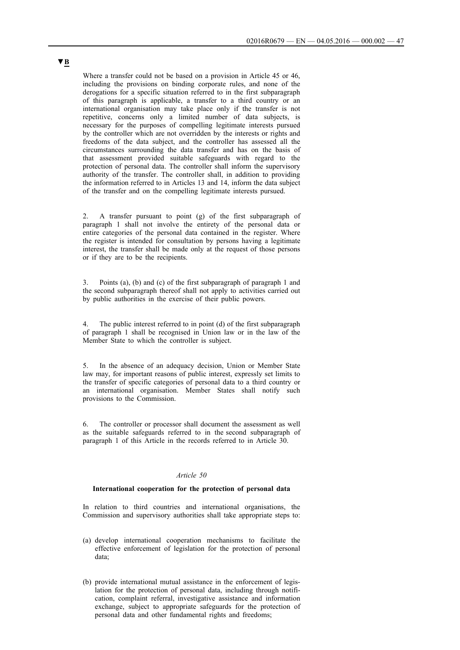Where a transfer could not be based on a provision in Article 45 or 46, including the provisions on binding corporate rules, and none of the derogations for a specific situation referred to in the first subparagraph of this paragraph is applicable, a transfer to a third country or an international organisation may take place only if the transfer is not repetitive, concerns only a limited number of data subjects, is necessary for the purposes of compelling legitimate interests pursued by the controller which are not overridden by the interests or rights and freedoms of the data subject, and the controller has assessed all the circumstances surrounding the data transfer and has on the basis of that assessment provided suitable safeguards with regard to the protection of personal data. The controller shall inform the supervisory authority of the transfer. The controller shall, in addition to providing the information referred to in Articles 13 and 14, inform the data subject of the transfer and on the compelling legitimate interests pursued.

2. A transfer pursuant to point (g) of the first subparagraph of paragraph 1 shall not involve the entirety of the personal data or entire categories of the personal data contained in the register. Where the register is intended for consultation by persons having a legitimate interest, the transfer shall be made only at the request of those persons or if they are to be the recipients.

3. Points (a), (b) and (c) of the first subparagraph of paragraph 1 and the second subparagraph thereof shall not apply to activities carried out by public authorities in the exercise of their public powers.

The public interest referred to in point (d) of the first subparagraph of paragraph 1 shall be recognised in Union law or in the law of the Member State to which the controller is subject.

5. In the absence of an adequacy decision, Union or Member State law may, for important reasons of public interest, expressly set limits to the transfer of specific categories of personal data to a third country or an international organisation. Member States shall notify such provisions to the Commission.

6. The controller or processor shall document the assessment as well as the suitable safeguards referred to in the second subparagraph of paragraph 1 of this Article in the records referred to in Article 30.

### *Article 50*

#### **International cooperation for the protection of personal data**

In relation to third countries and international organisations, the Commission and supervisory authorities shall take appropriate steps to:

- (a) develop international cooperation mechanisms to facilitate the effective enforcement of legislation for the protection of personal data;
- (b) provide international mutual assistance in the enforcement of legislation for the protection of personal data, including through notification, complaint referral, investigative assistance and information exchange, subject to appropriate safeguards for the protection of personal data and other fundamental rights and freedoms;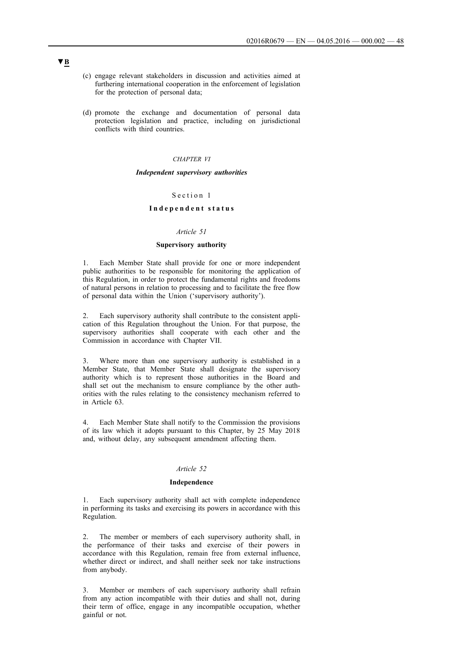- (c) engage relevant stakeholders in discussion and activities aimed at furthering international cooperation in the enforcement of legislation for the protection of personal data;
- (d) promote the exchange and documentation of personal data protection legislation and practice, including on jurisdictional conflicts with third countries.

## *CHAPTER VI*

## *Independent supervisory authorities*

## Section 1

# **I n d e p e n d e n t s t a t u s**

### *Article 51*

## **Supervisory authority**

1. Each Member State shall provide for one or more independent public authorities to be responsible for monitoring the application of this Regulation, in order to protect the fundamental rights and freedoms of natural persons in relation to processing and to facilitate the free flow of personal data within the Union ('supervisory authority').

Each supervisory authority shall contribute to the consistent application of this Regulation throughout the Union. For that purpose, the supervisory authorities shall cooperate with each other and the Commission in accordance with Chapter VII.

3. Where more than one supervisory authority is established in a Member State, that Member State shall designate the supervisory authority which is to represent those authorities in the Board and shall set out the mechanism to ensure compliance by the other authorities with the rules relating to the consistency mechanism referred to in Article 63.

4. Each Member State shall notify to the Commission the provisions of its law which it adopts pursuant to this Chapter, by 25 May 2018 and, without delay, any subsequent amendment affecting them.

# *Article 52*

### **Independence**

Each supervisory authority shall act with complete independence in performing its tasks and exercising its powers in accordance with this Regulation.

The member or members of each supervisory authority shall, in the performance of their tasks and exercise of their powers in accordance with this Regulation, remain free from external influence, whether direct or indirect, and shall neither seek nor take instructions from anybody.

3. Member or members of each supervisory authority shall refrain from any action incompatible with their duties and shall not, during their term of office, engage in any incompatible occupation, whether gainful or not.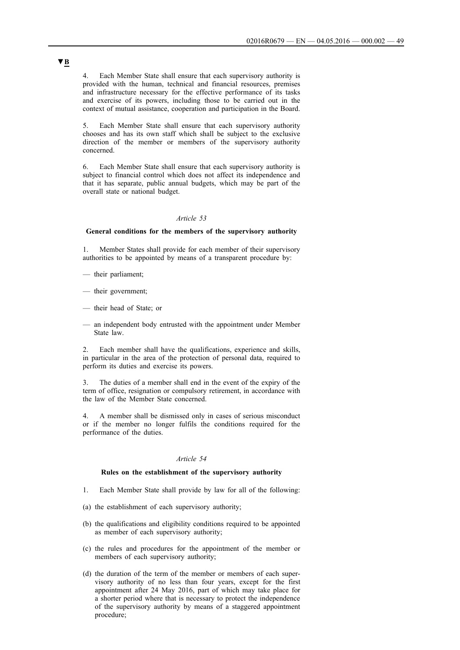4. Each Member State shall ensure that each supervisory authority is provided with the human, technical and financial resources, premises and infrastructure necessary for the effective performance of its tasks and exercise of its powers, including those to be carried out in the context of mutual assistance, cooperation and participation in the Board.

5. Each Member State shall ensure that each supervisory authority chooses and has its own staff which shall be subject to the exclusive direction of the member or members of the supervisory authority concerned.

6. Each Member State shall ensure that each supervisory authority is subject to financial control which does not affect its independence and that it has separate, public annual budgets, which may be part of the overall state or national budget.

# *Article 53*

## **General conditions for the members of the supervisory authority**

1. Member States shall provide for each member of their supervisory authorities to be appointed by means of a transparent procedure by:

- their parliament;
- their government;
- their head of State; or
- an independent body entrusted with the appointment under Member State law.

2. Each member shall have the qualifications, experience and skills, in particular in the area of the protection of personal data, required to perform its duties and exercise its powers.

3. The duties of a member shall end in the event of the expiry of the term of office, resignation or compulsory retirement, in accordance with the law of the Member State concerned.

4. A member shall be dismissed only in cases of serious misconduct or if the member no longer fulfils the conditions required for the performance of the duties.

#### *Article 54*

## **Rules on the establishment of the supervisory authority**

- 1. Each Member State shall provide by law for all of the following:
- (a) the establishment of each supervisory authority;
- (b) the qualifications and eligibility conditions required to be appointed as member of each supervisory authority;
- (c) the rules and procedures for the appointment of the member or members of each supervisory authority;
- (d) the duration of the term of the member or members of each supervisory authority of no less than four years, except for the first appointment after 24 May 2016, part of which may take place for a shorter period where that is necessary to protect the independence of the supervisory authority by means of a staggered appointment procedure;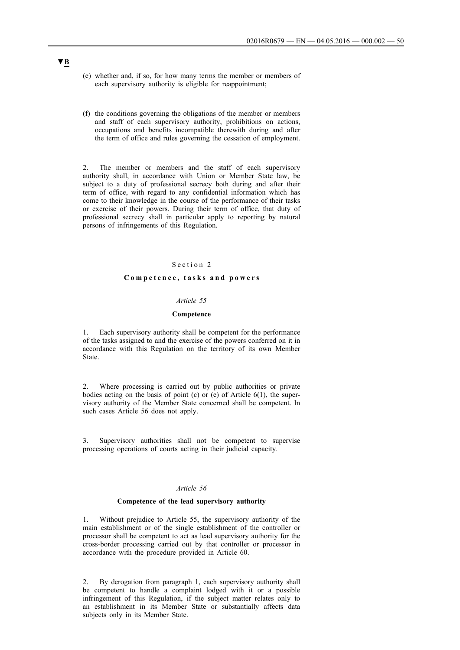- (e) whether and, if so, for how many terms the member or members of each supervisory authority is eligible for reappointment;
- (f) the conditions governing the obligations of the member or members and staff of each supervisory authority, prohibitions on actions, occupations and benefits incompatible therewith during and after the term of office and rules governing the cessation of employment.

2. The member or members and the staff of each supervisory authority shall, in accordance with Union or Member State law, be subject to a duty of professional secrecy both during and after their term of office, with regard to any confidential information which has come to their knowledge in the course of the performance of their tasks or exercise of their powers. During their term of office, that duty of professional secrecy shall in particular apply to reporting by natural persons of infringements of this Regulation.

# Section 2

# **C o m p e t e n c e , t a s k s a n d p o w e r s**

### *Article 55*

### **Competence**

1. Each supervisory authority shall be competent for the performance of the tasks assigned to and the exercise of the powers conferred on it in accordance with this Regulation on the territory of its own Member State.

2. Where processing is carried out by public authorities or private bodies acting on the basis of point (c) or  $(e)$  of Article 6(1), the supervisory authority of the Member State concerned shall be competent. In such cases Article 56 does not apply.

3. Supervisory authorities shall not be competent to supervise processing operations of courts acting in their judicial capacity.

# *Article 56*

## **Competence of the lead supervisory authority**

1. Without prejudice to Article 55, the supervisory authority of the main establishment or of the single establishment of the controller or processor shall be competent to act as lead supervisory authority for the cross-border processing carried out by that controller or processor in accordance with the procedure provided in Article 60.

2. By derogation from paragraph 1, each supervisory authority shall be competent to handle a complaint lodged with it or a possible infringement of this Regulation, if the subject matter relates only to an establishment in its Member State or substantially affects data subjects only in its Member State.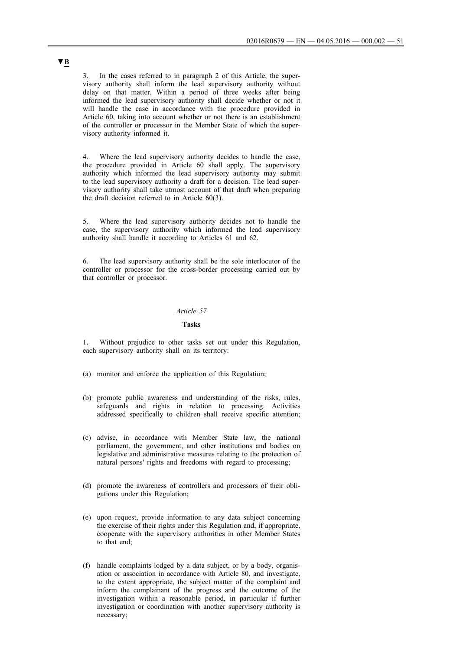3. In the cases referred to in paragraph 2 of this Article, the supervisory authority shall inform the lead supervisory authority without delay on that matter. Within a period of three weeks after being informed the lead supervisory authority shall decide whether or not it will handle the case in accordance with the procedure provided in Article 60, taking into account whether or not there is an establishment of the controller or processor in the Member State of which the supervisory authority informed it.

4. Where the lead supervisory authority decides to handle the case, the procedure provided in Article 60 shall apply. The supervisory authority which informed the lead supervisory authority may submit to the lead supervisory authority a draft for a decision. The lead supervisory authority shall take utmost account of that draft when preparing the draft decision referred to in Article 60(3).

5. Where the lead supervisory authority decides not to handle the case, the supervisory authority which informed the lead supervisory authority shall handle it according to Articles 61 and 62.

6. The lead supervisory authority shall be the sole interlocutor of the controller or processor for the cross-border processing carried out by that controller or processor.

# *Article 57*

### **Tasks**

1. Without prejudice to other tasks set out under this Regulation, each supervisory authority shall on its territory:

- (a) monitor and enforce the application of this Regulation;
- (b) promote public awareness and understanding of the risks, rules, safeguards and rights in relation to processing. Activities addressed specifically to children shall receive specific attention;
- (c) advise, in accordance with Member State law, the national parliament, the government, and other institutions and bodies on legislative and administrative measures relating to the protection of natural persons' rights and freedoms with regard to processing;
- (d) promote the awareness of controllers and processors of their obligations under this Regulation;
- (e) upon request, provide information to any data subject concerning the exercise of their rights under this Regulation and, if appropriate, cooperate with the supervisory authorities in other Member States to that end;
- (f) handle complaints lodged by a data subject, or by a body, organisation or association in accordance with Article 80, and investigate, to the extent appropriate, the subject matter of the complaint and inform the complainant of the progress and the outcome of the investigation within a reasonable period, in particular if further investigation or coordination with another supervisory authority is necessary;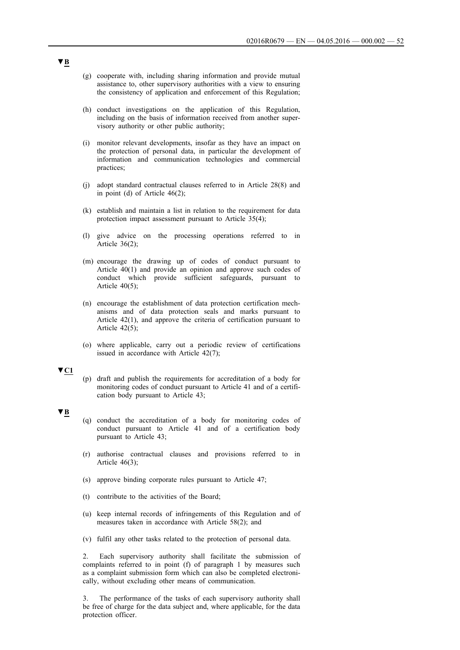- (g) cooperate with, including sharing information and provide mutual assistance to, other supervisory authorities with a view to ensuring the consistency of application and enforcement of this Regulation;
- (h) conduct investigations on the application of this Regulation, including on the basis of information received from another supervisory authority or other public authority;
- (i) monitor relevant developments, insofar as they have an impact on the protection of personal data, in particular the development of information and communication technologies and commercial practices;
- (j) adopt standard contractual clauses referred to in Article 28(8) and in point (d) of Article 46(2);
- (k) establish and maintain a list in relation to the requirement for data protection impact assessment pursuant to Article 35(4);
- (l) give advice on the processing operations referred to in Article 36(2);
- (m) encourage the drawing up of codes of conduct pursuant to Article 40(1) and provide an opinion and approve such codes of conduct which provide sufficient safeguards, pursuant to Article 40(5);
- (n) encourage the establishment of data protection certification mechanisms and of data protection seals and marks pursuant to Article 42(1), and approve the criteria of certification pursuant to Article 42(5);
- (o) where applicable, carry out a periodic review of certifications issued in accordance with Article 42(7);

## **▼C1**

(p) draft and publish the requirements for accreditation of a body for monitoring codes of conduct pursuant to Article 41 and of a certification body pursuant to Article 43;

# **▼B**

- (q) conduct the accreditation of a body for monitoring codes of conduct pursuant to Article 41 and of a certification body pursuant to Article 43;
- (r) authorise contractual clauses and provisions referred to in Article 46(3);
- (s) approve binding corporate rules pursuant to Article 47;
- (t) contribute to the activities of the Board;
- (u) keep internal records of infringements of this Regulation and of measures taken in accordance with Article 58(2); and
- (v) fulfil any other tasks related to the protection of personal data.

2. Each supervisory authority shall facilitate the submission of complaints referred to in point (f) of paragraph 1 by measures such as a complaint submission form which can also be completed electronically, without excluding other means of communication.

3. The performance of the tasks of each supervisory authority shall be free of charge for the data subject and, where applicable, for the data protection officer.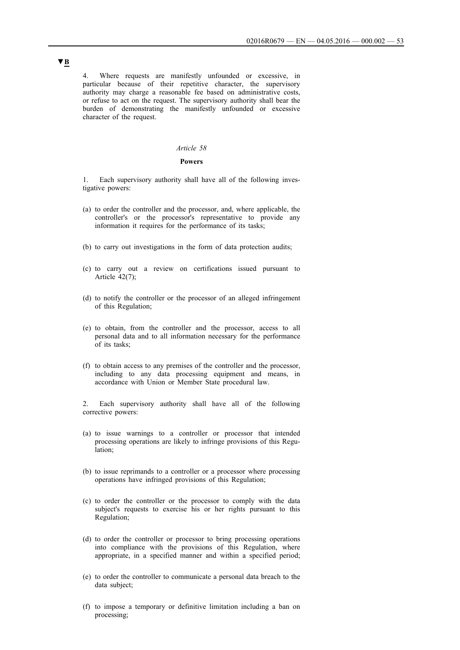4. Where requests are manifestly unfounded or excessive, in particular because of their repetitive character, the supervisory authority may charge a reasonable fee based on administrative costs, or refuse to act on the request. The supervisory authority shall bear the burden of demonstrating the manifestly unfounded or excessive character of the request.

## *Article 58*

## **Powers**

1. Each supervisory authority shall have all of the following investigative powers:

- (a) to order the controller and the processor, and, where applicable, the controller's or the processor's representative to provide any information it requires for the performance of its tasks;
- (b) to carry out investigations in the form of data protection audits;
- (c) to carry out a review on certifications issued pursuant to Article 42(7);
- (d) to notify the controller or the processor of an alleged infringement of this Regulation;
- (e) to obtain, from the controller and the processor, access to all personal data and to all information necessary for the performance of its tasks;
- (f) to obtain access to any premises of the controller and the processor, including to any data processing equipment and means, in accordance with Union or Member State procedural law.

2. Each supervisory authority shall have all of the following corrective powers:

- (a) to issue warnings to a controller or processor that intended processing operations are likely to infringe provisions of this Regulation;
- (b) to issue reprimands to a controller or a processor where processing operations have infringed provisions of this Regulation;
- (c) to order the controller or the processor to comply with the data subject's requests to exercise his or her rights pursuant to this Regulation;
- (d) to order the controller or processor to bring processing operations into compliance with the provisions of this Regulation, where appropriate, in a specified manner and within a specified period;
- (e) to order the controller to communicate a personal data breach to the data subject;
- (f) to impose a temporary or definitive limitation including a ban on processing;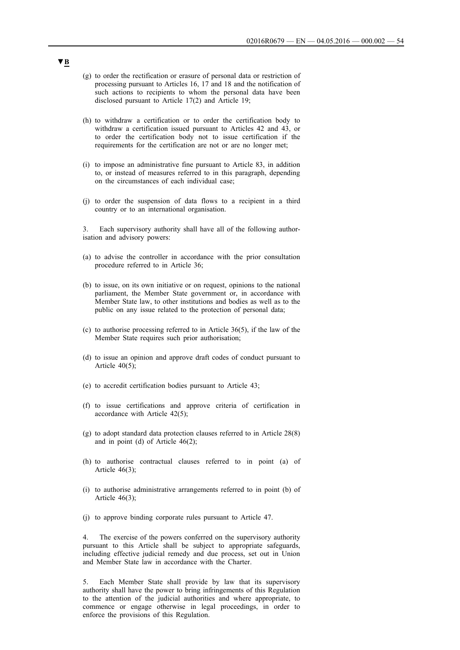- (g) to order the rectification or erasure of personal data or restriction of processing pursuant to Articles 16, 17 and 18 and the notification of such actions to recipients to whom the personal data have been disclosed pursuant to Article 17(2) and Article 19;
- (h) to withdraw a certification or to order the certification body to withdraw a certification issued pursuant to Articles 42 and 43, or to order the certification body not to issue certification if the requirements for the certification are not or are no longer met;
- (i) to impose an administrative fine pursuant to Article 83, in addition to, or instead of measures referred to in this paragraph, depending on the circumstances of each individual case;
- (j) to order the suspension of data flows to a recipient in a third country or to an international organisation.

Each supervisory authority shall have all of the following authorisation and advisory powers:

- (a) to advise the controller in accordance with the prior consultation procedure referred to in Article 36;
- (b) to issue, on its own initiative or on request, opinions to the national parliament, the Member State government or, in accordance with Member State law, to other institutions and bodies as well as to the public on any issue related to the protection of personal data;
- (c) to authorise processing referred to in Article 36(5), if the law of the Member State requires such prior authorisation;
- (d) to issue an opinion and approve draft codes of conduct pursuant to Article  $40(5)$ ;
- (e) to accredit certification bodies pursuant to Article 43;
- (f) to issue certifications and approve criteria of certification in accordance with Article 42(5);
- (g) to adopt standard data protection clauses referred to in Article 28(8) and in point (d) of Article 46(2);
- (h) to authorise contractual clauses referred to in point (a) of Article  $46(3)$ ;
- (i) to authorise administrative arrangements referred to in point (b) of Article 46(3);
- (j) to approve binding corporate rules pursuant to Article 47.

4. The exercise of the powers conferred on the supervisory authority pursuant to this Article shall be subject to appropriate safeguards, including effective judicial remedy and due process, set out in Union and Member State law in accordance with the Charter.

5. Each Member State shall provide by law that its supervisory authority shall have the power to bring infringements of this Regulation to the attention of the judicial authorities and where appropriate, to commence or engage otherwise in legal proceedings, in order to enforce the provisions of this Regulation.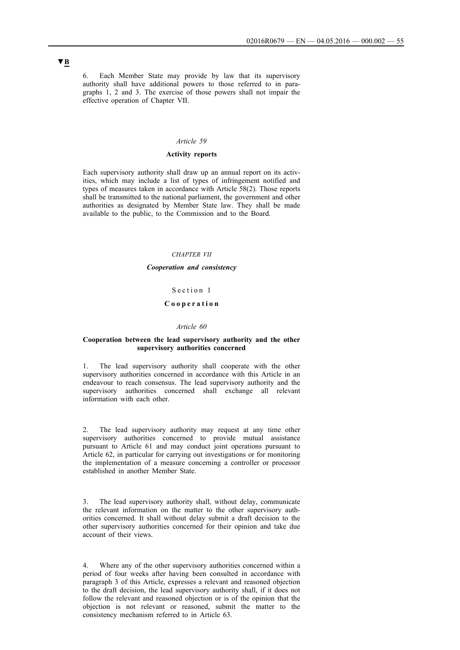6. Each Member State may provide by law that its supervisory authority shall have additional powers to those referred to in paragraphs 1, 2 and 3. The exercise of those powers shall not impair the effective operation of Chapter VII.

## *Article 59*

## **Activity reports**

Each supervisory authority shall draw up an annual report on its activities, which may include a list of types of infringement notified and types of measures taken in accordance with Article 58(2). Those reports shall be transmitted to the national parliament, the government and other authorities as designated by Member State law. They shall be made available to the public, to the Commission and to the Board.

#### *CHAPTER VII*

### *Cooperation and consistency*

# Section 1

# **C o o p e r a t i o n**

#### *Article 60*

### **Cooperation between the lead supervisory authority and the other supervisory authorities concerned**

The lead supervisory authority shall cooperate with the other supervisory authorities concerned in accordance with this Article in an endeavour to reach consensus. The lead supervisory authority and the supervisory authorities concerned shall exchange all relevant information with each other.

2. The lead supervisory authority may request at any time other supervisory authorities concerned to provide mutual assistance pursuant to Article 61 and may conduct joint operations pursuant to Article 62, in particular for carrying out investigations or for monitoring the implementation of a measure concerning a controller or processor established in another Member State.

3. The lead supervisory authority shall, without delay, communicate the relevant information on the matter to the other supervisory authorities concerned. It shall without delay submit a draft decision to the other supervisory authorities concerned for their opinion and take due account of their views.

4. Where any of the other supervisory authorities concerned within a period of four weeks after having been consulted in accordance with paragraph 3 of this Article, expresses a relevant and reasoned objection to the draft decision, the lead supervisory authority shall, if it does not follow the relevant and reasoned objection or is of the opinion that the objection is not relevant or reasoned, submit the matter to the consistency mechanism referred to in Article 63.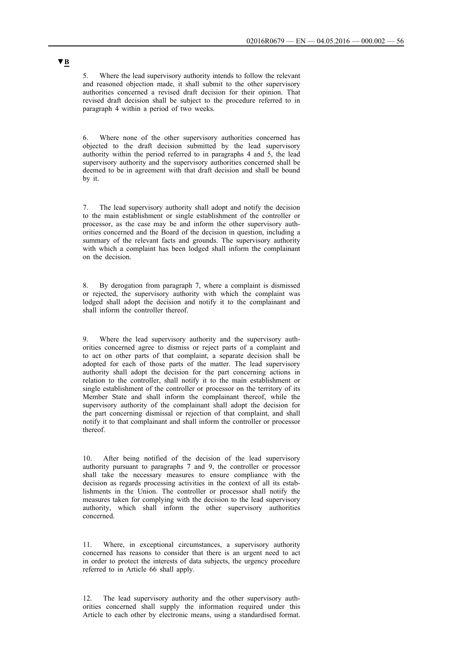5. Where the lead supervisory authority intends to follow the relevant and reasoned objection made, it shall submit to the other supervisory authorities concerned a revised draft decision for their opinion. That revised draft decision shall be subject to the procedure referred to in paragraph 4 within a period of two weeks.

6. Where none of the other supervisory authorities concerned has objected to the draft decision submitted by the lead supervisory authority within the period referred to in paragraphs 4 and 5, the lead supervisory authority and the supervisory authorities concerned shall be deemed to be in agreement with that draft decision and shall be bound by it.

7. The lead supervisory authority shall adopt and notify the decision to the main establishment or single establishment of the controller or processor, as the case may be and inform the other supervisory authorities concerned and the Board of the decision in question, including a summary of the relevant facts and grounds. The supervisory authority with which a complaint has been lodged shall inform the complainant on the decision.

8. By derogation from paragraph 7, where a complaint is dismissed or rejected, the supervisory authority with which the complaint was lodged shall adopt the decision and notify it to the complainant and shall inform the controller thereof.

9. Where the lead supervisory authority and the supervisory authorities concerned agree to dismiss or reject parts of a complaint and to act on other parts of that complaint, a separate decision shall be adopted for each of those parts of the matter. The lead supervisory authority shall adopt the decision for the part concerning actions in relation to the controller, shall notify it to the main establishment or single establishment of the controller or processor on the territory of its Member State and shall inform the complainant thereof, while the supervisory authority of the complainant shall adopt the decision for the part concerning dismissal or rejection of that complaint, and shall notify it to that complainant and shall inform the controller or processor thereof.

10. After being notified of the decision of the lead supervisory authority pursuant to paragraphs 7 and 9, the controller or processor shall take the necessary measures to ensure compliance with the decision as regards processing activities in the context of all its establishments in the Union. The controller or processor shall notify the measures taken for complying with the decision to the lead supervisory authority, which shall inform the other supervisory authorities concerned.

11. Where, in exceptional circumstances, a supervisory authority concerned has reasons to consider that there is an urgent need to act in order to protect the interests of data subjects, the urgency procedure referred to in Article 66 shall apply.

12. The lead supervisory authority and the other supervisory authorities concerned shall supply the information required under this Article to each other by electronic means, using a standardised format.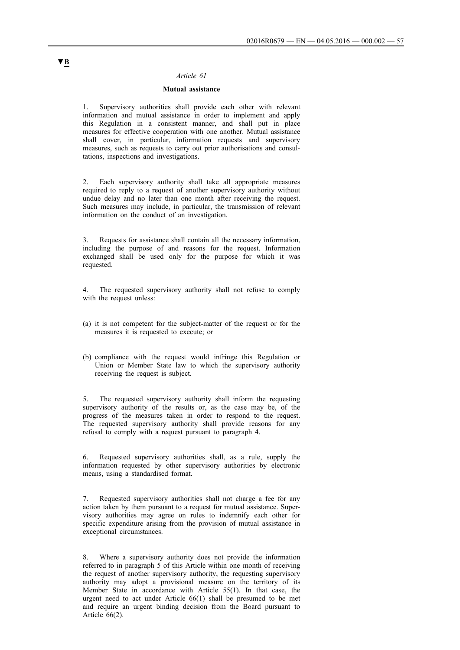# *Article 61*

# **Mutual assistance**

1. Supervisory authorities shall provide each other with relevant information and mutual assistance in order to implement and apply this Regulation in a consistent manner, and shall put in place measures for effective cooperation with one another. Mutual assistance shall cover, in particular, information requests and supervisory measures, such as requests to carry out prior authorisations and consultations, inspections and investigations.

2. Each supervisory authority shall take all appropriate measures required to reply to a request of another supervisory authority without undue delay and no later than one month after receiving the request. Such measures may include, in particular, the transmission of relevant information on the conduct of an investigation.

3. Requests for assistance shall contain all the necessary information, including the purpose of and reasons for the request. Information exchanged shall be used only for the purpose for which it was requested.

The requested supervisory authority shall not refuse to comply with the request unless:

- (a) it is not competent for the subject-matter of the request or for the measures it is requested to execute; or
- (b) compliance with the request would infringe this Regulation or Union or Member State law to which the supervisory authority receiving the request is subject.

5. The requested supervisory authority shall inform the requesting supervisory authority of the results or, as the case may be, of the progress of the measures taken in order to respond to the request. The requested supervisory authority shall provide reasons for any refusal to comply with a request pursuant to paragraph 4.

6. Requested supervisory authorities shall, as a rule, supply the information requested by other supervisory authorities by electronic means, using a standardised format.

7. Requested supervisory authorities shall not charge a fee for any action taken by them pursuant to a request for mutual assistance. Supervisory authorities may agree on rules to indemnify each other for specific expenditure arising from the provision of mutual assistance in exceptional circumstances.

8. Where a supervisory authority does not provide the information referred to in paragraph 5 of this Article within one month of receiving the request of another supervisory authority, the requesting supervisory authority may adopt a provisional measure on the territory of its Member State in accordance with Article 55(1). In that case, the urgent need to act under Article 66(1) shall be presumed to be met and require an urgent binding decision from the Board pursuant to Article 66(2).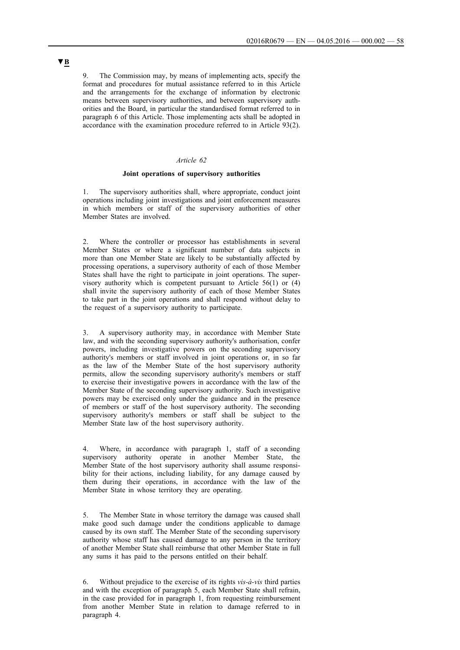The Commission may, by means of implementing acts, specify the format and procedures for mutual assistance referred to in this Article and the arrangements for the exchange of information by electronic means between supervisory authorities, and between supervisory authorities and the Board, in particular the standardised format referred to in paragraph 6 of this Article. Those implementing acts shall be adopted in accordance with the examination procedure referred to in Article 93(2).

### *Article 62*

### **Joint operations of supervisory authorities**

1. The supervisory authorities shall, where appropriate, conduct joint operations including joint investigations and joint enforcement measures in which members or staff of the supervisory authorities of other Member States are involved.

2. Where the controller or processor has establishments in several Member States or where a significant number of data subjects in more than one Member State are likely to be substantially affected by processing operations, a supervisory authority of each of those Member States shall have the right to participate in joint operations. The supervisory authority which is competent pursuant to Article 56(1) or (4) shall invite the supervisory authority of each of those Member States to take part in the joint operations and shall respond without delay to the request of a supervisory authority to participate.

3. A supervisory authority may, in accordance with Member State law, and with the seconding supervisory authority's authorisation, confer powers, including investigative powers on the seconding supervisory authority's members or staff involved in joint operations or, in so far as the law of the Member State of the host supervisory authority permits, allow the seconding supervisory authority's members or staff to exercise their investigative powers in accordance with the law of the Member State of the seconding supervisory authority. Such investigative powers may be exercised only under the guidance and in the presence of members or staff of the host supervisory authority. The seconding supervisory authority's members or staff shall be subject to the Member State law of the host supervisory authority.

4. Where, in accordance with paragraph 1, staff of a seconding supervisory authority operate in another Member State, the Member State of the host supervisory authority shall assume responsibility for their actions, including liability, for any damage caused by them during their operations, in accordance with the law of the Member State in whose territory they are operating.

5. The Member State in whose territory the damage was caused shall make good such damage under the conditions applicable to damage caused by its own staff. The Member State of the seconding supervisory authority whose staff has caused damage to any person in the territory of another Member State shall reimburse that other Member State in full any sums it has paid to the persons entitled on their behalf.

6. Without prejudice to the exercise of its rights *vis-à-vis* third parties and with the exception of paragraph 5, each Member State shall refrain, in the case provided for in paragraph 1, from requesting reimbursement from another Member State in relation to damage referred to in paragraph 4.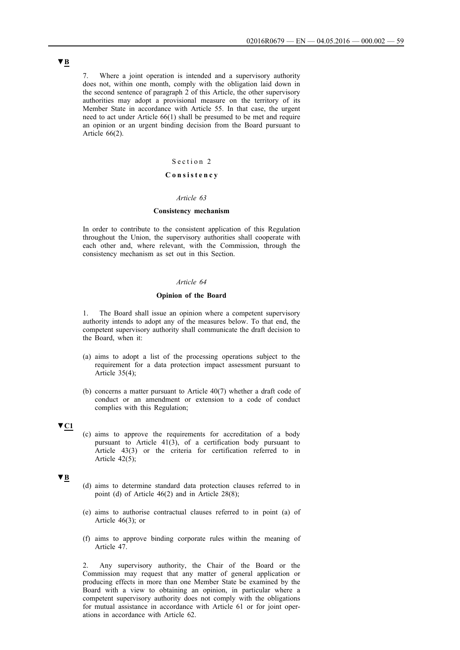7. Where a joint operation is intended and a supervisory authority does not, within one month, comply with the obligation laid down in the second sentence of paragraph 2 of this Article, the other supervisory authorities may adopt a provisional measure on the territory of its Member State in accordance with Article 55. In that case, the urgent need to act under Article 66(1) shall be presumed to be met and require an opinion or an urgent binding decision from the Board pursuant to Article 66(2).

# Section 2

# **C o n s i s t e n c y**

# *Article 63*

# **Consistency mechanism**

In order to contribute to the consistent application of this Regulation throughout the Union, the supervisory authorities shall cooperate with each other and, where relevant, with the Commission, through the consistency mechanism as set out in this Section.

# *Article 64*

### **Opinion of the Board**

1. The Board shall issue an opinion where a competent supervisory authority intends to adopt any of the measures below. To that end, the competent supervisory authority shall communicate the draft decision to the Board, when it:

- (a) aims to adopt a list of the processing operations subject to the requirement for a data protection impact assessment pursuant to Article 35(4);
- (b) concerns a matter pursuant to Article 40(7) whether a draft code of conduct or an amendment or extension to a code of conduct complies with this Regulation;

# **▼C1**

(c) aims to approve the requirements for accreditation of a body pursuant to Article 41(3), of a certification body pursuant to Article 43(3) or the criteria for certification referred to in Article 42(5);

# **▼B**

- (d) aims to determine standard data protection clauses referred to in point (d) of Article 46(2) and in Article 28(8);
- (e) aims to authorise contractual clauses referred to in point (a) of Article 46(3); or
- (f) aims to approve binding corporate rules within the meaning of Article 47.

2. Any supervisory authority, the Chair of the Board or the Commission may request that any matter of general application or producing effects in more than one Member State be examined by the Board with a view to obtaining an opinion, in particular where a competent supervisory authority does not comply with the obligations for mutual assistance in accordance with Article 61 or for joint operations in accordance with Article 62.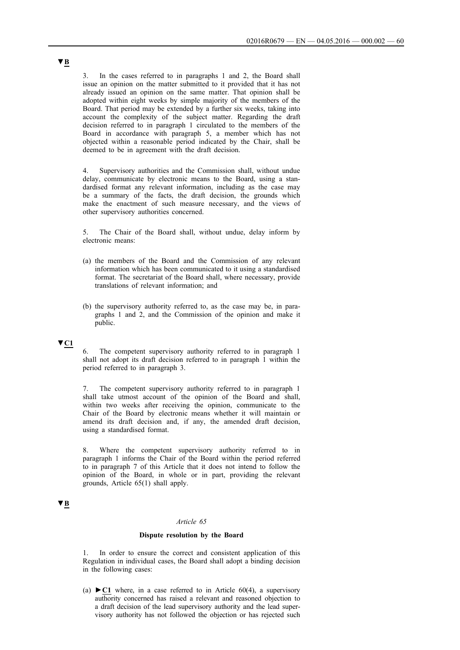3. In the cases referred to in paragraphs 1 and 2, the Board shall issue an opinion on the matter submitted to it provided that it has not already issued an opinion on the same matter. That opinion shall be adopted within eight weeks by simple majority of the members of the Board. That period may be extended by a further six weeks, taking into account the complexity of the subject matter. Regarding the draft decision referred to in paragraph 1 circulated to the members of the Board in accordance with paragraph 5, a member which has not objected within a reasonable period indicated by the Chair, shall be deemed to be in agreement with the draft decision.

4. Supervisory authorities and the Commission shall, without undue delay, communicate by electronic means to the Board, using a standardised format any relevant information, including as the case may be a summary of the facts, the draft decision, the grounds which make the enactment of such measure necessary, and the views of other supervisory authorities concerned.

5. The Chair of the Board shall, without undue, delay inform by electronic means:

- (a) the members of the Board and the Commission of any relevant information which has been communicated to it using a standardised format. The secretariat of the Board shall, where necessary, provide translations of relevant information; and
- (b) the supervisory authority referred to, as the case may be, in paragraphs 1 and 2, and the Commission of the opinion and make it public.

# **▼C1**

6. The competent supervisory authority referred to in paragraph 1 shall not adopt its draft decision referred to in paragraph 1 within the period referred to in paragraph 3.

7. The competent supervisory authority referred to in paragraph 1 shall take utmost account of the opinion of the Board and shall, within two weeks after receiving the opinion, communicate to the Chair of the Board by electronic means whether it will maintain or amend its draft decision and, if any, the amended draft decision, using a standardised format.

8. Where the competent supervisory authority referred to in paragraph 1 informs the Chair of the Board within the period referred to in paragraph 7 of this Article that it does not intend to follow the opinion of the Board, in whole or in part, providing the relevant grounds, Article 65(1) shall apply.

# **▼B**

## *Article 65*

### **Dispute resolution by the Board**

In order to ensure the correct and consistent application of this Regulation in individual cases, the Board shall adopt a binding decision in the following cases:

(a)  $\blacktriangleright$  **C1** where, in a case referred to in Article 60(4), a supervisory authority concerned has raised a relevant and reasoned objection to a draft decision of the lead supervisory authority and the lead supervisory authority has not followed the objection or has rejected such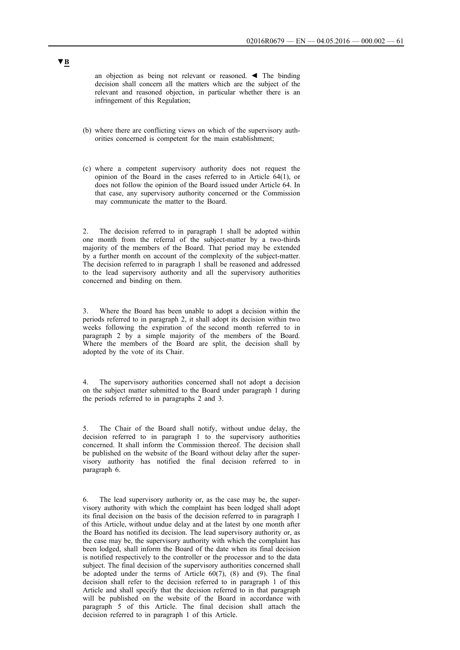an objection as being not relevant or reasoned. ◄ The binding decision shall concern all the matters which are the subject of the relevant and reasoned objection, in particular whether there is an infringement of this Regulation;

- (b) where there are conflicting views on which of the supervisory authorities concerned is competent for the main establishment;
- (c) where a competent supervisory authority does not request the opinion of the Board in the cases referred to in Article 64(1), or does not follow the opinion of the Board issued under Article 64. In that case, any supervisory authority concerned or the Commission may communicate the matter to the Board.

2. The decision referred to in paragraph 1 shall be adopted within one month from the referral of the subject-matter by a two-thirds majority of the members of the Board. That period may be extended by a further month on account of the complexity of the subject-matter. The decision referred to in paragraph 1 shall be reasoned and addressed to the lead supervisory authority and all the supervisory authorities concerned and binding on them.

3. Where the Board has been unable to adopt a decision within the periods referred to in paragraph 2, it shall adopt its decision within two weeks following the expiration of the second month referred to in paragraph 2 by a simple majority of the members of the Board. Where the members of the Board are split, the decision shall by adopted by the vote of its Chair.

4. The supervisory authorities concerned shall not adopt a decision on the subject matter submitted to the Board under paragraph 1 during the periods referred to in paragraphs 2 and 3.

5. The Chair of the Board shall notify, without undue delay, the decision referred to in paragraph 1 to the supervisory authorities concerned. It shall inform the Commission thereof. The decision shall be published on the website of the Board without delay after the supervisory authority has notified the final decision referred to in paragraph 6.

6. The lead supervisory authority or, as the case may be, the supervisory authority with which the complaint has been lodged shall adopt its final decision on the basis of the decision referred to in paragraph 1 of this Article, without undue delay and at the latest by one month after the Board has notified its decision. The lead supervisory authority or, as the case may be, the supervisory authority with which the complaint has been lodged, shall inform the Board of the date when its final decision is notified respectively to the controller or the processor and to the data subject. The final decision of the supervisory authorities concerned shall be adopted under the terms of Article 60(7), (8) and (9). The final decision shall refer to the decision referred to in paragraph 1 of this Article and shall specify that the decision referred to in that paragraph will be published on the website of the Board in accordance with paragraph 5 of this Article. The final decision shall attach the decision referred to in paragraph 1 of this Article.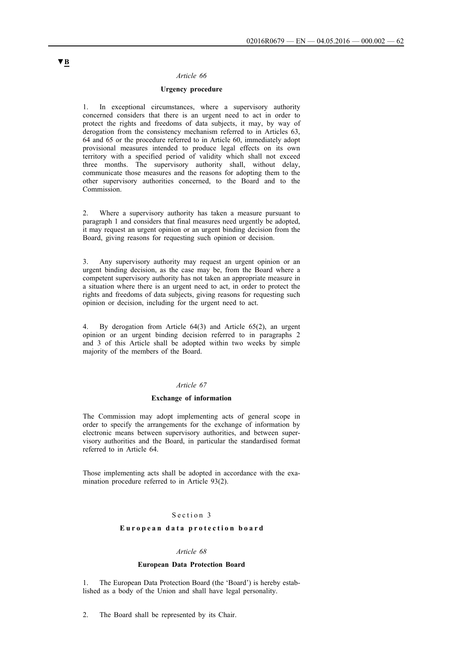### *Article 66*

## **Urgency procedure**

1. In exceptional circumstances, where a supervisory authority concerned considers that there is an urgent need to act in order to protect the rights and freedoms of data subjects, it may, by way of derogation from the consistency mechanism referred to in Articles 63, 64 and 65 or the procedure referred to in Article 60, immediately adopt provisional measures intended to produce legal effects on its own territory with a specified period of validity which shall not exceed three months. The supervisory authority shall, without delay, communicate those measures and the reasons for adopting them to the other supervisory authorities concerned, to the Board and to the Commission.

2. Where a supervisory authority has taken a measure pursuant to paragraph 1 and considers that final measures need urgently be adopted, it may request an urgent opinion or an urgent binding decision from the Board, giving reasons for requesting such opinion or decision.

Any supervisory authority may request an urgent opinion or an urgent binding decision, as the case may be, from the Board where a competent supervisory authority has not taken an appropriate measure in a situation where there is an urgent need to act, in order to protect the rights and freedoms of data subjects, giving reasons for requesting such opinion or decision, including for the urgent need to act.

4. By derogation from Article 64(3) and Article 65(2), an urgent opinion or an urgent binding decision referred to in paragraphs 2 and 3 of this Article shall be adopted within two weeks by simple majority of the members of the Board.

#### *Article 67*

#### **Exchange of information**

The Commission may adopt implementing acts of general scope in order to specify the arrangements for the exchange of information by electronic means between supervisory authorities, and between supervisory authorities and the Board, in particular the standardised format referred to in Article 64.

Those implementing acts shall be adopted in accordance with the examination procedure referred to in Article 93(2).

### Section 3

### European data protection board

#### *Article 68*

#### **European Data Protection Board**

1. The European Data Protection Board (the 'Board') is hereby established as a body of the Union and shall have legal personality.

2. The Board shall be represented by its Chair.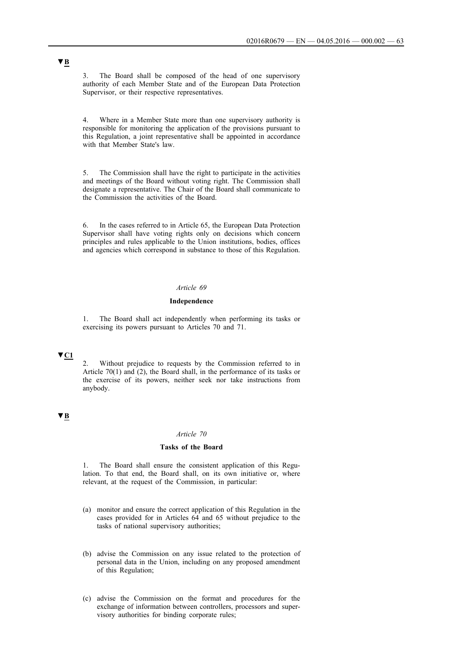3. The Board shall be composed of the head of one supervisory authority of each Member State and of the European Data Protection Supervisor, or their respective representatives.

4. Where in a Member State more than one supervisory authority is responsible for monitoring the application of the provisions pursuant to this Regulation, a joint representative shall be appointed in accordance with that Member State's law.

5. The Commission shall have the right to participate in the activities and meetings of the Board without voting right. The Commission shall designate a representative. The Chair of the Board shall communicate to the Commission the activities of the Board.

6. In the cases referred to in Article 65, the European Data Protection Supervisor shall have voting rights only on decisions which concern principles and rules applicable to the Union institutions, bodies, offices and agencies which correspond in substance to those of this Regulation.

## *Article 69*

## **Independence**

1. The Board shall act independently when performing its tasks or exercising its powers pursuant to Articles 70 and 71.

# **▼C1**

2. Without prejudice to requests by the Commission referred to in Article 70(1) and (2), the Board shall, in the performance of its tasks or the exercise of its powers, neither seek nor take instructions from anybody.

# **▼B**

### *Article 70*

# **Tasks of the Board**

1. The Board shall ensure the consistent application of this Regulation. To that end, the Board shall, on its own initiative or, where relevant, at the request of the Commission, in particular:

- (a) monitor and ensure the correct application of this Regulation in the cases provided for in Articles 64 and 65 without prejudice to the tasks of national supervisory authorities;
- (b) advise the Commission on any issue related to the protection of personal data in the Union, including on any proposed amendment of this Regulation;
- (c) advise the Commission on the format and procedures for the exchange of information between controllers, processors and supervisory authorities for binding corporate rules;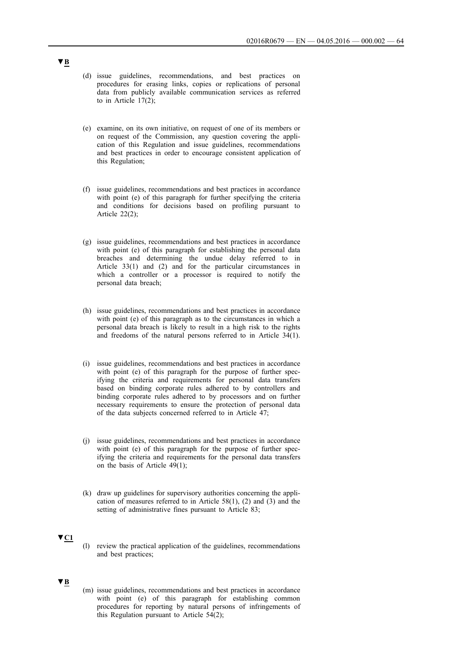- (d) issue guidelines, recommendations, and best practices on procedures for erasing links, copies or replications of personal data from publicly available communication services as referred to in Article 17(2);
- (e) examine, on its own initiative, on request of one of its members or on request of the Commission, any question covering the application of this Regulation and issue guidelines, recommendations and best practices in order to encourage consistent application of this Regulation;
- (f) issue guidelines, recommendations and best practices in accordance with point (e) of this paragraph for further specifying the criteria and conditions for decisions based on profiling pursuant to Article 22(2);
- (g) issue guidelines, recommendations and best practices in accordance with point (e) of this paragraph for establishing the personal data breaches and determining the undue delay referred to in Article 33(1) and (2) and for the particular circumstances in which a controller or a processor is required to notify the personal data breach;
- (h) issue guidelines, recommendations and best practices in accordance with point (e) of this paragraph as to the circumstances in which a personal data breach is likely to result in a high risk to the rights and freedoms of the natural persons referred to in Article 34(1).
- (i) issue guidelines, recommendations and best practices in accordance with point (e) of this paragraph for the purpose of further specifying the criteria and requirements for personal data transfers based on binding corporate rules adhered to by controllers and binding corporate rules adhered to by processors and on further necessary requirements to ensure the protection of personal data of the data subjects concerned referred to in Article 47;
- (j) issue guidelines, recommendations and best practices in accordance with point (e) of this paragraph for the purpose of further specifying the criteria and requirements for the personal data transfers on the basis of Article 49(1);
- (k) draw up guidelines for supervisory authorities concerning the application of measures referred to in Article  $58(1)$ , (2) and (3) and the setting of administrative fines pursuant to Article 83;

# **▼C1**

(l) review the practical application of the guidelines, recommendations and best practices;

# **▼B**

(m) issue guidelines, recommendations and best practices in accordance with point (e) of this paragraph for establishing common procedures for reporting by natural persons of infringements of this Regulation pursuant to Article 54(2);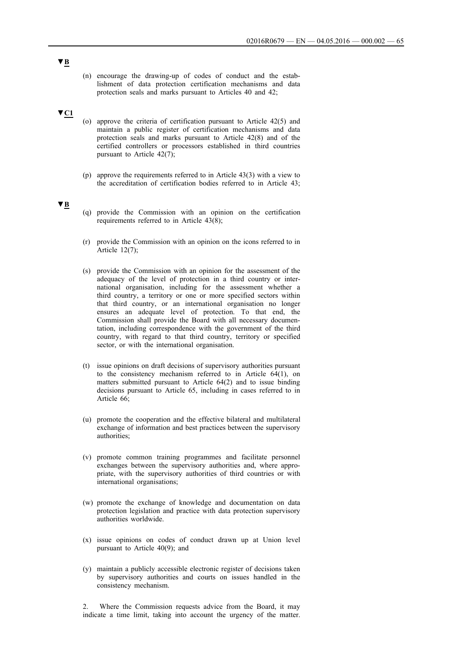(n) encourage the drawing-up of codes of conduct and the establishment of data protection certification mechanisms and data protection seals and marks pursuant to Articles 40 and 42;

# **▼C1**

- (o) approve the criteria of certification pursuant to Article 42(5) and maintain a public register of certification mechanisms and data protection seals and marks pursuant to Article 42(8) and of the certified controllers or processors established in third countries pursuant to Article 42(7);
- (p) approve the requirements referred to in Article 43(3) with a view to the accreditation of certification bodies referred to in Article 43;

# **▼B**

- (q) provide the Commission with an opinion on the certification requirements referred to in Article 43(8);
- (r) provide the Commission with an opinion on the icons referred to in Article 12(7);
- (s) provide the Commission with an opinion for the assessment of the adequacy of the level of protection in a third country or international organisation, including for the assessment whether a third country, a territory or one or more specified sectors within that third country, or an international organisation no longer ensures an adequate level of protection. To that end, the Commission shall provide the Board with all necessary documentation, including correspondence with the government of the third country, with regard to that third country, territory or specified sector, or with the international organisation.
- (t) issue opinions on draft decisions of supervisory authorities pursuant to the consistency mechanism referred to in Article 64(1), on matters submitted pursuant to Article 64(2) and to issue binding decisions pursuant to Article 65, including in cases referred to in Article 66;
- (u) promote the cooperation and the effective bilateral and multilateral exchange of information and best practices between the supervisory authorities;
- (v) promote common training programmes and facilitate personnel exchanges between the supervisory authorities and, where appropriate, with the supervisory authorities of third countries or with international organisations;
- (w) promote the exchange of knowledge and documentation on data protection legislation and practice with data protection supervisory authorities worldwide.
- (x) issue opinions on codes of conduct drawn up at Union level pursuant to Article 40(9); and
- (y) maintain a publicly accessible electronic register of decisions taken by supervisory authorities and courts on issues handled in the consistency mechanism.

Where the Commission requests advice from the Board, it may indicate a time limit, taking into account the urgency of the matter.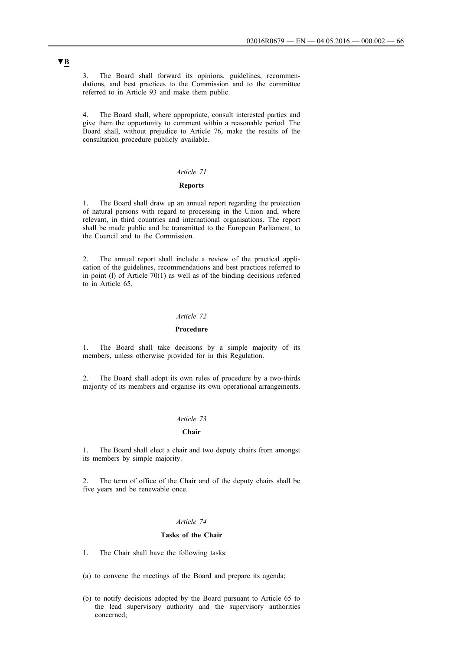3. The Board shall forward its opinions, guidelines, recommendations, and best practices to the Commission and to the committee referred to in Article 93 and make them public.

4. The Board shall, where appropriate, consult interested parties and give them the opportunity to comment within a reasonable period. The Board shall, without prejudice to Article 76, make the results of the consultation procedure publicly available.

# *Article 71*

# **Reports**

1. The Board shall draw up an annual report regarding the protection of natural persons with regard to processing in the Union and, where relevant, in third countries and international organisations. The report shall be made public and be transmitted to the European Parliament, to the Council and to the Commission.

2. The annual report shall include a review of the practical application of the guidelines, recommendations and best practices referred to in point (l) of Article 70(1) as well as of the binding decisions referred to in Article 65.

#### *Article 72*

#### **Procedure**

1. The Board shall take decisions by a simple majority of its members, unless otherwise provided for in this Regulation.

2. The Board shall adopt its own rules of procedure by a two-thirds majority of its members and organise its own operational arrangements.

# *Article 73*

#### **Chair**

1. The Board shall elect a chair and two deputy chairs from amongst its members by simple majority.

2. The term of office of the Chair and of the deputy chairs shall be five years and be renewable once.

## *Article 74*

### **Tasks of the Chair**

1. The Chair shall have the following tasks:

(a) to convene the meetings of the Board and prepare its agenda;

(b) to notify decisions adopted by the Board pursuant to Article 65 to the lead supervisory authority and the supervisory authorities concerned;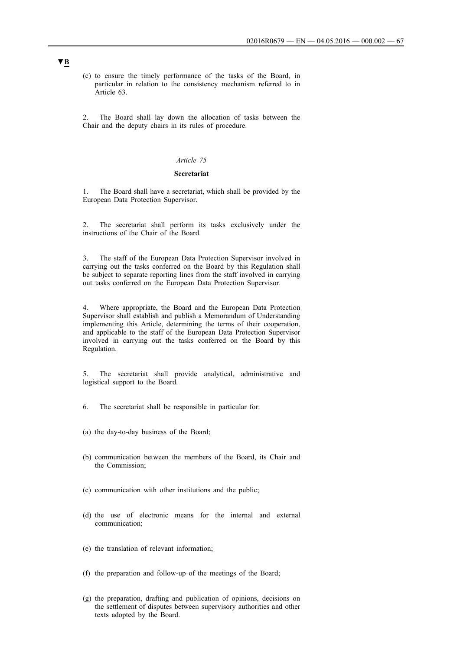(c) to ensure the timely performance of the tasks of the Board, in particular in relation to the consistency mechanism referred to in Article 63.

2. The Board shall lay down the allocation of tasks between the Chair and the deputy chairs in its rules of procedure.

## *Article 75*

## **Secretariat**

1. The Board shall have a secretariat, which shall be provided by the European Data Protection Supervisor.

2. The secretariat shall perform its tasks exclusively under the instructions of the Chair of the Board.

3. The staff of the European Data Protection Supervisor involved in carrying out the tasks conferred on the Board by this Regulation shall be subject to separate reporting lines from the staff involved in carrying out tasks conferred on the European Data Protection Supervisor.

4. Where appropriate, the Board and the European Data Protection Supervisor shall establish and publish a Memorandum of Understanding implementing this Article, determining the terms of their cooperation, and applicable to the staff of the European Data Protection Supervisor involved in carrying out the tasks conferred on the Board by this Regulation.

5. The secretariat shall provide analytical, administrative and logistical support to the Board.

- 6. The secretariat shall be responsible in particular for:
- (a) the day-to-day business of the Board;
- (b) communication between the members of the Board, its Chair and the Commission;
- (c) communication with other institutions and the public;
- (d) the use of electronic means for the internal and external communication;
- (e) the translation of relevant information;
- (f) the preparation and follow-up of the meetings of the Board;
- (g) the preparation, drafting and publication of opinions, decisions on the settlement of disputes between supervisory authorities and other texts adopted by the Board.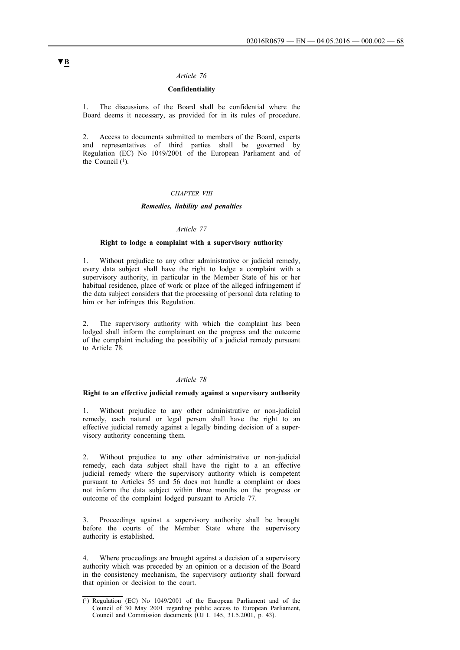### *Article 76*

# **Confidentiality**

1. The discussions of the Board shall be confidential where the Board deems it necessary, as provided for in its rules of procedure.

2. Access to documents submitted to members of the Board, experts and representatives of third parties shall be governed by Regulation (EC) No 1049/2001 of the European Parliament and of the Council  $(1)$ .

### *CHAPTER VIII*

# *Remedies, liability and penalties*

#### *Article 77*

### **Right to lodge a complaint with a supervisory authority**

1. Without prejudice to any other administrative or judicial remedy, every data subject shall have the right to lodge a complaint with a supervisory authority, in particular in the Member State of his or her habitual residence, place of work or place of the alleged infringement if the data subject considers that the processing of personal data relating to him or her infringes this Regulation.

2. The supervisory authority with which the complaint has been lodged shall inform the complainant on the progress and the outcome of the complaint including the possibility of a judicial remedy pursuant to Article 78.

#### *Article 78*

## **Right to an effective judicial remedy against a supervisory authority**

1. Without prejudice to any other administrative or non-judicial remedy, each natural or legal person shall have the right to an effective judicial remedy against a legally binding decision of a supervisory authority concerning them.

2. Without prejudice to any other administrative or non-judicial remedy, each data subject shall have the right to a an effective judicial remedy where the supervisory authority which is competent pursuant to Articles 55 and 56 does not handle a complaint or does not inform the data subject within three months on the progress or outcome of the complaint lodged pursuant to Article 77.

3. Proceedings against a supervisory authority shall be brought before the courts of the Member State where the supervisory authority is established.

4. Where proceedings are brought against a decision of a supervisory authority which was preceded by an opinion or a decision of the Board in the consistency mechanism, the supervisory authority shall forward that opinion or decision to the court.

<sup>(1)</sup> Regulation (EC) No 1049/2001 of the European Parliament and of the Council of 30 May 2001 regarding public access to European Parliament, Council and Commission documents (OJ L 145, 31.5.2001, p. 43).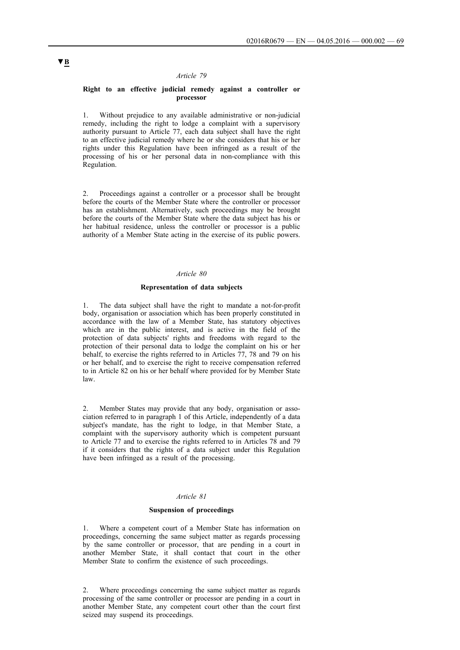#### *Article 79*

### **Right to an effective judicial remedy against a controller or processor**

1. Without prejudice to any available administrative or non-judicial remedy, including the right to lodge a complaint with a supervisory authority pursuant to Article 77, each data subject shall have the right to an effective judicial remedy where he or she considers that his or her rights under this Regulation have been infringed as a result of the processing of his or her personal data in non-compliance with this Regulation.

2. Proceedings against a controller or a processor shall be brought before the courts of the Member State where the controller or processor has an establishment. Alternatively, such proceedings may be brought before the courts of the Member State where the data subject has his or her habitual residence, unless the controller or processor is a public authority of a Member State acting in the exercise of its public powers.

# *Article 80*

## **Representation of data subjects**

1. The data subject shall have the right to mandate a not-for-profit body, organisation or association which has been properly constituted in accordance with the law of a Member State, has statutory objectives which are in the public interest, and is active in the field of the protection of data subjects' rights and freedoms with regard to the protection of their personal data to lodge the complaint on his or her behalf, to exercise the rights referred to in Articles 77, 78 and 79 on his or her behalf, and to exercise the right to receive compensation referred to in Article 82 on his or her behalf where provided for by Member State law.

2. Member States may provide that any body, organisation or association referred to in paragraph 1 of this Article, independently of a data subject's mandate, has the right to lodge, in that Member State, a complaint with the supervisory authority which is competent pursuant to Article 77 and to exercise the rights referred to in Articles 78 and 79 if it considers that the rights of a data subject under this Regulation have been infringed as a result of the processing.

# *Article 81*

## **Suspension of proceedings**

1. Where a competent court of a Member State has information on proceedings, concerning the same subject matter as regards processing by the same controller or processor, that are pending in a court in another Member State, it shall contact that court in the other Member State to confirm the existence of such proceedings.

2. Where proceedings concerning the same subject matter as regards processing of the same controller or processor are pending in a court in another Member State, any competent court other than the court first seized may suspend its proceedings.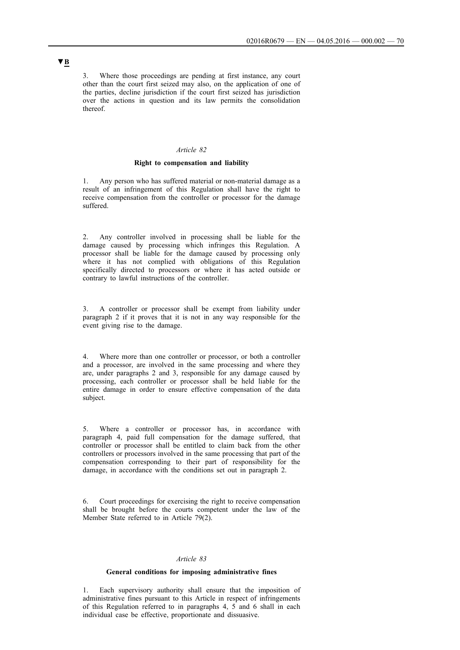3. Where those proceedings are pending at first instance, any court other than the court first seized may also, on the application of one of the parties, decline jurisdiction if the court first seized has jurisdiction over the actions in question and its law permits the consolidation thereof.

# *Article 82*

### **Right to compensation and liability**

1. Any person who has suffered material or non-material damage as a result of an infringement of this Regulation shall have the right to receive compensation from the controller or processor for the damage suffered.

2. Any controller involved in processing shall be liable for the damage caused by processing which infringes this Regulation. A processor shall be liable for the damage caused by processing only where it has not complied with obligations of this Regulation specifically directed to processors or where it has acted outside or contrary to lawful instructions of the controller.

3. A controller or processor shall be exempt from liability under paragraph 2 if it proves that it is not in any way responsible for the event giving rise to the damage.

4. Where more than one controller or processor, or both a controller and a processor, are involved in the same processing and where they are, under paragraphs 2 and 3, responsible for any damage caused by processing, each controller or processor shall be held liable for the entire damage in order to ensure effective compensation of the data subject.

5. Where a controller or processor has, in accordance with paragraph 4, paid full compensation for the damage suffered, that controller or processor shall be entitled to claim back from the other controllers or processors involved in the same processing that part of the compensation corresponding to their part of responsibility for the damage, in accordance with the conditions set out in paragraph 2.

6. Court proceedings for exercising the right to receive compensation shall be brought before the courts competent under the law of the Member State referred to in Article 79(2).

#### *Article 83*

### **General conditions for imposing administrative fines**

1. Each supervisory authority shall ensure that the imposition of administrative fines pursuant to this Article in respect of infringements of this Regulation referred to in paragraphs 4, 5 and 6 shall in each individual case be effective, proportionate and dissuasive.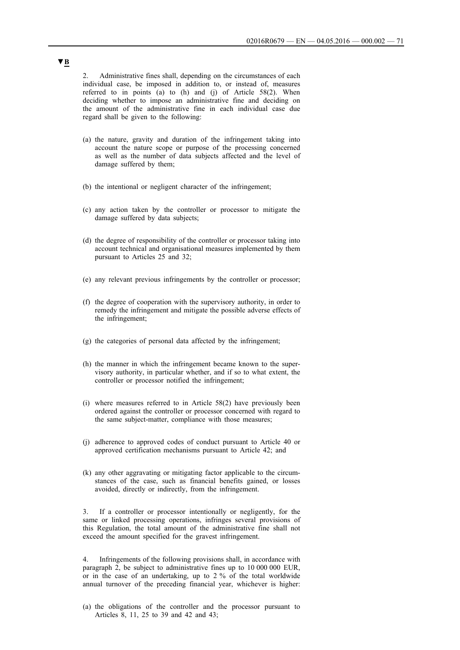2. Administrative fines shall, depending on the circumstances of each individual case, be imposed in addition to, or instead of, measures referred to in points (a) to (h) and (j) of Article 58(2). When deciding whether to impose an administrative fine and deciding on the amount of the administrative fine in each individual case due regard shall be given to the following:

- (a) the nature, gravity and duration of the infringement taking into account the nature scope or purpose of the processing concerned as well as the number of data subjects affected and the level of damage suffered by them;
- (b) the intentional or negligent character of the infringement;
- (c) any action taken by the controller or processor to mitigate the damage suffered by data subjects;
- (d) the degree of responsibility of the controller or processor taking into account technical and organisational measures implemented by them pursuant to Articles 25 and 32;
- (e) any relevant previous infringements by the controller or processor;
- (f) the degree of cooperation with the supervisory authority, in order to remedy the infringement and mitigate the possible adverse effects of the infringement;
- (g) the categories of personal data affected by the infringement;
- (h) the manner in which the infringement became known to the supervisory authority, in particular whether, and if so to what extent, the controller or processor notified the infringement;
- (i) where measures referred to in Article 58(2) have previously been ordered against the controller or processor concerned with regard to the same subject-matter, compliance with those measures;
- (j) adherence to approved codes of conduct pursuant to Article 40 or approved certification mechanisms pursuant to Article 42; and
- (k) any other aggravating or mitigating factor applicable to the circumstances of the case, such as financial benefits gained, or losses avoided, directly or indirectly, from the infringement.

3. If a controller or processor intentionally or negligently, for the same or linked processing operations, infringes several provisions of this Regulation, the total amount of the administrative fine shall not exceed the amount specified for the gravest infringement.

4. Infringements of the following provisions shall, in accordance with paragraph 2, be subject to administrative fines up to 10 000 000 EUR, or in the case of an undertaking, up to 2 % of the total worldwide annual turnover of the preceding financial year, whichever is higher:

(a) the obligations of the controller and the processor pursuant to Articles 8, 11, 25 to 39 and 42 and 43;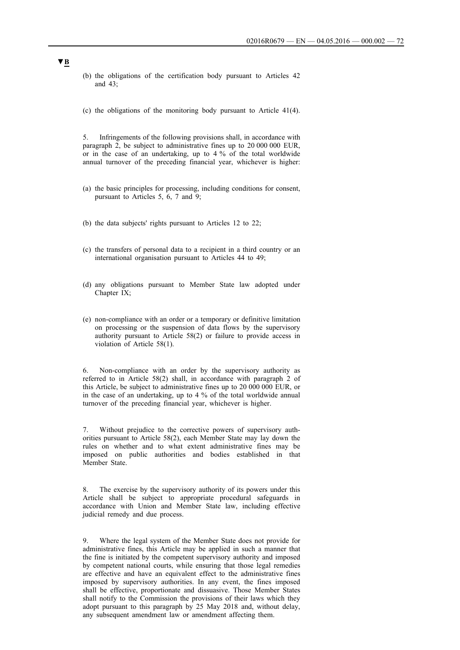- (b) the obligations of the certification body pursuant to Articles 42 and 43;
- (c) the obligations of the monitoring body pursuant to Article 41(4).

5. Infringements of the following provisions shall, in accordance with paragraph 2, be subject to administrative fines up to 20 000 000 EUR, or in the case of an undertaking, up to 4 % of the total worldwide annual turnover of the preceding financial year, whichever is higher:

- (a) the basic principles for processing, including conditions for consent, pursuant to Articles 5, 6, 7 and 9;
- (b) the data subjects' rights pursuant to Articles 12 to 22;
- (c) the transfers of personal data to a recipient in a third country or an international organisation pursuant to Articles 44 to 49;
- (d) any obligations pursuant to Member State law adopted under Chapter IX;
- (e) non-compliance with an order or a temporary or definitive limitation on processing or the suspension of data flows by the supervisory authority pursuant to Article 58(2) or failure to provide access in violation of Article 58(1).

6. Non-compliance with an order by the supervisory authority as referred to in Article 58(2) shall, in accordance with paragraph 2 of this Article, be subject to administrative fines up to 20 000 000 EUR, or in the case of an undertaking, up to 4 % of the total worldwide annual turnover of the preceding financial year, whichever is higher.

7. Without prejudice to the corrective powers of supervisory authorities pursuant to Article 58(2), each Member State may lay down the rules on whether and to what extent administrative fines may be imposed on public authorities and bodies established in that Member State.

8. The exercise by the supervisory authority of its powers under this Article shall be subject to appropriate procedural safeguards in accordance with Union and Member State law, including effective judicial remedy and due process.

9. Where the legal system of the Member State does not provide for administrative fines, this Article may be applied in such a manner that the fine is initiated by the competent supervisory authority and imposed by competent national courts, while ensuring that those legal remedies are effective and have an equivalent effect to the administrative fines imposed by supervisory authorities. In any event, the fines imposed shall be effective, proportionate and dissuasive. Those Member States shall notify to the Commission the provisions of their laws which they adopt pursuant to this paragraph by 25 May 2018 and, without delay, any subsequent amendment law or amendment affecting them.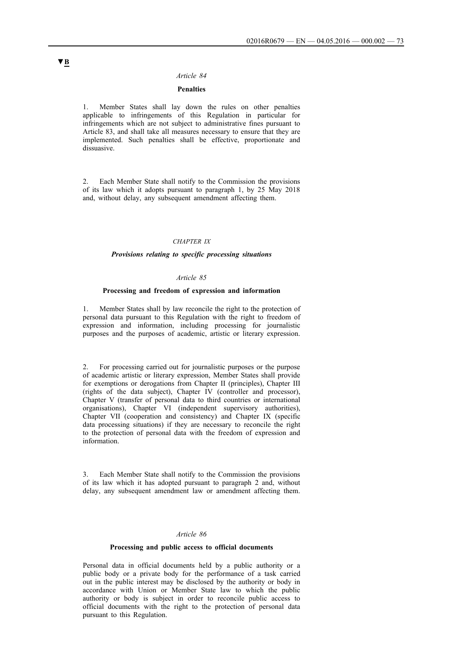#### *Article 84*

## **Penalties**

1. Member States shall lay down the rules on other penalties applicable to infringements of this Regulation in particular for infringements which are not subject to administrative fines pursuant to Article 83, and shall take all measures necessary to ensure that they are implemented. Such penalties shall be effective, proportionate and dissuasive.

2. Each Member State shall notify to the Commission the provisions of its law which it adopts pursuant to paragraph 1, by 25 May 2018 and, without delay, any subsequent amendment affecting them.

## *CHAPTER IX*

#### *Provisions relating to specific processing situations*

#### *Article 85*

### **Processing and freedom of expression and information**

1. Member States shall by law reconcile the right to the protection of personal data pursuant to this Regulation with the right to freedom of expression and information, including processing for journalistic purposes and the purposes of academic, artistic or literary expression.

2. For processing carried out for journalistic purposes or the purpose of academic artistic or literary expression, Member States shall provide for exemptions or derogations from Chapter II (principles), Chapter III (rights of the data subject), Chapter IV (controller and processor), Chapter V (transfer of personal data to third countries or international organisations), Chapter VI (independent supervisory authorities), Chapter VII (cooperation and consistency) and Chapter IX (specific data processing situations) if they are necessary to reconcile the right to the protection of personal data with the freedom of expression and information.

3. Each Member State shall notify to the Commission the provisions of its law which it has adopted pursuant to paragraph 2 and, without delay, any subsequent amendment law or amendment affecting them.

#### *Article 86*

#### **Processing and public access to official documents**

Personal data in official documents held by a public authority or a public body or a private body for the performance of a task carried out in the public interest may be disclosed by the authority or body in accordance with Union or Member State law to which the public authority or body is subject in order to reconcile public access to official documents with the right to the protection of personal data pursuant to this Regulation.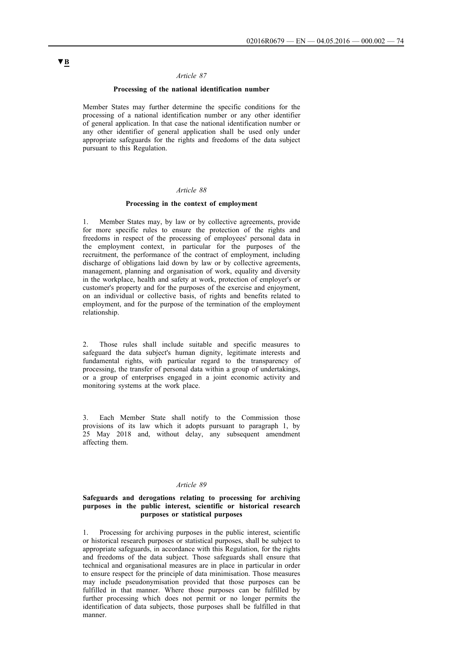#### *Article 87*

## **Processing of the national identification number**

Member States may further determine the specific conditions for the processing of a national identification number or any other identifier of general application. In that case the national identification number or any other identifier of general application shall be used only under appropriate safeguards for the rights and freedoms of the data subject pursuant to this Regulation.

#### *Article 88*

### **Processing in the context of employment**

1. Member States may, by law or by collective agreements, provide for more specific rules to ensure the protection of the rights and freedoms in respect of the processing of employees' personal data in the employment context, in particular for the purposes of the recruitment, the performance of the contract of employment, including discharge of obligations laid down by law or by collective agreements, management, planning and organisation of work, equality and diversity in the workplace, health and safety at work, protection of employer's or customer's property and for the purposes of the exercise and enjoyment, on an individual or collective basis, of rights and benefits related to employment, and for the purpose of the termination of the employment relationship.

2. Those rules shall include suitable and specific measures to safeguard the data subject's human dignity, legitimate interests and fundamental rights, with particular regard to the transparency of processing, the transfer of personal data within a group of undertakings, or a group of enterprises engaged in a joint economic activity and monitoring systems at the work place.

3. Each Member State shall notify to the Commission those provisions of its law which it adopts pursuant to paragraph 1, by 25 May 2018 and, without delay, any subsequent amendment affecting them.

#### *Article 89*

### **Safeguards and derogations relating to processing for archiving purposes in the public interest, scientific or historical research purposes or statistical purposes**

1. Processing for archiving purposes in the public interest, scientific or historical research purposes or statistical purposes, shall be subject to appropriate safeguards, in accordance with this Regulation, for the rights and freedoms of the data subject. Those safeguards shall ensure that technical and organisational measures are in place in particular in order to ensure respect for the principle of data minimisation. Those measures may include pseudonymisation provided that those purposes can be fulfilled in that manner. Where those purposes can be fulfilled by further processing which does not permit or no longer permits the identification of data subjects, those purposes shall be fulfilled in that manner.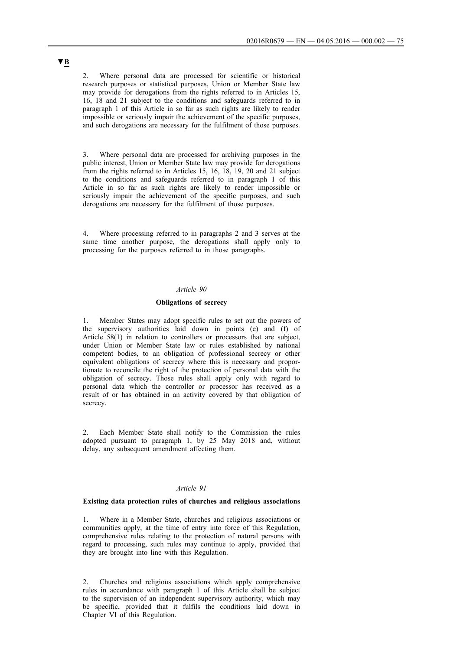2. Where personal data are processed for scientific or historical research purposes or statistical purposes, Union or Member State law may provide for derogations from the rights referred to in Articles 15, 16, 18 and 21 subject to the conditions and safeguards referred to in paragraph 1 of this Article in so far as such rights are likely to render impossible or seriously impair the achievement of the specific purposes, and such derogations are necessary for the fulfilment of those purposes.

3. Where personal data are processed for archiving purposes in the public interest, Union or Member State law may provide for derogations from the rights referred to in Articles 15, 16, 18, 19, 20 and 21 subject to the conditions and safeguards referred to in paragraph 1 of this Article in so far as such rights are likely to render impossible or seriously impair the achievement of the specific purposes, and such derogations are necessary for the fulfilment of those purposes.

4. Where processing referred to in paragraphs 2 and 3 serves at the same time another purpose, the derogations shall apply only to processing for the purposes referred to in those paragraphs.

## *Article 90*

### **Obligations of secrecy**

1. Member States may adopt specific rules to set out the powers of the supervisory authorities laid down in points (e) and (f) of Article 58(1) in relation to controllers or processors that are subject, under Union or Member State law or rules established by national competent bodies, to an obligation of professional secrecy or other equivalent obligations of secrecy where this is necessary and proportionate to reconcile the right of the protection of personal data with the obligation of secrecy. Those rules shall apply only with regard to personal data which the controller or processor has received as a result of or has obtained in an activity covered by that obligation of secrecy.

2. Each Member State shall notify to the Commission the rules adopted pursuant to paragraph 1, by 25 May 2018 and, without delay, any subsequent amendment affecting them.

## *Article 91*

#### **Existing data protection rules of churches and religious associations**

1. Where in a Member State, churches and religious associations or communities apply, at the time of entry into force of this Regulation, comprehensive rules relating to the protection of natural persons with regard to processing, such rules may continue to apply, provided that they are brought into line with this Regulation.

2. Churches and religious associations which apply comprehensive rules in accordance with paragraph 1 of this Article shall be subject to the supervision of an independent supervisory authority, which may be specific, provided that it fulfils the conditions laid down in Chapter VI of this Regulation.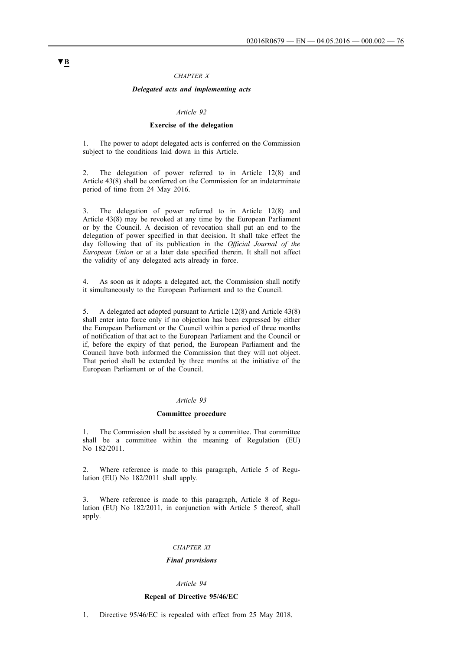#### *CHAPTER X*

#### *Delegated acts and implementing acts*

#### *Article 92*

#### **Exercise of the delegation**

1. The power to adopt delegated acts is conferred on the Commission subject to the conditions laid down in this Article.

The delegation of power referred to in Article  $12(8)$  and Article 43(8) shall be conferred on the Commission for an indeterminate period of time from 24 May 2016.

3. The delegation of power referred to in Article 12(8) and Article 43(8) may be revoked at any time by the European Parliament or by the Council. A decision of revocation shall put an end to the delegation of power specified in that decision. It shall take effect the day following that of its publication in the *Official Journal of the European Union* or at a later date specified therein. It shall not affect the validity of any delegated acts already in force.

4. As soon as it adopts a delegated act, the Commission shall notify it simultaneously to the European Parliament and to the Council.

5. A delegated act adopted pursuant to Article 12(8) and Article 43(8) shall enter into force only if no objection has been expressed by either the European Parliament or the Council within a period of three months of notification of that act to the European Parliament and the Council or if, before the expiry of that period, the European Parliament and the Council have both informed the Commission that they will not object. That period shall be extended by three months at the initiative of the European Parliament or of the Council.

#### *Article 93*

#### **Committee procedure**

1. The Commission shall be assisted by a committee. That committee shall be a committee within the meaning of Regulation (EU) No 182/2011.

2. Where reference is made to this paragraph, Article 5 of Regulation (EU) No 182/2011 shall apply.

3. Where reference is made to this paragraph, Article 8 of Regulation (EU) No 182/2011, in conjunction with Article 5 thereof, shall apply.

#### *CHAPTER XI*

### *Final provisions*

#### *Article 94*

#### **Repeal of Directive 95/46/EC**

1. Directive 95/46/EC is repealed with effect from 25 May 2018.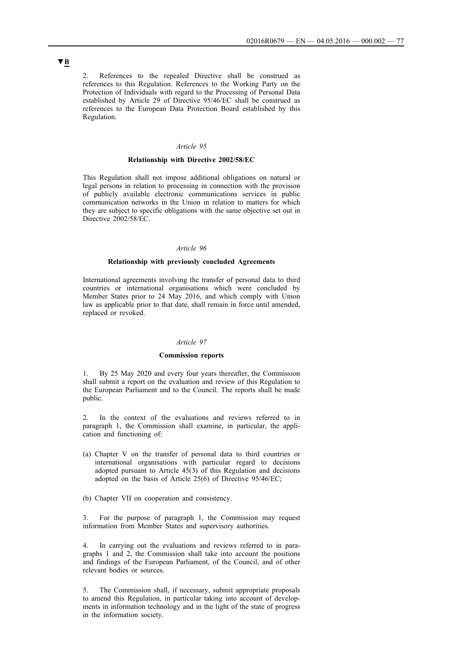2. References to the repealed Directive shall be construed as references to this Regulation. References to the Working Party on the Protection of Individuals with regard to the Processing of Personal Data established by Article 29 of Directive 95/46/EC shall be construed as references to the European Data Protection Board established by this Regulation.

## *Article 95*

#### **Relationship with Directive 2002/58/EC**

This Regulation shall not impose additional obligations on natural or legal persons in relation to processing in connection with the provision of publicly available electronic communications services in public communication networks in the Union in relation to matters for which they are subject to specific obligations with the same objective set out in Directive 2002/58/EC.

## *Article 96*

#### **Relationship with previously concluded Agreements**

International agreements involving the transfer of personal data to third countries or international organisations which were concluded by Member States prior to 24 May 2016, and which comply with Union law as applicable prior to that date, shall remain in force until amended, replaced or revoked.

#### *Article 97*

### **Commission reports**

1. By 25 May 2020 and every four years thereafter, the Commission shall submit a report on the evaluation and review of this Regulation to the European Parliament and to the Council. The reports shall be made public.

In the context of the evaluations and reviews referred to in paragraph 1, the Commission shall examine, in particular, the application and functioning of:

- (a) Chapter V on the transfer of personal data to third countries or international organisations with particular regard to decisions adopted pursuant to Article 45(3) of this Regulation and decisions adopted on the basis of Article 25(6) of Directive 95/46/EC;
- (b) Chapter VII on cooperation and consistency.

3. For the purpose of paragraph 1, the Commission may request information from Member States and supervisory authorities.

4. In carrying out the evaluations and reviews referred to in paragraphs 1 and 2, the Commission shall take into account the positions and findings of the European Parliament, of the Council, and of other relevant bodies or sources.

5. The Commission shall, if necessary, submit appropriate proposals to amend this Regulation, in particular taking into account of developments in information technology and in the light of the state of progress in the information society.